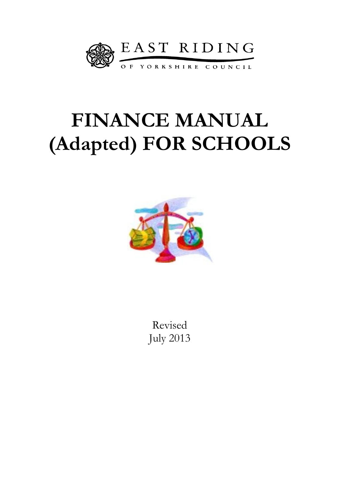

# **FINANCE MANUAL (Adapted) FOR SCHOOLS**



Revised July 2013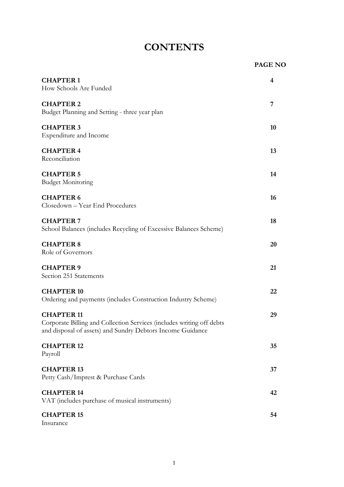# **CONTENTS**

|                                                                                                                                                          | <b>PAGE NO</b> |
|----------------------------------------------------------------------------------------------------------------------------------------------------------|----------------|
| <b>CHAPTER 1</b><br>How Schools Are Funded                                                                                                               | 4              |
| <b>CHAPTER 2</b><br>Budget Planning and Setting - three year plan                                                                                        | 7              |
| <b>CHAPTER 3</b><br><b>Expenditure and Income</b>                                                                                                        | 10             |
| <b>CHAPTER 4</b><br>Reconciliation                                                                                                                       | 13             |
| <b>CHAPTER 5</b><br><b>Budget Monitoring</b>                                                                                                             | 14             |
| <b>CHAPTER 6</b><br>Closedown - Year End Procedures                                                                                                      | 16             |
| <b>CHAPTER 7</b><br>School Balances (includes Recycling of Excessive Balances Scheme)                                                                    | 18             |
| <b>CHAPTER 8</b><br>Role of Governors                                                                                                                    | 20             |
| <b>CHAPTER 9</b><br>Section 251 Statements                                                                                                               | 21             |
| <b>CHAPTER 10</b><br>Ordering and payments (includes Construction Industry Scheme)                                                                       | 22             |
| <b>CHAPTER 11</b><br>Corporate Billing and Collection Services (includes writing off debts<br>and disposal of assets) and Sundry Debtors Income Guidance | 29             |
| <b>CHAPTER 12</b><br>Payroll                                                                                                                             | 35             |
| <b>CHAPTER 13</b><br>Petty Cash/Imprest & Purchase Cards                                                                                                 | 37             |
| <b>CHAPTER 14</b><br>VAT (includes purchase of musical instruments)                                                                                      | 42             |
| <b>CHAPTER 15</b><br>Insurance                                                                                                                           | 54             |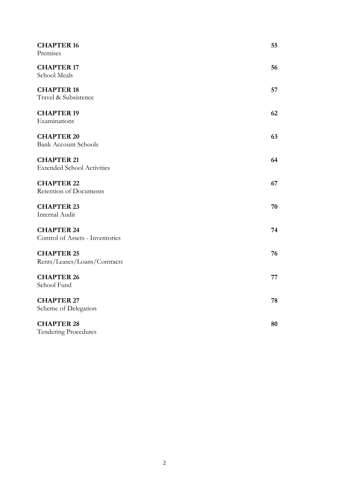| <b>CHAPTER 16</b><br>Premises                          | 55 |
|--------------------------------------------------------|----|
| <b>CHAPTER 17</b><br>School Meals                      | 56 |
| <b>CHAPTER 18</b><br>Travel & Subsistence              | 57 |
| <b>CHAPTER 19</b><br>Examinations                      | 62 |
| <b>CHAPTER 20</b><br><b>Bank Account Schools</b>       | 63 |
| <b>CHAPTER 21</b><br><b>Extended School Activities</b> | 64 |
| <b>CHAPTER 22</b><br>Retention of Documents            | 67 |
| <b>CHAPTER 23</b><br>Internal Audit                    | 70 |
| <b>CHAPTER 24</b><br>Control of Assets - Inventories   | 74 |
| <b>CHAPTER 25</b><br>Rents/Leases/Loans/Contracts      | 76 |
| <b>CHAPTER 26</b><br>School Fund                       | 77 |
| <b>CHAPTER 27</b><br>Scheme of Delegation              | 78 |
| <b>CHAPTER 28</b><br><b>Tendering Procedures</b>       | 80 |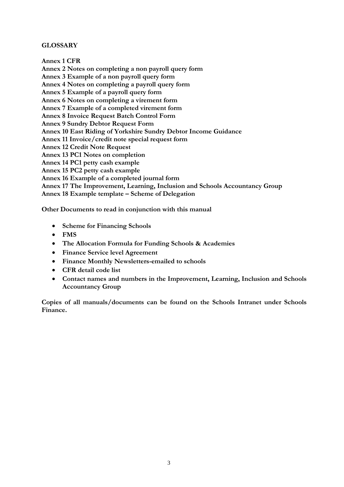### **GLOSSARY**

**Annex 1 CFR Annex 2 Notes on completing a non payroll query form Annex 3 Example of a non payroll query form Annex 4 Notes on completing a payroll query form Annex 5 Example of a payroll query form Annex 6 Notes on completing a virement form Annex 7 Example of a completed virement form Annex 8 Invoice Request Batch Control Form Annex 9 Sundry Debtor Request Form Annex 10 East Riding of Yorkshire Sundry Debtor Income Guidance Annex 11 Invoice/credit note special request form Annex 12 Credit Note Request Annex 13 PC1 Notes on completion Annex 14 PC1 petty cash example Annex 15 PC2 petty cash example Annex 16 Example of a completed journal form Annex 17 The Improvement, Learning, Inclusion and Schools Accountancy Group Annex 18 Example template – Scheme of Delegation**

**Other Documents to read in conjunction with this manual**

- **Scheme for Financing Schools**
- **FMS**
- **The Allocation Formula for Funding Schools & Academies**
- **Finance Service level Agreement**
- **Finance Monthly Newsletters-emailed to schools**
- **CFR detail code list**
- **Contact names and numbers in the Improvement, Learning, Inclusion and Schools Accountancy Group**

**Copies of all manuals/documents can be found on the Schools Intranet under Schools Finance.**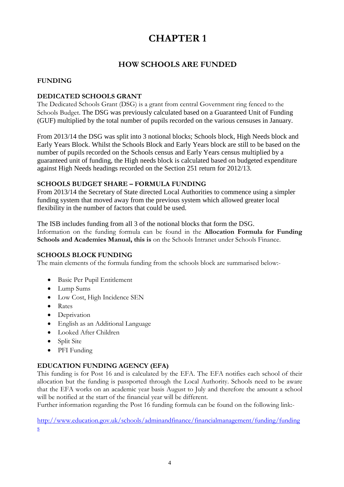### **HOW SCHOOLS ARE FUNDED**

### **FUNDING**

### **DEDICATED SCHOOLS GRANT**

The Dedicated Schools Grant (DSG) is a grant from central Government ring fenced to the Schools Budget. The DSG was previously calculated based on a Guaranteed Unit of Funding (GUF) multiplied by the total number of pupils recorded on the various censuses in January.

From 2013/14 the DSG was split into 3 notional blocks; Schools block, High Needs block and Early Years Block. Whilst the Schools Block and Early Years block are still to be based on the number of pupils recorded on the Schools census and Early Years census multiplied by a guaranteed unit of funding, the High needs block is calculated based on budgeted expenditure against High Needs headings recorded on the Section 251 return for 2012/13.

### **SCHOOLS BUDGET SHARE – FORMULA FUNDING**

From 2013/14 the Secretary of State directed Local Authorities to commence using a simpler funding system that moved away from the previous system which allowed greater local flexibility in the number of factors that could be used.

The ISB includes funding from all 3 of the notional blocks that form the DSG. Information on the funding formula can be found in the **Allocation Formula for Funding Schools and Academies Manual, this is** on the Schools Intranet under Schools Finance.

### **SCHOOLS BLOCK FUNDING**

The main elements of the formula funding from the schools block are summarised below:-

- Basic Per Pupil Entitlement
- Lump Sums
- Low Cost, High Incidence SEN
- Rates
- Deprivation
- English as an Additional Language
- Looked After Children
- Split Site
- PFI Funding

### **EDUCATION FUNDING AGENCY (EFA)**

This funding is for Post 16 and is calculated by the EFA. The EFA notifies each school of their allocation but the funding is passported through the Local Authority. Schools need to be aware that the EFA works on an academic year basis August to July and therefore the amount a school will be notified at the start of the financial year will be different.

Further information regarding the Post 16 funding formula can be found on the following link:-

[http://www.education.gov.uk/schools/adminandfinance/financialmanagement/funding/funding](http://www.education.gov.uk/schools/adminandfinance/financialmanagement/funding/fundings) [s](http://www.education.gov.uk/schools/adminandfinance/financialmanagement/funding/fundings)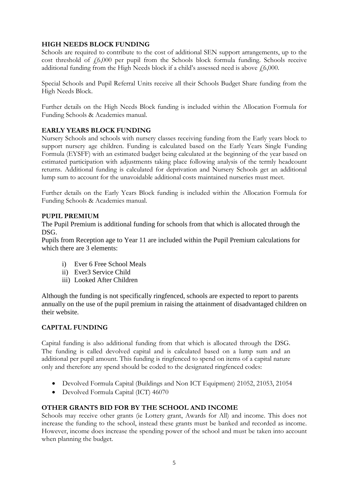### **HIGH NEEDS BLOCK FUNDING**

Schools are required to contribute to the cost of additional SEN support arrangements, up to the cost threshold of  $f(6,000)$  per pupil from the Schools block formula funding. Schools receive additional funding from the High Needs block if a child's assessed need is above  $f(6,000)$ .

Special Schools and Pupil Referral Units receive all their Schools Budget Share funding from the High Needs Block.

Further details on the High Needs Block funding is included within the Allocation Formula for Funding Schools & Academies manual.

### **EARLY YEARS BLOCK FUNDING**

Nursery Schools and schools with nursery classes receiving funding from the Early years block to support nursery age children. Funding is calculated based on the Early Years Single Funding Formula (EYSFF) with an estimated budget being calculated at the beginning of the year based on estimated participation with adjustments taking place following analysis of the termly headcount returns. Additional funding is calculated for deprivation and Nursery Schools get an additional lump sum to account for the unavoidable additional costs maintained nurseries must meet.

Further details on the Early Years Block funding is included within the Allocation Formula for Funding Schools & Academies manual.

### **PUPIL PREMIUM**

The Pupil Premium is additional funding for schools from that which is allocated through the DSG.

Pupils from Reception age to Year 11 are included within the Pupil Premium calculations for which there are 3 elements:

- i) Ever 6 Free School Meals
- ii) Ever3 Service Child
- iii) Looked After Children

Although the funding is not specifically ringfenced, schools are expected to report to parents annually on the use of the pupil premium in raising the attainment of disadvantaged children on their website.

### **CAPITAL FUNDING**

Capital funding is also additional funding from that which is allocated through the DSG. The funding is called devolved capital and is calculated based on a lump sum and an additional per pupil amount. This funding is ringfenced to spend on items of a capital nature only and therefore any spend should be coded to the designated ringfenced codes:

- Devolved Formula Capital (Buildings and Non ICT Equipment) 21052, 21053, 21054
- Devolved Formula Capital (ICT) 46070

### **OTHER GRANTS BID FOR BY THE SCHOOL AND INCOME**

Schools may receive other grants (ie Lottery grant, Awards for All) and income. This does not increase the funding to the school, instead these grants must be banked and recorded as income. However, income does increase the spending power of the school and must be taken into account when planning the budget.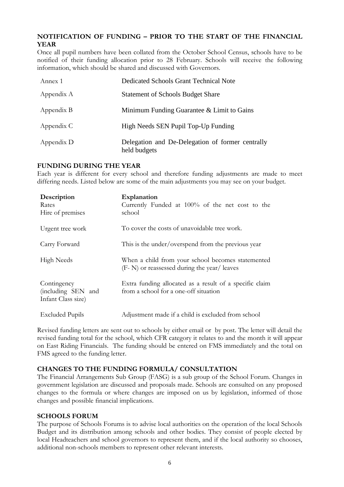### **NOTIFICATION OF FUNDING – PRIOR TO THE START OF THE FINANCIAL YEAR**

Once all pupil numbers have been collated from the October School Census, schools have to be notified of their funding allocation prior to 28 February. Schools will receive the following information, which should be shared and discussed with Governors.

| Annex 1    | <b>Dedicated Schools Grant Technical Note</b>                    |
|------------|------------------------------------------------------------------|
| Appendix A | <b>Statement of Schools Budget Share</b>                         |
| Appendix B | Minimum Funding Guarantee & Limit to Gains                       |
| Appendix C | High Needs SEN Pupil Top-Up Funding                              |
| Appendix D | Delegation and De-Delegation of former centrally<br>held budgets |

### **FUNDING DURING THE YEAR**

Each year is different for every school and therefore funding adjustments are made to meet differing needs. Listed below are some of the main adjustments you may see on your budget.

| Description<br>Rates<br>Hire of premises                | Explanation<br>Currently Funded at 100% of the net cost to the<br>school                          |
|---------------------------------------------------------|---------------------------------------------------------------------------------------------------|
| Urgent tree work                                        | To cover the costs of unavoidable tree work.                                                      |
| Carry Forward                                           | This is the under/overspend from the previous year                                                |
| High Needs                                              | When a child from your school becomes statemented<br>(F- N) or reassessed during the year/ leaves |
| Contingency<br>(including SEN and<br>Infant Class size) | Extra funding allocated as a result of a specific claim<br>from a school for a one-off situation  |
| <b>Excluded Pupils</b>                                  | Adjustment made if a child is excluded from school                                                |

Revised funding letters are sent out to schools by either email or by post. The letter will detail the revised funding total for the school, which CFR category it relates to and the month it will appear on East Riding Financials. The funding should be entered on FMS immediately and the total on FMS agreed to the funding letter.

### **CHANGES TO THE FUNDING FORMULA/ CONSULTATION**

The Financial Arrangements Sub Group (FASG) is a sub group of the School Forum. Changes in government legislation are discussed and proposals made. Schools are consulted on any proposed changes to the formula or where changes are imposed on us by legislation, informed of those changes and possible financial implications.

### **SCHOOLS FORUM**

The purpose of Schools Forums is to advise local authorities on the operation of the local Schools Budget and its distribution among schools and other bodies. They consist of people elected by local Headteachers and school governors to represent them, and if the local authority so chooses, additional non-schools members to represent other relevant interests.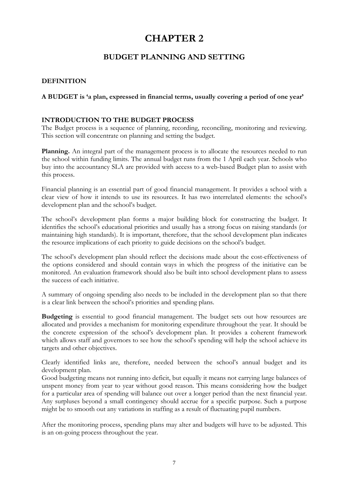### **BUDGET PLANNING AND SETTING**

### **DEFINITION**

### **A BUDGET is 'a plan, expressed in financial terms, usually covering a period of one year'**

### **INTRODUCTION TO THE BUDGET PROCESS**

The Budget process is a sequence of planning, recording, reconciling, monitoring and reviewing. This section will concentrate on planning and setting the budget.

**Planning.** An integral part of the management process is to allocate the resources needed to run the school within funding limits. The annual budget runs from the 1 April each year. Schools who buy into the accountancy SLA are provided with access to a web-based Budget plan to assist with this process.

Financial planning is an essential part of good financial management. It provides a school with a clear view of how it intends to use its resources. It has two interrelated elements: the school's development plan and the school's budget.

The school's development plan forms a major building block for constructing the budget. It identifies the school's educational priorities and usually has a strong focus on raising standards (or maintaining high standards). It is important, therefore, that the school development plan indicates the resource implications of each priority to guide decisions on the school's budget.

The school's development plan should reflect the decisions made about the cost-effectiveness of the options considered and should contain ways in which the progress of the initiative can be monitored. An evaluation framework should also be built into school development plans to assess the success of each initiative.

A summary of ongoing spending also needs to be included in the development plan so that there is a clear link between the school's priorities and spending plans.

**Budgeting** is essential to good financial management. The budget sets out how resources are allocated and provides a mechanism for monitoring expenditure throughout the year. It should be the concrete expression of the school's development plan. It provides a coherent framework which allows staff and governors to see how the school's spending will help the school achieve its targets and other objectives.

Clearly identified links are, therefore, needed between the school's annual budget and its development plan.

Good budgeting means not running into deficit, but equally it means not carrying large balances of unspent money from year to year without good reason. This means considering how the budget for a particular area of spending will balance out over a longer period than the next financial year. Any surpluses beyond a small contingency should accrue for a specific purpose. Such a purpose might be to smooth out any variations in staffing as a result of fluctuating pupil numbers.

After the monitoring process, spending plans may alter and budgets will have to be adjusted. This is an on-going process throughout the year.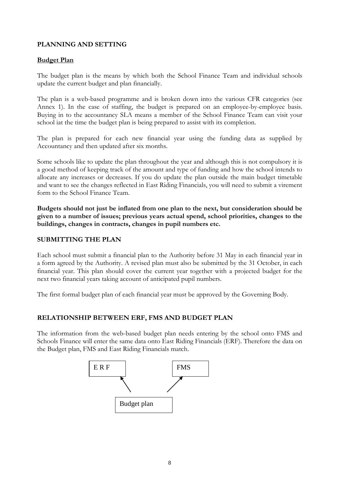### **PLANNING AND SETTING**

### **Budget Plan**

The budget plan is the means by which both the School Finance Team and individual schools update the current budget and plan financially.

The plan is a web-based programme and is broken down into the various CFR categories (see Annex 1). In the case of staffing, the budget is prepared on an employee-by-employee basis. Buying in to the accountancy SLA means a member of the School Finance Team can visit your school iat the time the budget plan is being prepared to assist with its completion.

The plan is prepared for each new financial year using the funding data as supplied by Accountancy and then updated after six months.

Some schools like to update the plan throughout the year and although this is not compulsory it is a good method of keeping track of the amount and type of funding and how the school intends to allocate any increases or decreases. If you do update the plan outside the main budget timetable and want to see the changes reflected in East Riding Financials, you will need to submit a virement form to the School Finance Team.

**Budgets should not just be inflated from one plan to the next, but consideration should be given to a number of issues; previous years actual spend, school priorities, changes to the buildings, changes in contracts, changes in pupil numbers etc.** 

### **SUBMITTING THE PLAN**

Each school must submit a financial plan to the Authority before 31 May in each financial year in a form agreed by the Authority. A revised plan must also be submitted by the 31 October, in each financial year. This plan should cover the current year together with a projected budget for the next two financial years taking account of anticipated pupil numbers.

The first formal budget plan of each financial year must be approved by the Governing Body.

### **RELATIONSHIP BETWEEN ERF, FMS AND BUDGET PLAN**

The information from the web-based budget plan needs entering by the school onto FMS and Schools Finance will enter the same data onto East Riding Financials (ERF). Therefore the data on the Budget plan, FMS and East Riding Financials match.

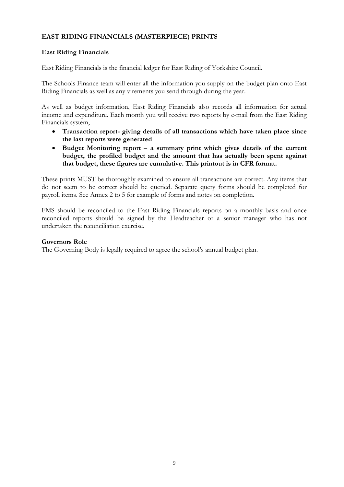### **EAST RIDING FINANCIALS (MASTERPIECE) PRINTS**

### **East Riding Financials**

East Riding Financials is the financial ledger for East Riding of Yorkshire Council.

The Schools Finance team will enter all the information you supply on the budget plan onto East Riding Financials as well as any virements you send through during the year.

As well as budget information, East Riding Financials also records all information for actual income and expenditure. Each month you will receive two reports by e-mail from the East Riding Financials system,

- **Transaction report- giving details of all transactions which have taken place since the last reports were generated**
- **Budget Monitoring report – a summary print which gives details of the current budget, the profiled budget and the amount that has actually been spent against that budget, these figures are cumulative. This printout is in CFR format.**

These prints MUST be thoroughly examined to ensure all transactions are correct. Any items that do not seem to be correct should be queried. Separate query forms should be completed for payroll items. See Annex 2 to 5 for example of forms and notes on completion.

FMS should be reconciled to the East Riding Financials reports on a monthly basis and once reconciled reports should be signed by the Headteacher or a senior manager who has not undertaken the reconciliation exercise.

### **Governors Role**

The Governing Body is legally required to agree the school's annual budget plan.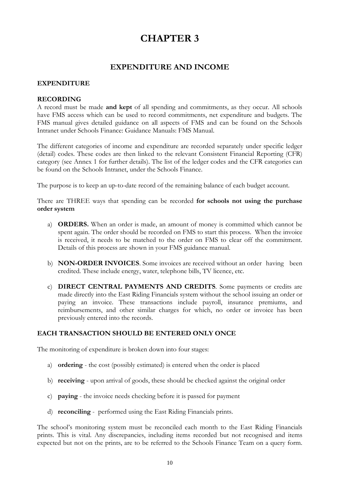### **EXPENDITURE AND INCOME**

### **EXPENDITURE**

#### **RECORDING**

A record must be made **and kept** of all spending and commitments, as they occur. All schools have FMS access which can be used to record commitments, net expenditure and budgets. The FMS manual gives detailed guidance on all aspects of FMS and can be found on the Schools Intranet under Schools Finance: Guidance Manuals: FMS Manual.

The different categories of income and expenditure are recorded separately under specific ledger (detail) codes. These codes are then linked to the relevant Consistent Financial Reporting (CFR) category (see Annex 1 for further details). The list of the ledger codes and the CFR categories can be found on the Schools Intranet, under the Schools Finance.

The purpose is to keep an up-to-date record of the remaining balance of each budget account.

There are THREE ways that spending can be recorded **for schools not using the purchase order system**

- a) **ORDERS.** When an order is made, an amount of money is committed which cannot be spent again. The order should be recorded on FMS to start this process. When the invoice is received, it needs to be matched to the order on FMS to clear off the commitment. Details of this process are shown in your FMS guidance manual.
- b) **NON-ORDER INVOICES**. Some invoices are received without an order having been credited. These include energy, water, telephone bills, TV licence, etc.
- c) **DIRECT CENTRAL PAYMENTS AND CREDITS**. Some payments or credits are made directly into the East Riding Financials system without the school issuing an order or paying an invoice. These transactions include payroll, insurance premiums, and reimbursements, and other similar charges for which, no order or invoice has been previously entered into the records.

### **EACH TRANSACTION SHOULD BE ENTERED ONLY ONCE**

The monitoring of expenditure is broken down into four stages:

- a) **ordering** the cost (possibly estimated) is entered when the order is placed
- b) **receiving** upon arrival of goods, these should be checked against the original order
- c) **paying**  the invoice needs checking before it is passed for payment
- d) **reconciling** performed using the East Riding Financials prints.

The school's monitoring system must be reconciled each month to the East Riding Financials prints. This is vital. Any discrepancies, including items recorded but not recognised and items expected but not on the prints, are to be referred to the Schools Finance Team on a query form.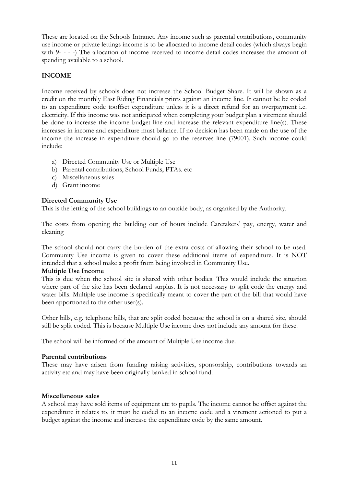These are located on the Schools Intranet. Any income such as parental contributions, community use income or private lettings income is to be allocated to income detail codes (which always begin with 9- - - -) The allocation of income received to income detail codes increases the amount of spending available to a school.

### **INCOME**

Income received by schools does not increase the School Budget Share. It will be shown as a credit on the monthly East Riding Financials prints against an income line. It cannot be be coded to an expenditure code tooffset expenditure unless it is a direct refund for an overpayment i.e. electricity. If this income was not anticipated when completing your budget plan a virement should be done to increase the income budget line and increase the relevant expenditure line(s). These increases in income and expenditure must balance. If no decision has been made on the use of the income the increase in expenditure should go to the reserves line (79001). Such income could include:

- a) Directed Community Use or Multiple Use
- b) Parental contributions, School Funds, PTAs. etc
- c) Miscellaneous sales
- d) Grant income

### **Directed Community Use**

This is the letting of the school buildings to an outside body, as organised by the Authority.

The costs from opening the building out of hours include Caretakers' pay, energy, water and cleaning

The school should not carry the burden of the extra costs of allowing their school to be used. Community Use income is given to cover these additional items of expenditure. It is NOT intended that a school make a profit from being involved in Community Use.

### **Multiple Use Income**

This is due when the school site is shared with other bodies. This would include the situation where part of the site has been declared surplus. It is not necessary to split code the energy and water bills. Multiple use income is specifically meant to cover the part of the bill that would have been apportioned to the other user(s).

Other bills, e.g. telephone bills, that are split coded because the school is on a shared site, should still be split coded. This is because Multiple Use income does not include any amount for these.

The school will be informed of the amount of Multiple Use income due.

### **Parental contributions**

These may have arisen from funding raising activities, sponsorship, contributions towards an activity etc and may have been originally banked in school fund.

### **Miscellaneous sales**

A school may have sold items of equipment etc to pupils. The income cannot be offset against the expenditure it relates to, it must be coded to an income code and a virement actioned to put a budget against the income and increase the expenditure code by the same amount.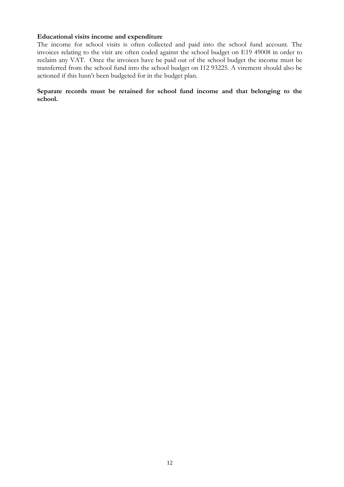#### **Educational visits income and expenditure**

The income for school visits is often collected and paid into the school fund account. The invoices relating to the visit are often coded against the school budget on E19 49008 in order to reclaim any VAT. Once the invoices have be paid out of the school budget the income must be transferred from the school fund into the school budget on I12 93225. A virement should also be actioned if this hasn't been budgeted for in the budget plan.

**Separate records must be retained for school fund income and that belonging to the school.**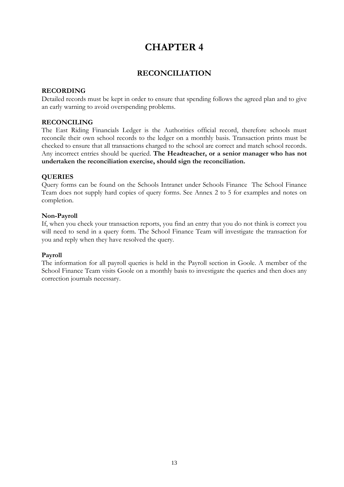### **RECONCILIATION**

### **RECORDING**

Detailed records must be kept in order to ensure that spending follows the agreed plan and to give an early warning to avoid overspending problems.

### **RECONCILING**

The East Riding Financials Ledger is the Authorities official record, therefore schools must reconcile their own school records to the ledger on a monthly basis. Transaction prints must be checked to ensure that all transactions charged to the school are correct and match school records. Any incorrect entries should be queried. **The Headteacher, or a senior manager who has not undertaken the reconciliation exercise, should sign the reconciliation.**

### **QUERIES**

Query forms can be found on the Schools Intranet under Schools Finance The School Finance Team does not supply hard copies of query forms. See Annex 2 to 5 for examples and notes on completion.

### **Non-Payroll**

If, when you check your transaction reports, you find an entry that you do not think is correct you will need to send in a query form. The School Finance Team will investigate the transaction for you and reply when they have resolved the query.

### **Payroll**

The information for all payroll queries is held in the Payroll section in Goole. A member of the School Finance Team visits Goole on a monthly basis to investigate the queries and then does any correction journals necessary.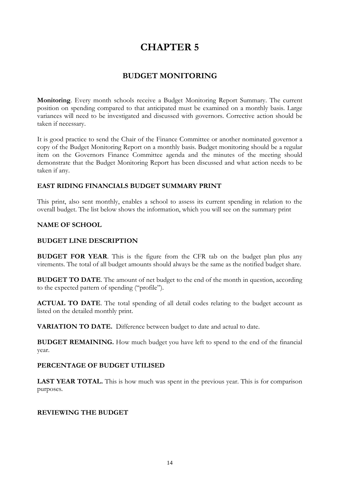### **BUDGET MONITORING**

**Monitoring**. Every month schools receive a Budget Monitoring Report Summary. The current position on spending compared to that anticipated must be examined on a monthly basis. Large variances will need to be investigated and discussed with governors. Corrective action should be taken if necessary.

It is good practice to send the Chair of the Finance Committee or another nominated governor a copy of the Budget Monitoring Report on a monthly basis. Budget monitoring should be a regular item on the Governors Finance Committee agenda and the minutes of the meeting should demonstrate that the Budget Monitoring Report has been discussed and what action needs to be taken if any.

### **EAST RIDING FINANCIALS BUDGET SUMMARY PRINT**

This print, also sent monthly, enables a school to assess its current spending in relation to the overall budget. The list below shows the information, which you will see on the summary print

### **NAME OF SCHOOL**

### **BUDGET LINE DESCRIPTION**

**BUDGET FOR YEAR**. This is the figure from the CFR tab on the budget plan plus any virements. The total of all budget amounts should always be the same as the notified budget share.

**BUDGET TO DATE**. The amount of net budget to the end of the month in question, according to the expected pattern of spending ("profile").

**ACTUAL TO DATE**. The total spending of all detail codes relating to the budget account as listed on the detailed monthly print.

**VARIATION TO DATE.** Difference between budget to date and actual to date.

**BUDGET REMAINING.** How much budget you have left to spend to the end of the financial year.

### **PERCENTAGE OF BUDGET UTILISED**

**LAST YEAR TOTAL.** This is how much was spent in the previous year. This is for comparison purposes.

### **REVIEWING THE BUDGET**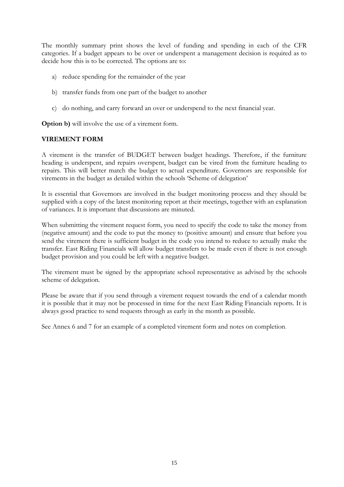The monthly summary print shows the level of funding and spending in each of the CFR categories. If a budget appears to be over or underspent a management decision is required as to decide how this is to be corrected. The options are to:

- a) reduce spending for the remainder of the year
- b) transfer funds from one part of the budget to another
- c) do nothing, and carry forward an over or underspend to the next financial year.

**Option b)** will involve the use of a virement form.

### **VIREMENT FORM**

A virement is the transfer of BUDGET between budget headings. Therefore, if the furniture heading is underspent, and repairs overspent, budget can be vired from the furniture heading to repairs. This will better match the budget to actual expenditure. Governors are responsible for virements in the budget as detailed within the schools 'Scheme of delegation'

It is essential that Governors are involved in the budget monitoring process and they should be supplied with a copy of the latest monitoring report at their meetings, together with an explanation of variances. It is important that discussions are minuted.

When submitting the virement request form, you need to specify the code to take the money from (negative amount) and the code to put the money to (positive amount) and ensure that before you send the virement there is sufficient budget in the code you intend to reduce to actually make the transfer. East Riding Financials will allow budget transfers to be made even if there is not enough budget provision and you could be left with a negative budget.

The virement must be signed by the appropriate school representative as advised by the schools scheme of delegation.

Please be aware that if you send through a virement request towards the end of a calendar month it is possible that it may not be processed in time for the next East Riding Financials reports. It is always good practice to send requests through as early in the month as possible.

See Annex 6 and 7 for an example of a completed virement form and notes on completion.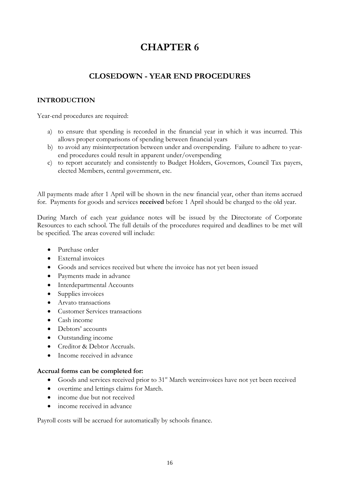### **CLOSEDOWN - YEAR END PROCEDURES**

### **INTRODUCTION**

Year-end procedures are required:

- a) to ensure that spending is recorded in the financial year in which it was incurred. This allows proper comparisons of spending between financial years
- b) to avoid any misinterpretation between under and overspending. Failure to adhere to yearend procedures could result in apparent under/overspending
- c) to report accurately and consistently to Budget Holders, Governors, Council Tax payers, elected Members, central government, etc.

All payments made after 1 April will be shown in the new financial year, other than items accrued for. Payments for goods and services **received** before 1 April should be charged to the old year.

During March of each year guidance notes will be issued by the Directorate of Corporate Resources to each school. The full details of the procedures required and deadlines to be met will be specified. The areas covered will include:

- Purchase order
- External invoices
- Goods and services received but where the invoice has not yet been issued
- Payments made in advance
- Interdepartmental Accounts
- Supplies invoices
- Arvato transactions
- Customer Services transactions
- Cash income
- Debtors' accounts
- Outstanding income
- Creditor & Debtor Accruals.
- Income received in advance

### **Accrual forms can be completed for:**

- Goods and services received prior to 31<sup>st</sup> March wereinvoices have not yet been received
- overtime and lettings claims for March.
- income due but not received
- income received in advance

Payroll costs will be accrued for automatically by schools finance.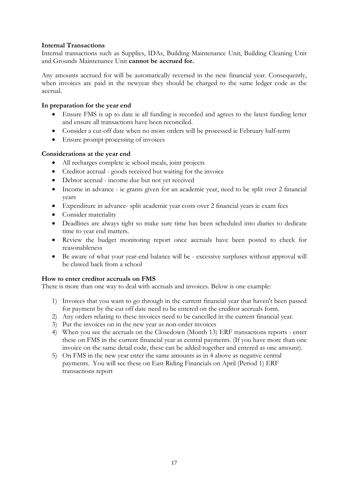### **Internal Transactions**

Internal transactions such as Supplies, IDAs, Building Maintenance Unit, Building Cleaning Unit and Grounds Maintenance Unit **cannot be accrued for.**

Any amounts accrued for will be automatically reversed in the new financial year. Consequently, when invoices are paid in the newyear they should be charged to the same ledger code as the accrual.

### **In preparation for the year end**

- Ensure FMS is up to date ie all funding is recorded and agrees to the latest funding letter and ensure all transactions have been reconciled.
- Consider a cut-off date when no more orders will be processed ie February half-term
- Ensure prompt processing of invoices

### **Considerations at the year end**

- All recharges complete ie school meals, joint projects
- Creditor accrual goods received but waiting for the invoice
- Debtor accrual income due but not yet received
- Income in advance ie grants given for an academic year, need to be split over 2 financial years
- Expenditure in advance- split academic year costs over 2 financial years ie exam fees
- Consider materiality
- Deadlines are always tight so make sure time has been scheduled into diaries to dedicate time to year end matters.
- Review the budget monitoring report once accruals have been posted to check for reasonableness
- Be aware of what your year-end balance will be excessive surpluses without approval will be clawed back from a school

### **How to enter creditor accruals on FMS**

There is more than one way to deal with accruals and invoices. Below is one example:

- 1) Invoices that you want to go through in the current financial year that haven't been passed for payment by the cut off date need to be entered on the creditor accruals form.
- 2) Any orders relating to these invoices need to be cancelled in the current financial year.
- 3) Put the invoices on in the new year as non-order invoices
- 4) When you see the accruals on the Closedown (Month 13) ERF transactions reports enter these on FMS in the current financial year as central payments. (If you have more than one invoice on the same detail code, these can be added together and entered as one amount).
- 5) On FMS in the new year enter the same amounts as in 4 above as negative central payments. You will see these on East Riding Financials on April (Period 1) ERF transactions report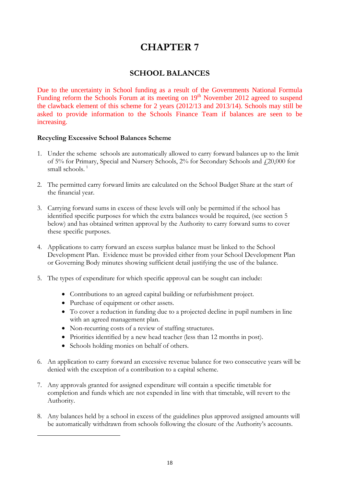### **SCHOOL BALANCES**

Due to the uncertainty in School funding as a result of the Governments National Formula Funding reform the Schools Forum at its meeting on  $19<sup>th</sup>$  November 2012 agreed to suspend the clawback element of this scheme for 2 years (2012/13 and 2013/14). Schools may still be asked to provide information to the Schools Finance Team if balances are seen to be increasing.

### **Recycling Excessive School Balances Scheme**

- 1. Under the scheme schools are automatically allowed to carry forward balances up to the limit of 5% for Primary, Special and Nursery Schools, 2% for Secondary Schools and £20,000 for small schools.  $1$
- 2. The permitted carry forward limits are calculated on the School Budget Share at the start of the financial year.
- 3. Carrying forward sums in excess of these levels will only be permitted if the school has identified specific purposes for which the extra balances would be required, (see section 5 below) and has obtained written approval by the Authority to carry forward sums to cover these specific purposes.
- 4. Applications to carry forward an excess surplus balance must be linked to the School Development Plan. Evidence must be provided either from your School Development Plan or Governing Body minutes showing sufficient detail justifying the use of the balance.
- 5. The types of expenditure for which specific approval can be sought can include:
	- Contributions to an agreed capital building or refurbishment project.
	- Purchase of equipment or other assets.
	- To cover a reduction in funding due to a projected decline in pupil numbers in line with an agreed management plan.
	- Non-recurring costs of a review of staffing structures.
	- Priorities identified by a new head teacher (less than 12 months in post).
	- Schools holding monies on behalf of others.

<span id="page-18-0"></span> $\overline{a}$ 

- 6. An application to carry forward an excessive revenue balance for two consecutive years will be denied with the exception of a contribution to a capital scheme.
- 7. Any approvals granted for assigned expenditure will contain a specific timetable for completion and funds which are not expended in line with that timetable, will revert to the Authority.
- 8. Any balances held by a school in excess of the guidelines plus approved assigned amounts will be automatically withdrawn from schools following the closure of the Authority's accounts.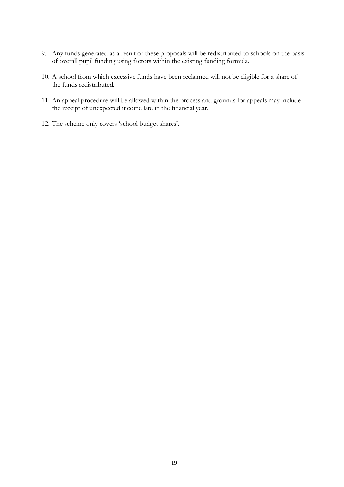- 9. Any funds generated as a result of these proposals will be redistributed to schools on the basis of overall pupil funding using factors within the existing funding formula.
- 10. A school from which excessive funds have been reclaimed will not be eligible for a share of the funds redistributed.
- 11. An appeal procedure will be allowed within the process and grounds for appeals may include the receipt of unexpected income late in the financial year.
- 12. The scheme only covers 'school budget shares'.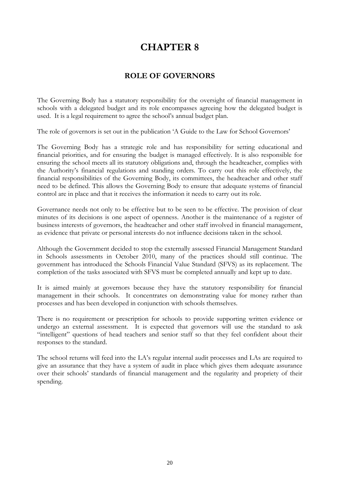### **ROLE OF GOVERNORS**

The Governing Body has a statutory responsibility for the oversight of financial management in schools with a delegated budget and its role encompasses agreeing how the delegated budget is used. It is a legal requirement to agree the school's annual budget plan.

The role of governors is set out in the publication 'A Guide to the Law for School Governors'

The Governing Body has a strategic role and has responsibility for setting educational and financial priorities, and for ensuring the budget is managed effectively. It is also responsible for ensuring the school meets all its statutory obligations and, through the headteacher, complies with the Authority's financial regulations and standing orders. To carry out this role effectively, the financial responsibilities of the Governing Body, its committees, the headteacher and other staff need to be defined. This allows the Governing Body to ensure that adequate systems of financial control are in place and that it receives the information it needs to carry out its role.

Governance needs not only to be effective but to be seen to be effective. The provision of clear minutes of its decisions is one aspect of openness. Another is the maintenance of a register of business interests of governors, the headteacher and other staff involved in financial management, as evidence that private or personal interests do not influence decisions taken in the school.

Although the Government decided to stop the externally assessed Financial Management Standard in Schools assessments in October 2010, many of the practices should still continue. The government has introduced the Schools Financial Value Standard (SFVS) as its replacement. The completion of the tasks associated with SFVS must be completed annually and kept up to date.

It is aimed mainly at governors because they have the statutory responsibility for financial management in their schools. It concentrates on demonstrating value for money rather than processes and has been developed in conjunction with schools themselves.

There is no requirement or prescription for schools to provide supporting written evidence or undergo an external assessment. It is expected that governors will use the standard to ask "intelligent" questions of head teachers and senior staff so that they feel confident about their responses to the standard.

The school returns will feed into the LA's regular internal audit processes and LAs are required to give an assurance that they have a system of audit in place which gives them adequate assurance over their schools' standards of financial management and the regularity and propriety of their spending.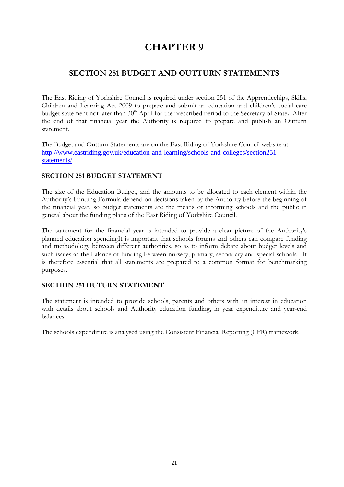### **SECTION 251 BUDGET AND OUTTURN STATEMENTS**

The East Riding of Yorkshire Council is required under section 251 of the Apprenticehips, Skills, Children and Learning Act 2009 to prepare and submit an education and children's social care budget statement not later than 30<sup>th</sup> April for the prescribed period to the Secretary of State. After the end of that financial year the Authority is required to prepare and publish an Outturn statement.

The Budget and Outturn Statements are on the East Riding of Yorkshire Council website at: [http://www.eastriding.gov.uk/education-and-learning/schools-and-colleges/section251](http://www.eastriding.gov.uk/education-and-learning/schools-and-colleges/section52-statements/) [statements/](http://www.eastriding.gov.uk/education-and-learning/schools-and-colleges/section52-statements/)

### **SECTION 251 BUDGET STATEMENT**

The size of the Education Budget, and the amounts to be allocated to each element within the Authority's Funding Formula depend on decisions taken by the Authority before the beginning of the financial year, so budget statements are the means of informing schools and the public in general about the funding plans of the East Riding of Yorkshire Council.

The statement for the financial year is intended to provide a clear picture of the Authority's planned education spendingIt is important that schools forums and others can compare funding and methodology between different authorities, so as to inform debate about budget levels and such issues as the balance of funding between nursery, primary, secondary and special schools. It is therefore essential that all statements are prepared to a common format for benchmarking purposes.

### **SECTION 251 OUTURN STATEMENT**

The statement is intended to provide schools, parents and others with an interest in education with details about schools and Authority education funding, in year expenditure and year-end balances.

The schools expenditure is analysed using the Consistent Financial Reporting (CFR) framework.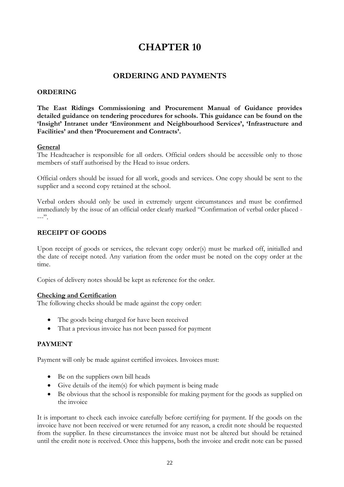### **ORDERING AND PAYMENTS**

### **ORDERING**

**The East Ridings Commissioning and Procurement Manual of Guidance provides detailed guidance on tendering procedures for schools. This guidance can be found on the 'Insight' Intranet under 'Environment and Neighbourhood Services', 'Infrastructure and Facilities' and then 'Procurement and Contracts'.**

### **General**

The Headteacher is responsible for all orders. Official orders should be accessible only to those members of staff authorised by the Head to issue orders.

Official orders should be issued for all work, goods and services. One copy should be sent to the supplier and a second copy retained at the school.

Verbal orders should only be used in extremely urgent circumstances and must be confirmed immediately by the issue of an official order clearly marked "Confirmation of verbal order placed -  $---"$ .

### **RECEIPT OF GOODS**

Upon receipt of goods or services, the relevant copy order(s) must be marked off, initialled and the date of receipt noted. Any variation from the order must be noted on the copy order at the time.

Copies of delivery notes should be kept as reference for the order.

### **Checking and Certification**

The following checks should be made against the copy order:

- The goods being charged for have been received
- That a previous invoice has not been passed for payment

### **PAYMENT**

Payment will only be made against certified invoices. Invoices must:

- Be on the suppliers own bill heads
- Give details of the item(s) for which payment is being made
- Be obvious that the school is responsible for making payment for the goods as supplied on the invoice

It is important to check each invoice carefully before certifying for payment. If the goods on the invoice have not been received or were returned for any reason, a credit note should be requested from the supplier. In these circumstances the invoice must not be altered but should be retained until the credit note is received. Once this happens, both the invoice and credit note can be passed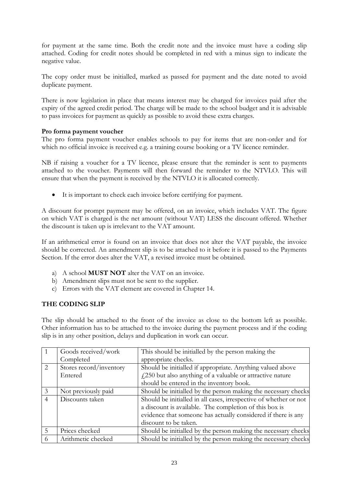for payment at the same time. Both the credit note and the invoice must have a coding slip attached. Coding for credit notes should be completed in red with a minus sign to indicate the negative value.

The copy order must be initialled, marked as passed for payment and the date noted to avoid duplicate payment.

There is now legislation in place that means interest may be charged for invoices paid after the expiry of the agreed credit period. The charge will be made to the school budget and it is advisable to pass invoices for payment as quickly as possible to avoid these extra charges.

### **Pro forma payment voucher**

The pro forma payment voucher enables schools to pay for items that are non-order and for which no official invoice is received e.g. a training course booking or a TV licence reminder.

NB if raising a voucher for a TV licence, please ensure that the reminder is sent to payments attached to the voucher. Payments will then forward the reminder to the NTVLO. This will ensure that when the payment is received by the NTVLO it is allocated correctly.

• It is important to check each invoice before certifying for payment.

A discount for prompt payment may be offered, on an invoice, which includes VAT. The figure on which VAT is charged is the net amount (without VAT) LESS the discount offered. Whether the discount is taken up is irrelevant to the VAT amount.

If an arithmetical error is found on an invoice that does not alter the VAT payable, the invoice should be corrected. An amendment slip is to be attached to it before it is passed to the Payments Section. If the error does alter the VAT, a revised invoice must be obtained.

- a) A school **MUST NOT** alter the VAT on an invoice.
- b) Amendment slips must not be sent to the supplier.
- c) Errors with the VAT element are covered in Chapter 14.

### **THE CODING SLIP**

The slip should be attached to the front of the invoice as close to the bottom left as possible. Other information has to be attached to the invoice during the payment process and if the coding slip is in any other position, delays and duplication in work can occur.

|                | Goods received/work     | This should be initialled by the person making the                |
|----------------|-------------------------|-------------------------------------------------------------------|
|                | Completed               | appropriate checks.                                               |
| 2              | Stores record/inventory | Should be initialled if appropriate. Anything valued above        |
|                | Entered                 | $f(250)$ but also anything of a valuable or attractive nature     |
|                |                         | should be entered in the inventory book.                          |
| 3              | Not previously paid     | Should be initialled by the person making the necessary checks    |
| $\overline{4}$ | Discounts taken         | Should be initialled in all cases, irrespective of whether or not |
|                |                         | a discount is available. The completion of this box is            |
|                |                         | evidence that someone has actually considered if there is any     |
|                |                         | discount to be taken.                                             |
| 5              | Prices checked          | Should be initialled by the person making the necessary checks    |
| 6              | Arithmetic checked      | Should be initialled by the person making the necessary checks    |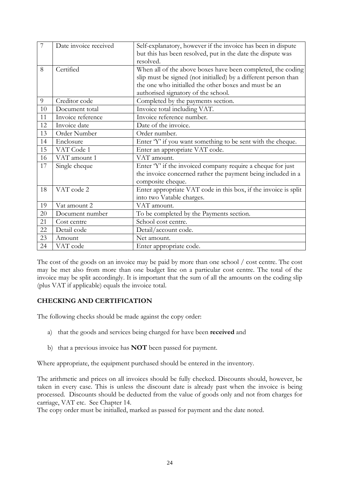| $\overline{7}$ | Date invoice received | Self-explanatory, however if the invoice has been in dispute    |
|----------------|-----------------------|-----------------------------------------------------------------|
|                |                       | but this has been resolved, put in the date the dispute was     |
|                |                       | resolved.                                                       |
| 8              | Certified             | When all of the above boxes have been completed, the coding     |
|                |                       | slip must be signed (not initialled) by a different person than |
|                |                       | the one who initialled the other boxes and must be an           |
|                |                       | authorised signatory of the school.                             |
| 9              | Creditor code         | Completed by the payments section.                              |
| 10             | Document total        | Invoice total including VAT.                                    |
| 11             | Invoice reference     | Invoice reference number.                                       |
| 12             | Invoice date          | Date of the invoice.                                            |
| 13             | Order Number          | Order number.                                                   |
| 14             | Enclosure             | Enter 'Y' if you want something to be sent with the cheque.     |
| 15             | VAT Code 1            | Enter an appropriate VAT code.                                  |
| 16             | VAT amount 1          | VAT amount.                                                     |
| 17             | Single cheque         | Enter 'Y' if the invoiced company require a cheque for just     |
|                |                       | the invoice concerned rather the payment being included in a    |
|                |                       | composite cheque.                                               |
| 18             | VAT code 2            | Enter appropriate VAT code in this box, if the invoice is split |
|                |                       | into two Vatable charges.                                       |
| 19             | Vat amount 2          | VAT amount.                                                     |
| 20             | Document number       | To be completed by the Payments section.                        |
| 21             | Cost centre           | School cost centre.                                             |
| 22             | Detail code           | Detail/account code.                                            |
| 23             | Amount                | Net amount.                                                     |
| 24             | VAT code              | Enter appropriate code.                                         |

The cost of the goods on an invoice may be paid by more than one school / cost centre. The cost may be met also from more than one budget line on a particular cost centre. The total of the invoice may be split accordingly. It is important that the sum of all the amounts on the coding slip (plus VAT if applicable) equals the invoice total.

### **CHECKING AND CERTIFICATION**

The following checks should be made against the copy order:

- a) that the goods and services being charged for have been **received** and
- b) that a previous invoice has **NOT** been passed for payment.

Where appropriate, the equipment purchased should be entered in the inventory.

The arithmetic and prices on all invoices should be fully checked. Discounts should, however, be taken in every case. This is unless the discount date is already past when the invoice is being processed. Discounts should be deducted from the value of goods only and not from charges for carriage, VAT etc. See Chapter 14.

The copy order must be initialled, marked as passed for payment and the date noted.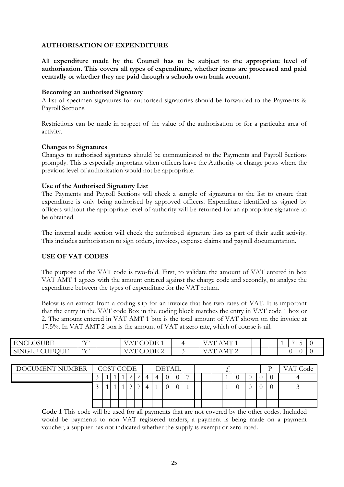### **AUTHORISATION OF EXPENDITURE**

**All expenditure made by the Council has to be subject to the appropriate level of authorisation. This covers all types of expenditure, whether items are processed and paid centrally or whether they are paid through a schools own bank account.**

#### **Becoming an authorised Signatory**

A list of specimen signatures for authorised signatories should be forwarded to the Payments & Payroll Sections.

Restrictions can be made in respect of the value of the authorisation or for a particular area of activity.

#### **Changes to Signatures**

Changes to authorised signatures should be communicated to the Payments and Payroll Sections promptly. This is especially important when officers leave the Authority or change posts where the previous level of authorisation would not be appropriate.

#### **Use of the Authorised Signatory List**

The Payments and Payroll Sections will check a sample of signatures to the list to ensure that expenditure is only being authorised by approved officers. Expenditure identified as signed by officers without the appropriate level of authority will be returned for an appropriate signature to be obtained.

The internal audit section will check the authorised signature lists as part of their audit activity. This includes authorisation to sign orders, invoices, expense claims and payroll documentation.

### **USE OF VAT CODES**

The purpose of the VAT code is two-fold. First, to validate the amount of VAT entered in box VAT AMT 1 agrees with the amount entered against the charge code and secondly, to analyse the expenditure between the types of expenditure for the VAT return.

Below is an extract from a coding slip for an invoice that has two rates of VAT. It is important that the entry in the VAT code Box in the coding block matches the entry in VAT code 1 box or 2. The amount entered in VAT AMT 1 box is the total amount of VAT shown on the invoice at 17.5%. In VAT AMT 2 box is the amount of VAT at zero rate, which of course is nil.

| <b>ENCLOSU</b><br><b>DSURE</b> | $\lambda$ $\lambda$ $\lambda$ | . )DF<br>$\overline{1}$                 | ਾ ਸ<br>A NI<br>$\overline{ }$<br>the contract of the contract of the |  |  | $\rightarrow$ | - |  |
|--------------------------------|-------------------------------|-----------------------------------------|----------------------------------------------------------------------|--|--|---------------|---|--|
| OUE<br>SINGLE<br><b>VITPA</b>  | $\mathbf{v}$                  | - ) I- ) H-<br>$\overline{\phantom{a}}$ | $\overline{1}$<br>A NI<br>. .                                        |  |  |               |   |  |

| DOCUMENT NUMBER | COST CODE |  |  | <b>DETAIL</b>            |  |  |  |  |  |  |  |  |  |  |  | VAT Code |  |  |
|-----------------|-----------|--|--|--------------------------|--|--|--|--|--|--|--|--|--|--|--|----------|--|--|
|                 |           |  |  | $\overline{\phantom{0}}$ |  |  |  |  |  |  |  |  |  |  |  |          |  |  |
|                 |           |  |  |                          |  |  |  |  |  |  |  |  |  |  |  |          |  |  |
|                 |           |  |  |                          |  |  |  |  |  |  |  |  |  |  |  |          |  |  |
|                 |           |  |  |                          |  |  |  |  |  |  |  |  |  |  |  |          |  |  |

**Code 1** This code will be used for all payments that are not covered by the other codes. Included would be payments to non VAT registered traders, a payment is being made on a payment voucher, a supplier has not indicated whether the supply is exempt or zero rated.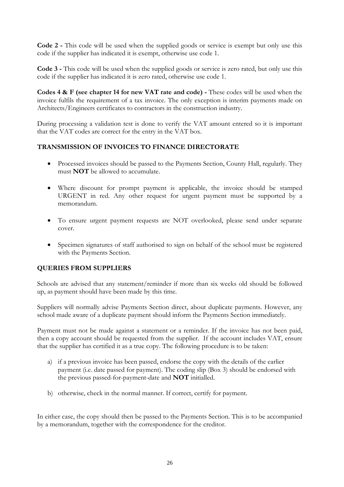**Code 2 -** This code will be used when the supplied goods or service is exempt but only use this code if the supplier has indicated it is exempt, otherwise use code 1.

**Code 3 -** This code will be used when the supplied goods or service is zero rated, but only use this code if the supplier has indicated it is zero rated, otherwise use code 1.

**Codes 4 & F (see chapter 14 for new VAT rate and code) -** These codes will be used when the invoice fulfils the requirement of a tax invoice. The only exception is interim payments made on Architects/Engineers certificates to contractors in the construction industry.

During processing a validation test is done to verify the VAT amount entered so it is important that the VAT codes are correct for the entry in the VAT box.

### **TRANSMISSION OF INVOICES TO FINANCE DIRECTORATE**

- Processed invoices should be passed to the Payments Section, County Hall, regularly. They must **NOT** be allowed to accumulate.
- Where discount for prompt payment is applicable, the invoice should be stamped URGENT in red. Any other request for urgent payment must be supported by a memorandum.
- To ensure urgent payment requests are NOT overlooked, please send under separate cover.
- Specimen signatures of staff authorised to sign on behalf of the school must be registered with the Payments Section.

### **QUERIES FROM SUPPLIERS**

Schools are advised that any statement/reminder if more than six weeks old should be followed up, as payment should have been made by this time.

Suppliers will normally advise Payments Section direct, about duplicate payments. However, any school made aware of a duplicate payment should inform the Payments Section immediately.

Payment must not be made against a statement or a reminder. If the invoice has not been paid, then a copy account should be requested from the supplier. If the account includes VAT, ensure that the supplier has certified it as a true copy. The following procedure is to be taken:

- a) if a previous invoice has been passed, endorse the copy with the details of the earlier payment (i.e. date passed for payment). The coding slip (Box 3) should be endorsed with the previous passed-for-payment-date and **NOT** initialled.
- b) otherwise, check in the normal manner. If correct, certify for payment.

In either case, the copy should then be passed to the Payments Section. This is to be accompanied by a memorandum, together with the correspondence for the creditor.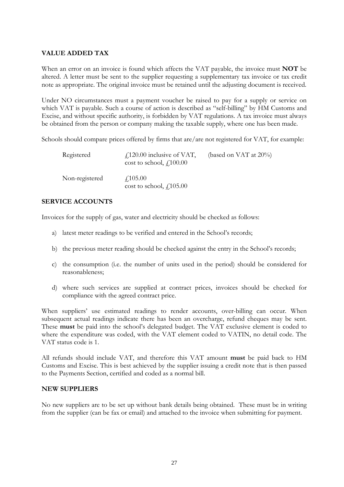### **VALUE ADDED TAX**

When an error on an invoice is found which affects the VAT payable, the invoice must **NOT** be altered. A letter must be sent to the supplier requesting a supplementary tax invoice or tax credit note as appropriate. The original invoice must be retained until the adjusting document is received.

Under NO circumstances must a payment voucher be raised to pay for a supply or service on which VAT is payable. Such a course of action is described as "self-billing" by HM Customs and Excise, and without specific authority, is forbidden by VAT regulations. A tax invoice must always be obtained from the person or company making the taxable supply, where one has been made.

Schools should compare prices offered by firms that are/are not registered for VAT, for example:

| Registered     | $\angle$ 120.00 inclusive of VAT,<br>cost to school, $f_{.}100.00$ | (based on VAT at $20\%$ ) |
|----------------|--------------------------------------------------------------------|---------------------------|
| Non-registered | $\angle 105.00$<br>cost to school, $f$ , 105.00                    |                           |

#### **SERVICE ACCOUNTS**

Invoices for the supply of gas, water and electricity should be checked as follows:

- a) latest meter readings to be verified and entered in the School's records;
- b) the previous meter reading should be checked against the entry in the School's records;
- c) the consumption (i.e. the number of units used in the period) should be considered for reasonableness;
- d) where such services are supplied at contract prices, invoices should be checked for compliance with the agreed contract price.

When suppliers' use estimated readings to render accounts, over-billing can occur. When subsequent actual readings indicate there has been an overcharge, refund cheques may be sent. These **must** be paid into the school's delegated budget. The VAT exclusive element is coded to where the expenditure was coded, with the VAT element coded to VATIN, no detail code. The VAT status code is 1.

All refunds should include VAT, and therefore this VAT amount **must** be paid back to HM Customs and Excise. This is best achieved by the supplier issuing a credit note that is then passed to the Payments Section, certified and coded as a normal bill.

### **NEW SUPPLIERS**

No new suppliers are to be set up without bank details being obtained. These must be in writing from the supplier (can be fax or email) and attached to the invoice when submitting for payment.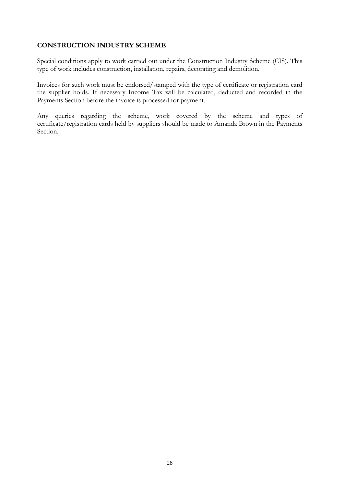### **CONSTRUCTION INDUSTRY SCHEME**

Special conditions apply to work carried out under the Construction Industry Scheme (CIS). This type of work includes construction, installation, repairs, decorating and demolition.

Invoices for such work must be endorsed/stamped with the type of certificate or registration card the supplier holds. If necessary Income Tax will be calculated, deducted and recorded in the Payments Section before the invoice is processed for payment.

Any queries regarding the scheme, work covered by the scheme and types of certificate/registration cards held by suppliers should be made to Amanda Brown in the Payments Section.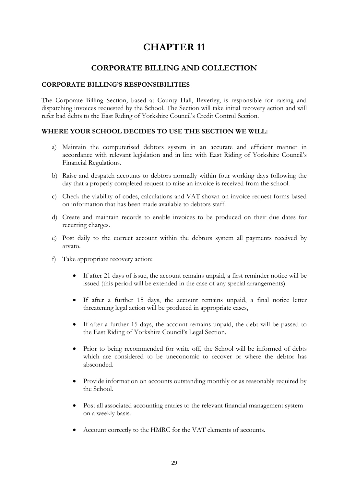### **CORPORATE BILLING AND COLLECTION**

### **CORPORATE BILLING'S RESPONSIBILITIES**

The Corporate Billing Section, based at County Hall, Beverley, is responsible for raising and dispatching invoices requested by the School. The Section will take initial recovery action and will refer bad debts to the East Riding of Yorkshire Council's Credit Control Section.

### **WHERE YOUR SCHOOL DECIDES TO USE THE SECTION WE WILL:**

- a) Maintain the computerised debtors system in an accurate and efficient manner in accordance with relevant legislation and in line with East Riding of Yorkshire Council's Financial Regulations.
- b) Raise and despatch accounts to debtors normally within four working days following the day that a properly completed request to raise an invoice is received from the school.
- c) Check the viability of codes, calculations and VAT shown on invoice request forms based on information that has been made available to debtors staff.
- d) Create and maintain records to enable invoices to be produced on their due dates for recurring charges.
- e) Post daily to the correct account within the debtors system all payments received by arvato.
- f) Take appropriate recovery action:
	- If after 21 days of issue, the account remains unpaid, a first reminder notice will be issued (this period will be extended in the case of any special arrangements).
	- If after a further 15 days, the account remains unpaid, a final notice letter threatening legal action will be produced in appropriate cases,
	- If after a further 15 days, the account remains unpaid, the debt will be passed to the East Riding of Yorkshire Council's Legal Section.
	- Prior to being recommended for write off, the School will be informed of debts which are considered to be uneconomic to recover or where the debtor has absconded.
	- Provide information on accounts outstanding monthly or as reasonably required by the School.
	- Post all associated accounting entries to the relevant financial management system on a weekly basis.
	- Account correctly to the HMRC for the VAT elements of accounts.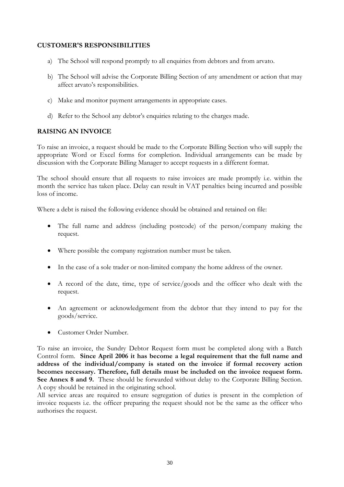### **CUSTOMER'S RESPONSIBILITIES**

- a) The School will respond promptly to all enquiries from debtors and from arvato.
- b) The School will advise the Corporate Billing Section of any amendment or action that may affect arvato's responsibilities.
- c) Make and monitor payment arrangements in appropriate cases.
- d) Refer to the School any debtor's enquiries relating to the charges made.

### **RAISING AN INVOICE**

To raise an invoice, a request should be made to the Corporate Billing Section who will supply the appropriate Word or Excel forms for completion. Individual arrangements can be made by discussion with the Corporate Billing Manager to accept requests in a different format.

The school should ensure that all requests to raise invoices are made promptly i.e. within the month the service has taken place. Delay can result in VAT penalties being incurred and possible loss of income.

Where a debt is raised the following evidence should be obtained and retained on file:

- The full name and address (including postcode) of the person/company making the request.
- Where possible the company registration number must be taken.
- In the case of a sole trader or non-limited company the home address of the owner.
- A record of the date, time, type of service/goods and the officer who dealt with the request.
- An agreement or acknowledgement from the debtor that they intend to pay for the goods/service.
- Customer Order Number.

To raise an invoice, the Sundry Debtor Request form must be completed along with a Batch Control form. **Since April 2006 it has become a legal requirement that the full name and address of the individual/company is stated on the invoice if formal recovery action becomes necessary. Therefore, full details must be included on the invoice request form. See Annex 8 and 9.** These should be forwarded without delay to the Corporate Billing Section. A copy should be retained in the originating school.

All service areas are required to ensure segregation of duties is present in the completion of invoice requests i.e. the officer preparing the request should not be the same as the officer who authorises the request.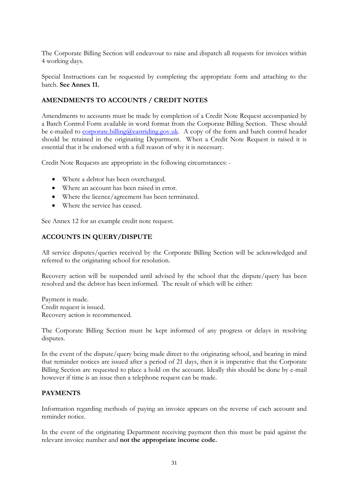The Corporate Billing Section will endeavour to raise and dispatch all requests for invoices within 4 working days.

Special Instructions can be requested by completing the appropriate form and attaching to the batch. **See Annex 11.**

### **AMENDMENTS TO ACCOUNTS / CREDIT NOTES**

Amendments to accounts must be made by completion of a Credit Note Request accompanied by a Batch Control Form available in word format from the Corporate Billing Section. These should be e-mailed to [corporate.billing@eastriding.gov.uk.](mailto:corporate.billing@eastriding.gov.uk) A copy of the form and batch control header should be retained in the originating Department. When a Credit Note Request is raised it is essential that it be endorsed with a full reason of why it is necessary.

Credit Note Requests are appropriate in the following circumstances: -

- Where a debtor has been overcharged.
- Where an account has been raised in error.
- Where the licence/agreement has been terminated.
- Where the service has ceased.

See Annex 12 for an example credit note request.

### **ACCOUNTS IN QUERY/DISPUTE**

All service disputes/queries received by the Corporate Billing Section will be acknowledged and referred to the originating school for resolution.

Recovery action will be suspended until advised by the school that the dispute/query has been resolved and the debtor has been informed. The result of which will be either:

Payment is made. Credit request is issued. Recovery action is recommenced.

The Corporate Billing Section must be kept informed of any progress or delays in resolving disputes.

In the event of the dispute/query being made direct to the originating school, and bearing in mind that reminder notices are issued after a period of 21 days, then it is imperative that the Corporate Billing Section are requested to place a hold on the account. Ideally this should be done by e-mail however if time is an issue then a telephone request can be made.

### **PAYMENTS**

Information regarding methods of paying an invoice appears on the reverse of each account and reminder notice.

In the event of the originating Department receiving payment then this must be paid against the relevant invoice number and **not the appropriate income code.**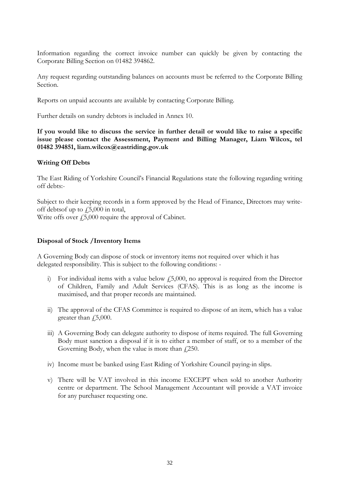Information regarding the correct invoice number can quickly be given by contacting the Corporate Billing Section on 01482 394862.

Any request regarding outstanding balances on accounts must be referred to the Corporate Billing Section.

Reports on unpaid accounts are available by contacting Corporate Billing.

Further details on sundry debtors is included in Annex 10.

**If you would like to discuss the service in further detail or would like to raise a specific issue please contact the Assessment, Payment and Billing Manager, Liam Wilcox, tel 01482 394851, liam.wilcox@eastriding.gov.uk**

#### **Writing Off Debts**

The East Riding of Yorkshire Council's Financial Regulations state the following regarding writing off debts:-

Subject to their keeping records in a form approved by the Head of Finance, Directors may writeoff debtsof up to  $\sqrt{5,000}$  in total,

Write offs over  $f_{25,000}$  require the approval of Cabinet.

#### **Disposal of Stock /Inventory Items**

A Governing Body can dispose of stock or inventory items not required over which it has delegated responsibility. This is subject to the following conditions: -

- i) For individual items with a value below  $f_1$ 5,000, no approval is required from the Director of Children, Family and Adult Services (CFAS). This is as long as the income is maximised, and that proper records are maintained.
- ii) The approval of the CFAS Committee is required to dispose of an item, which has a value greater than  $\sqrt{5,000}$ .
- iii) A Governing Body can delegate authority to dispose of items required. The full Governing Body must sanction a disposal if it is to either a member of staff, or to a member of the Governing Body, when the value is more than  $\ell$ 250.
- iv) Income must be banked using East Riding of Yorkshire Council paying-in slips.
- v) There will be VAT involved in this income EXCEPT when sold to another Authority centre or department. The School Management Accountant will provide a VAT invoice for any purchaser requesting one.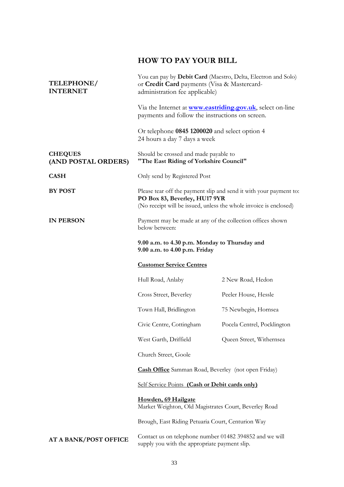## **HOW TO PAY YOUR BILL**

| TELEPHONE/<br><b>INTERNET</b>         | You can pay by Debit Card (Maestro, Delta, Electron and Solo)<br>or Credit Card payments (Visa & Mastercard-<br>administration fee applicable)                           |                             |  |  |  |
|---------------------------------------|--------------------------------------------------------------------------------------------------------------------------------------------------------------------------|-----------------------------|--|--|--|
|                                       | Via the Internet at <b>www.eastriding.gov.uk</b> , select on-line<br>payments and follow the instructions on screen.                                                     |                             |  |  |  |
|                                       | Or telephone 0845 1200020 and select option 4<br>24 hours a day 7 days a week                                                                                            |                             |  |  |  |
| <b>CHEQUES</b><br>(AND POSTAL ORDERS) | Should be crossed and made payable to<br>"The East Riding of Yorkshire Council"                                                                                          |                             |  |  |  |
| <b>CASH</b>                           | Only send by Registered Post                                                                                                                                             |                             |  |  |  |
| <b>BY POST</b>                        | Please tear off the payment slip and send it with your payment to:<br>PO Box 83, Beverley, HU17 9YR<br>(No receipt will be issued, unless the whole invoice is enclosed) |                             |  |  |  |
| <b>IN PERSON</b>                      | Payment may be made at any of the collection offices shown<br>below between:                                                                                             |                             |  |  |  |
|                                       | 9.00 a.m. to 4.30 p.m. Monday to Thursday and<br>9.00 a.m. to 4.00 p.m. Friday                                                                                           |                             |  |  |  |
|                                       | <b>Customer Service Centres</b>                                                                                                                                          |                             |  |  |  |
|                                       |                                                                                                                                                                          |                             |  |  |  |
|                                       | Hull Road, Anlaby                                                                                                                                                        | 2 New Road, Hedon           |  |  |  |
|                                       | Cross Street, Beverley                                                                                                                                                   | Peeler House, Hessle        |  |  |  |
|                                       | Town Hall, Bridlington                                                                                                                                                   | 75 Newbegin, Hornsea        |  |  |  |
|                                       | Civic Centre, Cottingham                                                                                                                                                 | Pocela Centrel, Pocklington |  |  |  |
|                                       | West Garth, Driffield                                                                                                                                                    | Queen Street, Withernsea    |  |  |  |
|                                       | Church Street, Goole                                                                                                                                                     |                             |  |  |  |
|                                       | <b>Cash Office</b> Samman Road, Beverley (not open Friday)                                                                                                               |                             |  |  |  |
|                                       | Self Service Points (Cash or Debit cards only)                                                                                                                           |                             |  |  |  |
|                                       | Howden, 69 Hailgate<br>Market Weighton, Old Magistrates Court, Beverley Road                                                                                             |                             |  |  |  |
|                                       | Brough, East Riding Petuaria Court, Centurion Way                                                                                                                        |                             |  |  |  |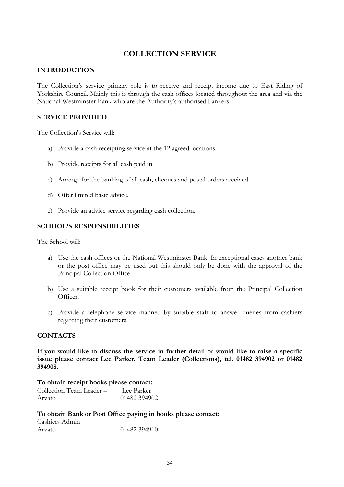### **COLLECTION SERVICE**

### **INTRODUCTION**

The Collection's service primary role is to receive and receipt income due to East Riding of Yorkshire Council. Mainly this is through the cash offices located throughout the area and via the National Westminster Bank who are the Authority's authorised bankers.

### **SERVICE PROVIDED**

The Collection's Service will:

- a) Provide a cash receipting service at the 12 agreed locations.
- b) Provide receipts for all cash paid in.
- c) Arrange for the banking of all cash, cheques and postal orders received.
- d) Offer limited basic advice.
- e) Provide an advice service regarding cash collection.

### **SCHOOL'S RESPONSIBILITIES**

The School will:

- a) Use the cash offices or the National Westminster Bank. In exceptional cases another bank or the post office may be used but this should only be done with the approval of the Principal Collection Officer.
- b) Use a suitable receipt book for their customers available from the Principal Collection Officer.
- c) Provide a telephone service manned by suitable staff to answer queries from cashiers regarding their customers.

### **CONTACTS**

**If you would like to discuss the service in further detail or would like to raise a specific issue please contact Lee Parker, Team Leader (Collections), tel. 01482 394902 or 01482 394908.**

**To obtain receipt books please contact:** Collection Team Leader – Lee Parker Arvato 01482 394902

#### **To obtain Bank or Post Office paying in books please contact:**

| Cashiers Admin |              |
|----------------|--------------|
| Arvato         | 01482 394910 |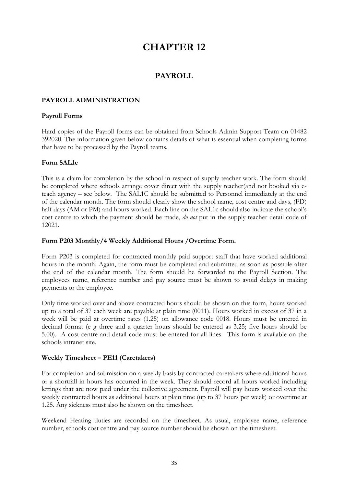### **PAYROLL**

### **PAYROLL ADMINISTRATION**

#### **Payroll Forms**

Hard copies of the Payroll forms can be obtained from Schools Admin Support Team on 01482 392020. The information given below contains details of what is essential when completing forms that have to be processed by the Payroll teams.

### **Form SAL1c**

This is a claim for completion by the school in respect of supply teacher work. The form should be completed where schools arrange cover direct with the supply teacher(and not booked via eteach agency – see below. The SAL1C should be submitted to Personnel immediately at the end of the calendar month. The form should clearly show the school name, cost centre and days, (FD) half days (AM or PM) and hours worked. Each line on the SAL1c should also indicate the school's cost centre to which the payment should be made, *do not* put in the supply teacher detail code of 12021.

#### **Form P203 Monthly/4 Weekly Additional Hours /Overtime Form.**

Form P203 is completed for contracted monthly paid support staff that have worked additional hours in the month. Again, the form must be completed and submitted as soon as possible after the end of the calendar month. The form should be forwarded to the Payroll Section. The employees name, reference number and pay source must be shown to avoid delays in making payments to the employee.

Only time worked over and above contracted hours should be shown on this form, hours worked up to a total of 37 each week are payable at plain time (0011). Hours worked in excess of 37 in a week will be paid at overtime rates (1.25) on allowance code 0018. Hours must be entered in decimal format (e g three and a quarter hours should be entered as 3.25; five hours should be 5.00). A cost centre and detail code must be entered for all lines. This form is available on the schools intranet site.

### **Weekly Timesheet – PE11 (Caretakers)**

For completion and submission on a weekly basis by contracted caretakers where additional hours or a shortfall in hours has occurred in the week. They should record all hours worked including lettings that are now paid under the collective agreement. Payroll will pay hours worked over the weekly contracted hours as additional hours at plain time (up to 37 hours per week) or overtime at 1.25. Any sickness must also be shown on the timesheet.

Weekend Heating duties are recorded on the timesheet. As usual, employee name, reference number, schools cost centre and pay source number should be shown on the timesheet.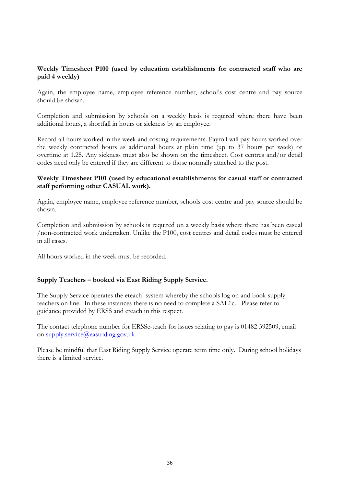### **Weekly Timesheet P100 (used by education establishments for contracted staff who are paid 4 weekly)**

Again, the employee name, employee reference number, school's cost centre and pay source should be shown.

Completion and submission by schools on a weekly basis is required where there have been additional hours, a shortfall in hours or sickness by an employee.

Record all hours worked in the week and costing requirements. Payroll will pay hours worked over the weekly contracted hours as additional hours at plain time (up to 37 hours per week) or overtime at 1.25. Any sickness must also be shown on the timesheet. Cost centres and/or detail codes need only be entered if they are different to those normally attached to the post.

### **Weekly Timesheet P101 (used by educational establishments for casual staff or contracted staff performing other CASUAL work).**

Again, employee name, employee reference number, schools cost centre and pay source should be shown.

Completion and submission by schools is required on a weekly basis where there has been casual /non-contracted work undertaken. Unlike the P100, cost centres and detail codes must be entered in all cases.

All hours worked in the week must be recorded.

### **Supply Teachers – booked via East Riding Supply Service.**

The Supply Service operates the eteach system whereby the schools log on and book supply teachers on line. In these instances there is no need to complete a SAL1c. Please refer to guidance provided by ERSS and eteach in this respect.

The contact telephone number for ERSSe-teach for issues relating to pay is 01482 392509, email on [supply.service@eastriding.gov.uk](mailto:supply.service@eastriding.gov.uk)

Please be mindful that East Riding Supply Service operate term time only. During school holidays there is a limited service.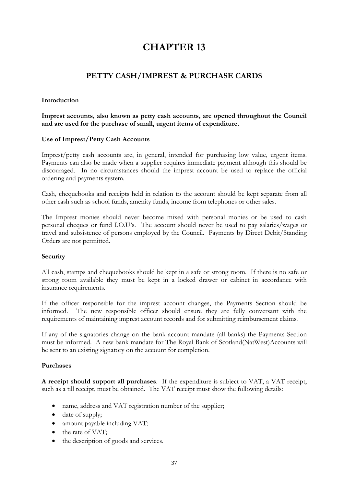# **PETTY CASH/IMPREST & PURCHASE CARDS**

### **Introduction**

**Imprest accounts, also known as petty cash accounts, are opened throughout the Council and are used for the purchase of small, urgent items of expenditure.**

#### **Use of Imprest/Petty Cash Accounts**

Imprest/petty cash accounts are, in general, intended for purchasing low value, urgent items. Payments can also be made when a supplier requires immediate payment although this should be discouraged. In no circumstances should the imprest account be used to replace the official ordering and payments system.

Cash, chequebooks and receipts held in relation to the account should be kept separate from all other cash such as school funds, amenity funds, income from telephones or other sales.

The Imprest monies should never become mixed with personal monies or be used to cash personal cheques or fund I.O.U's. The account should never be used to pay salaries/wages or travel and subsistence of persons employed by the Council. Payments by Direct Debit/Standing Orders are not permitted.

#### **Security**

All cash, stamps and chequebooks should be kept in a safe or strong room. If there is no safe or strong room available they must be kept in a locked drawer or cabinet in accordance with insurance requirements.

If the officer responsible for the imprest account changes, the Payments Section should be informed. The new responsible officer should ensure they are fully conversant with the requirements of maintaining imprest account records and for submitting reimbursement claims.

If any of the signatories change on the bank account mandate (all banks) the Payments Section must be informed. A new bank mandate for The Royal Bank of Scotland(NatWest)Accounts will be sent to an existing signatory on the account for completion.

#### **Purchases**

**A receipt should support all purchases**. If the expenditure is subject to VAT, a VAT receipt, such as a till receipt, must be obtained. The VAT receipt must show the following details:

- name, address and VAT registration number of the supplier;
- date of supply;
- amount payable including VAT;
- the rate of VAT;
- the description of goods and services.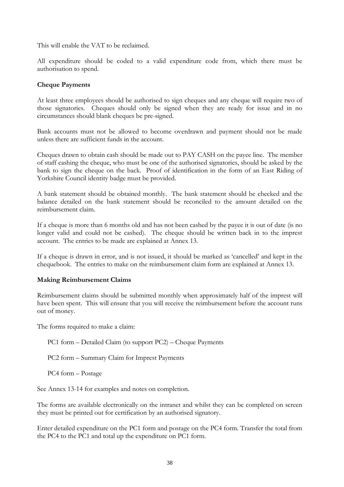This will enable the VAT to be reclaimed.

All expenditure should be coded to a valid expenditure code from, which there must be authorisation to spend.

### **Cheque Payments**

At least three employees should be authorised to sign cheques and any cheque will require two of those signatories. Cheques should only be signed when they are ready for issue and in no circumstances should blank cheques be pre-signed.

Bank accounts must not be allowed to become overdrawn and payment should not be made unless there are sufficient funds in the account.

Cheques drawn to obtain cash should be made out to PAY CASH on the payee line. The member of staff cashing the cheque, who must be one of the authorised signatories, should be asked by the bank to sign the cheque on the back. Proof of identification in the form of an East Riding of Yorkshire Council identity badge must be provided.

A bank statement should be obtained monthly. The bank statement should be checked and the balance detailed on the bank statement should be reconciled to the amount detailed on the reimbursement claim.

If a cheque is more than 6 months old and has not been cashed by the payee it is out of date (is no longer valid and could not be cashed). The cheque should be written back in to the imprest account. The entries to be made are explained at Annex 13.

If a cheque is drawn in error, and is not issued, it should be marked as 'cancelled' and kept in the chequebook. The entries to make on the reimbursement claim form are explained at Annex 13.

### **Making Reimbursement Claims**

Reimbursement claims should be submitted monthly when approximately half of the imprest will have been spent. This will ensure that you will receive the reimbursement before the account runs out of money.

The forms required to make a claim:

PC1 form – Detailed Claim (to support PC2) – Cheque Payments

PC2 form – Summary Claim for Imprest Payments

PC4 form – Postage

See Annex 13-14 for examples and notes on completion.

The forms are available electronically on the intranet and whilst they can be completed on screen they must be printed out for certification by an authorised signatory.

Enter detailed expenditure on the PC1 form and postage on the PC4 form. Transfer the total from the PC4 to the PC1 and total up the expenditure on PC1 form.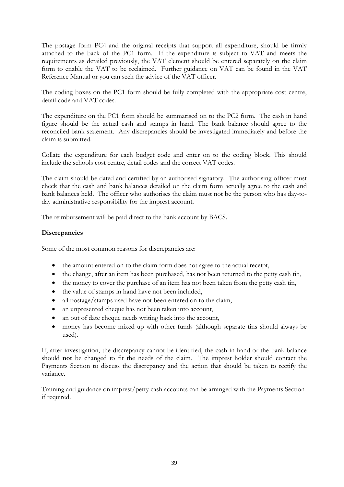The postage form PC4 and the original receipts that support all expenditure, should be firmly attached to the back of the PC1 form. If the expenditure is subject to VAT and meets the requirements as detailed previously, the VAT element should be entered separately on the claim form to enable the VAT to be reclaimed. Further guidance on VAT can be found in the VAT Reference Manual or you can seek the advice of the VAT officer.

The coding boxes on the PC1 form should be fully completed with the appropriate cost centre, detail code and VAT codes.

The expenditure on the PC1 form should be summarised on to the PC2 form. The cash in hand figure should be the actual cash and stamps in hand. The bank balance should agree to the reconciled bank statement. Any discrepancies should be investigated immediately and before the claim is submitted.

Collate the expenditure for each budget code and enter on to the coding block. This should include the schools cost centre, detail codes and the correct VAT codes.

The claim should be dated and certified by an authorised signatory. The authorising officer must check that the cash and bank balances detailed on the claim form actually agree to the cash and bank balances held. The officer who authorises the claim must not be the person who has day-today administrative responsibility for the imprest account.

The reimbursement will be paid direct to the bank account by BACS.

### **Discrepancies**

Some of the most common reasons for discrepancies are:

- the amount entered on to the claim form does not agree to the actual receipt,
- the change, after an item has been purchased, has not been returned to the petty cash tin,
- the money to cover the purchase of an item has not been taken from the petty cash tin,
- the value of stamps in hand have not been included,
- all postage/stamps used have not been entered on to the claim,
- an unpresented cheque has not been taken into account,
- an out of date cheque needs writing back into the account,
- money has become mixed up with other funds (although separate tins should always be used).

If, after investigation, the discrepancy cannot be identified, the cash in hand or the bank balance should **not** be changed to fit the needs of the claim. The imprest holder should contact the Payments Section to discuss the discrepancy and the action that should be taken to rectify the variance.

Training and guidance on imprest/petty cash accounts can be arranged with the Payments Section if required.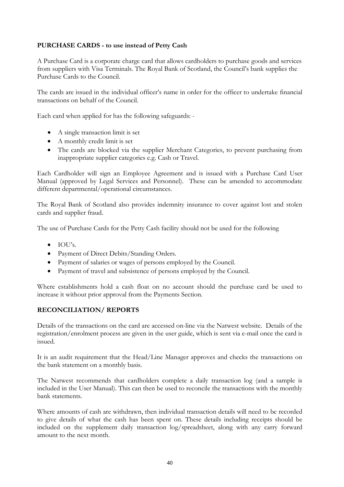## **PURCHASE CARDS - to use instead of Petty Cash**

A Purchase Card is a corporate charge card that allows cardholders to purchase goods and services from suppliers with Visa Terminals. The Royal Bank of Scotland, the Council's bank supplies the Purchase Cards to the Council.

The cards are issued in the individual officer's name in order for the officer to undertake financial transactions on behalf of the Council.

Each card when applied for has the following safeguards: -

- A single transaction limit is set
- A monthly credit limit is set
- The cards are blocked via the supplier Merchant Categories, to prevent purchasing from inappropriate supplier categories e.g. Cash or Travel.

Each Cardholder will sign an Employee Agreement and is issued with a Purchase Card User Manual (approved by Legal Services and Personnel). These can be amended to accommodate different departmental/operational circumstances.

The Royal Bank of Scotland also provides indemnity insurance to cover against lost and stolen cards and supplier fraud.

The use of Purchase Cards for the Petty Cash facility should not be used for the following

- $\bullet$  IOU's.
- Payment of Direct Debits/Standing Orders.
- Payment of salaries or wages of persons employed by the Council.
- Payment of travel and subsistence of persons employed by the Council.

Where establishments hold a cash float on no account should the purchase card be used to increase it without prior approval from the Payments Section.

## **RECONCILIATION/ REPORTS**

Details of the transactions on the card are accessed on-line via the Natwest website. Details of the registration/enrolment process are given in the user guide, which is sent via e-mail once the card is issued.

It is an audit requirement that the Head/Line Manager approves and checks the transactions on the bank statement on a monthly basis.

The Natwest recommends that cardholders complete a daily transaction log (and a sample is included in the User Manual). This can then be used to reconcile the transactions with the monthly bank statements.

Where amounts of cash are withdrawn, then individual transaction details will need to be recorded to give details of what the cash has been spent on. These details including receipts should be included on the supplement daily transaction log/spreadsheet, along with any carry forward amount to the next month.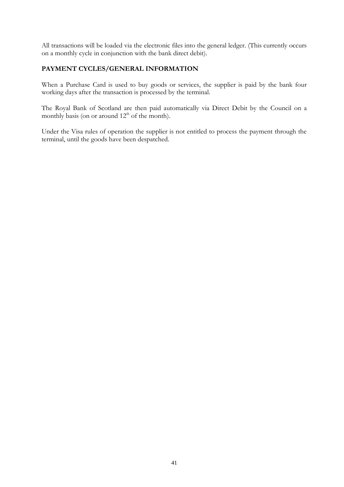All transactions will be loaded via the electronic files into the general ledger. (This currently occurs on a monthly cycle in conjunction with the bank direct debit).

### **PAYMENT CYCLES/GENERAL INFORMATION**

When a Purchase Card is used to buy goods or services, the supplier is paid by the bank four working days after the transaction is processed by the terminal.

The Royal Bank of Scotland are then paid automatically via Direct Debit by the Council on a monthly basis (on or around  $12<sup>th</sup>$  of the month).

Under the Visa rules of operation the supplier is not entitled to process the payment through the terminal, until the goods have been despatched.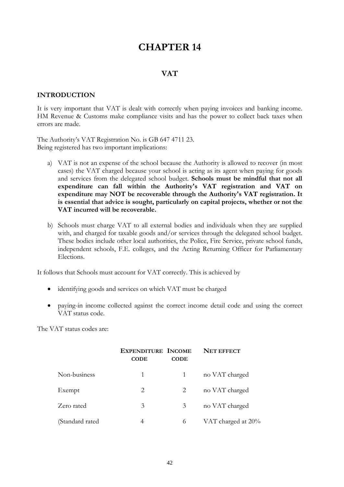### **VAT**

#### **INTRODUCTION**

It is very important that VAT is dealt with correctly when paying invoices and banking income. HM Revenue & Customs make compliance visits and has the power to collect back taxes when errors are made.

The Authority's VAT Registration No. is GB 647 4711 23. Being registered has two important implications:

- a) VAT is not an expense of the school because the Authority is allowed to recover (in most cases) the VAT charged because your school is acting as its agent when paying for goods and services from the delegated school budget. **Schools must be mindful that not all expenditure can fall within the Authority's VAT registration and VAT on expenditure may NOT be recoverable through the Authority's VAT registration. It is essential that advice is sought, particularly on capital projects, whether or not the VAT incurred will be recoverable.**
- b) Schools must charge VAT to all external bodies and individuals when they are supplied with, and charged for taxable goods and/or services through the delegated school budget. These bodies include other local authorities, the Police, Fire Service, private school funds, independent schools, F.E. colleges, and the Acting Returning Officer for Parliamentary Elections.

It follows that Schools must account for VAT correctly. This is achieved by

- identifying goods and services on which VAT must be charged
- paying-in income collected against the correct income detail code and using the correct VAT status code.

The VAT status codes are:

|                  | <b>EXPENDITURE INCOME</b><br><b>CODE</b> | <b>CODE</b> | <b>NET EFFECT</b>  |
|------------------|------------------------------------------|-------------|--------------------|
| Non-business     | 1                                        | 1           | no VAT charged     |
| Exempt           | 2                                        | 2           | no VAT charged     |
| Zero rated       | 3                                        | 3           | no VAT charged     |
| (Standard rated) | 4                                        | 6           | VAT charged at 20% |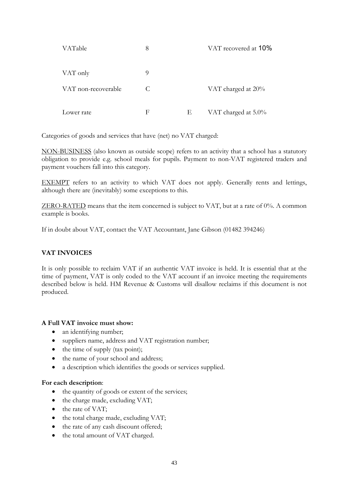| VATable             | 8 |   | VAT recovered at 10% |
|---------------------|---|---|----------------------|
| VAT only            | 9 |   |                      |
| VAT non-recoverable | C |   | VAT charged at 20%   |
| Lower rate          | F | Е | VAT charged at 5.0%  |

Categories of goods and services that have (net) no VAT charged:

NON-BUSINESS (also known as outside scope) refers to an activity that a school has a statutory obligation to provide e.g. school meals for pupils. Payment to non-VAT registered traders and payment vouchers fall into this category.

EXEMPT refers to an activity to which VAT does not apply. Generally rents and lettings, although there are (inevitably) some exceptions to this.

ZERO-RATED means that the item concerned is subject to VAT, but at a rate of 0%. A common example is books.

If in doubt about VAT, contact the VAT Accountant, Jane Gibson (01482 394246)

## **VAT INVOICES**

It is only possible to reclaim VAT if an authentic VAT invoice is held. It is essential that at the time of payment, VAT is only coded to the VAT account if an invoice meeting the requirements described below is held. HM Revenue & Customs will disallow reclaims if this document is not produced.

### **A Full VAT invoice must show:**

- an identifying number;
- suppliers name, address and VAT registration number;
- the time of supply (tax point);
- the name of your school and address;
- a description which identifies the goods or services supplied.

### **For each description**:

- the quantity of goods or extent of the services;
- the charge made, excluding VAT;
- the rate of VAT;
- the total charge made, excluding VAT;
- the rate of any cash discount offered;
- the total amount of VAT charged.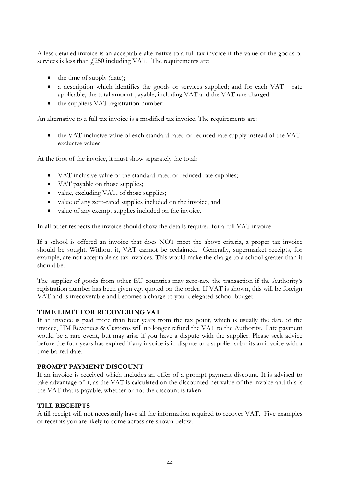A less detailed invoice is an acceptable alternative to a full tax invoice if the value of the goods or services is less than  $\frac{1250}{250}$  including VAT. The requirements are:

- the time of supply (date);
- a description which identifies the goods or services supplied; and for each VAT rate applicable, the total amount payable, including VAT and the VAT rate charged.
- the suppliers VAT registration number;

An alternative to a full tax invoice is a modified tax invoice. The requirements are:

• the VAT-inclusive value of each standard-rated or reduced rate supply instead of the VATexclusive values.

At the foot of the invoice, it must show separately the total:

- VAT-inclusive value of the standard-rated or reduced rate supplies;
- VAT payable on those supplies;
- value, excluding VAT, of those supplies;
- value of any zero-rated supplies included on the invoice; and
- value of any exempt supplies included on the invoice.

In all other respects the invoice should show the details required for a full VAT invoice.

If a school is offered an invoice that does NOT meet the above criteria, a proper tax invoice should be sought. Without it, VAT cannot be reclaimed. Generally, supermarket receipts, for example, are not acceptable as tax invoices. This would make the charge to a school greater than it should be.

The supplier of goods from other EU countries may zero-rate the transaction if the Authority's registration number has been given e.g. quoted on the order. If VAT is shown, this will be foreign VAT and is irrecoverable and becomes a charge to your delegated school budget.

### **TIME LIMIT FOR RECOVERING VAT**

If an invoice is paid more than four years from the tax point, which is usually the date of the invoice, HM Revenues & Customs will no longer refund the VAT to the Authority. Late payment would be a rare event, but may arise if you have a dispute with the supplier. Please seek advice before the four years has expired if any invoice is in dispute or a supplier submits an invoice with a time barred date.

### **PROMPT PAYMENT DISCOUNT**

If an invoice is received which includes an offer of a prompt payment discount. It is advised to take advantage of it, as the VAT is calculated on the discounted net value of the invoice and this is the VAT that is payable, whether or not the discount is taken.

### **TILL RECEIPTS**

A till receipt will not necessarily have all the information required to recover VAT. Five examples of receipts you are likely to come across are shown below.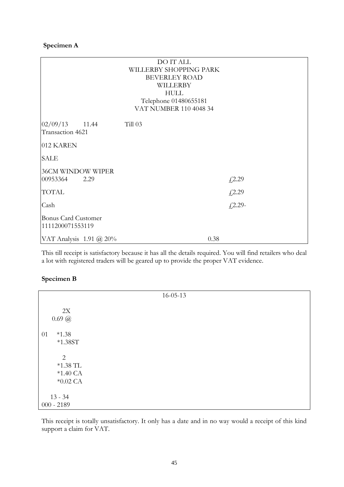### **Specimen A**

|                                                | DO IT ALL<br>WILLERBY SHOPPING PARK |            |
|------------------------------------------------|-------------------------------------|------------|
|                                                | <b>BEVERLEY ROAD</b>                |            |
|                                                | WILLERBY                            |            |
|                                                | <b>HULL</b>                         |            |
|                                                | Telephone 01480655181               |            |
|                                                | VAT NUMBER 110 4048 34              |            |
| 02/09/13<br>11.44<br>Transaction 4621          | Till 03                             |            |
| 012 KAREN                                      |                                     |            |
| <b>SALE</b>                                    |                                     |            |
| 36CM WINDOW WIPER                              |                                     |            |
| 00953364<br>2.29                               |                                     | £2.29      |
| <b>TOTAL</b>                                   |                                     | £2.29      |
| Cash                                           |                                     | $f(2.29 -$ |
| <b>Bonus Card Customer</b><br>1111200071553119 |                                     |            |
| VAT Analysis 1.91 @ 20%                        | 0.38                                |            |

This till receipt is satisfactory because it has all the details required. You will find retailers who deal a lot with registered traders will be geared up to provide the proper VAT evidence.

### **Specimen B**

|                                                    | $16 - 05 - 13$ |  |
|----------------------------------------------------|----------------|--|
| 2X<br>$0.69 \ (\omega$                             |                |  |
| 01<br>$*1.38$<br>$*1.38ST$                         |                |  |
| 2<br>$*1.38$ TL<br>$*1.40\text{ CA}$<br>$*0.02$ CA |                |  |
| $13 - 34$<br>$000 - 2189$                          |                |  |

This receipt is totally unsatisfactory. It only has a date and in no way would a receipt of this kind support a claim for VAT.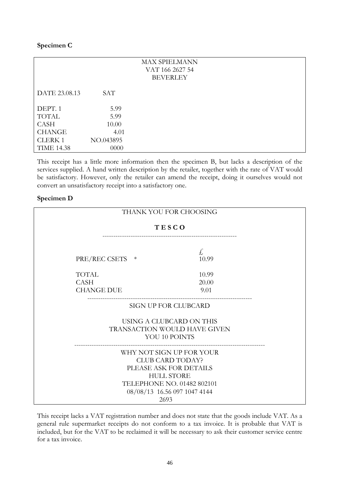### **Specimen C**

|                   |            | <b>MAX SPIELMANN</b> |
|-------------------|------------|----------------------|
|                   |            | VAT 166 2627 54      |
|                   |            | <b>BEVERLEY</b>      |
|                   |            |                      |
| DATE 23.08.13     | <b>SAT</b> |                      |
|                   |            |                      |
| DEPT. 1           | 5.99       |                      |
| <b>TOTAL</b>      | 5.99       |                      |
| <b>CASH</b>       | 10.00      |                      |
| <b>CHANGE</b>     | 4.01       |                      |
| <b>CLERK1</b>     | NO.043895  |                      |
| <b>TIME 14.38</b> | 0000       |                      |

This receipt has a little more information then the specimen B, but lacks a description of the services supplied. A hand written description by the retailer, together with the rate of VAT would be satisfactory. However, only the retailer can amend the receipt, doing it ourselves would not convert an unsatisfactory receipt into a satisfactory one.

#### **Specimen D**

|                                                                                                                                                                          | THANK YOU FOR CHOOSING |  |  |
|--------------------------------------------------------------------------------------------------------------------------------------------------------------------------|------------------------|--|--|
|                                                                                                                                                                          | <b>TESCO</b>           |  |  |
| PRE/REC CSETS<br>$\ast$                                                                                                                                                  | £<br>10.99             |  |  |
| <b>TOTAL</b><br><b>CASH</b><br><b>CHANGE DUE</b>                                                                                                                         | 10.99<br>20.00<br>9.01 |  |  |
|                                                                                                                                                                          | SIGN UP FOR CLUBCARD   |  |  |
| USING A CLUBCARD ON THIS<br>TRANSACTION WOULD HAVE GIVEN<br>YOU 10 POINTS                                                                                                |                        |  |  |
| WHY NOT SIGN UP FOR YOUR<br><b>CLUB CARD TODAY?</b><br>PLEASE ASK FOR DETAILS<br><b>HULL STORE</b><br>TELEPHONE NO. 01482 802101<br>08/08/13 16.56 097 1047 4144<br>2693 |                        |  |  |

This receipt lacks a VAT registration number and does not state that the goods include VAT. As a general rule supermarket receipts do not conform to a tax invoice. It is probable that VAT is included, but for the VAT to be reclaimed it will be necessary to ask their customer service centre for a tax invoice.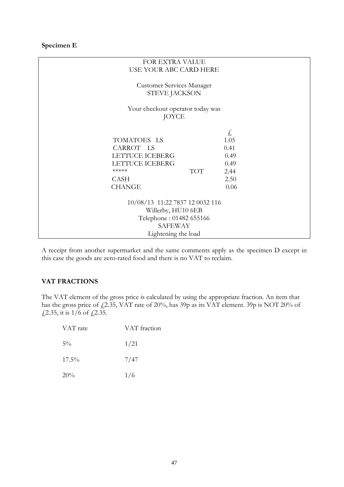### **Specimen E**

| FOR EXTRA VALUE                                                                                                                     |                                                            |  |  |  |
|-------------------------------------------------------------------------------------------------------------------------------------|------------------------------------------------------------|--|--|--|
| USE YOUR ABC CARD HERE                                                                                                              |                                                            |  |  |  |
| <b>Customer Services Manager</b><br>STEVE JACKSON                                                                                   |                                                            |  |  |  |
| Your checkout operator today was<br>JOYCE                                                                                           |                                                            |  |  |  |
| TOMATOES LS<br>CARROT LS<br><b>LETTUCE ICEBERG</b><br><b>LETTUCE ICEBERG</b><br>*****<br><b>TOT</b><br><b>CASH</b><br><b>CHANGE</b> | £,<br>1.05<br>0.41<br>0.49<br>0.49<br>2.44<br>2.50<br>0.06 |  |  |  |
| 10/08/13 11:22 7837 12 0032 116<br>Willerby, HU10 6EB<br>Telephone: 01482 655166<br><b>SAFEWAY</b>                                  |                                                            |  |  |  |
| Lightening the load                                                                                                                 |                                                            |  |  |  |

A receipt from another supermarket and the same comments apply as the specimen D except in this case the goods are zero-rated food and there is no VAT to reclaim.

### **VAT FRACTIONS**

The VAT element of the gross price is calculated by using the appropriate fraction. An item that has the gross price of  $\text{\emph{L}}2.35$ , VAT rate of 20%, has 39p as its VAT element. 39p is NOT 20% of  $\frac{1}{2.35}$ , it is 1/6 of  $\frac{1}{2.35}$ .

| VAT rate | VAT fraction |
|----------|--------------|
| $5\%$    | 1/21         |
| $17.5\%$ | 7/47         |
| 20%      | 1/6          |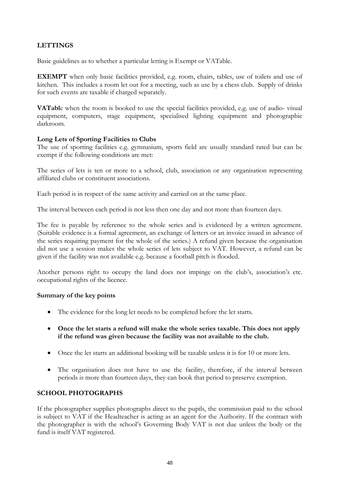## **LETTINGS**

Basic guidelines as to whether a particular letting is Exempt or VATable.

**EXEMPT** when only basic facilities provided, e.g. room, chairs, tables, use of toilets and use of kitchen. This includes a room let out for a meeting, such as use by a chess club. Supply of drinks for such events are taxable if charged separately.

**VATabl**e when the room is booked to use the special facilities provided, e.g. use of audio- visual equipment, computers, stage equipment, specialised lighting equipment and photographic darkroom.

### **Long Lets of Sporting Facilities to Clubs**

The use of sporting facilities e.g. gymnasium, sports field are usually standard rated but can be exempt if the following conditions are met:

The series of lets is ten or more to a school, club, association or any organisation representing affiliated clubs or constituent associations.

Each period is in respect of the same activity and carried on at the same place.

The interval between each period is not less then one day and not more than fourteen days.

The fee is payable by reference to the whole series and is evidenced by a written agreement. (Suitable evidence is a formal agreement, an exchange of letters or an invoice issued in advance of the series requiring payment for the whole of the series.) A refund given because the organisation did not use a session makes the whole series of lets subject to VAT. However, a refund can be given if the facility was not available e.g. because a football pitch is flooded.

Another persons right to occupy the land does not impinge on the club's, association's etc. occupational rights of the licence.

### **Summary of the key points**

- The evidence for the long let needs to be completed before the let starts.
- **Once the let starts a refund will make the whole series taxable. This does not apply if the refund was given because the facility was not available to the club.**
- Once the let starts an additional booking will be taxable unless it is for 10 or more lets.
- The organisation does not have to use the facility, therefore, if the interval between periods is more than fourteen days, they can book that period to preserve exemption.

## **SCHOOL PHOTOGRAPHS**

If the photographer supplies photographs direct to the pupils, the commission paid to the school is subject to VAT if the Headteacher is acting as an agent for the Authority. If the contract with the photographer is with the school's Governing Body VAT is not due unless the body or the fund is itself VAT registered.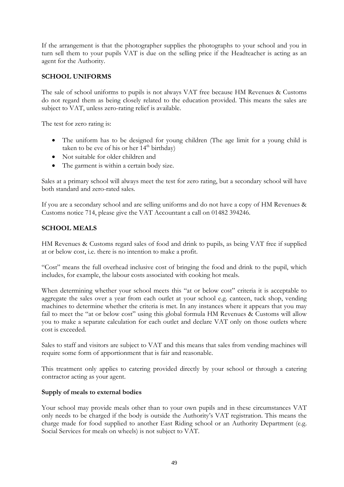If the arrangement is that the photographer supplies the photographs to your school and you in turn sell them to your pupils VAT is due on the selling price if the Headteacher is acting as an agent for the Authority.

## **SCHOOL UNIFORMS**

The sale of school uniforms to pupils is not always VAT free because HM Revenues & Customs do not regard them as being closely related to the education provided. This means the sales are subject to VAT, unless zero-rating relief is available.

The test for zero rating is:

- The uniform has to be designed for young children (The age limit for a young child is taken to be eve of his or her  $14<sup>th</sup>$  birthday)
- Not suitable for older children and
- The garment is within a certain body size.

Sales at a primary school will always meet the test for zero rating, but a secondary school will have both standard and zero-rated sales.

If you are a secondary school and are selling uniforms and do not have a copy of HM Revenues & Customs notice 714, please give the VAT Accountant a call on 01482 394246.

### **SCHOOL MEALS**

HM Revenues & Customs regard sales of food and drink to pupils, as being VAT free if supplied at or below cost, i.e. there is no intention to make a profit.

"Cost" means the full overhead inclusive cost of bringing the food and drink to the pupil, which includes, for example, the labour costs associated with cooking hot meals.

When determining whether your school meets this "at or below cost" criteria it is acceptable to aggregate the sales over a year from each outlet at your school e.g. canteen, tuck shop, vending machines to determine whether the criteria is met. In any instances where it appears that you may fail to meet the "at or below cost" using this global formula HM Revenues & Customs will allow you to make a separate calculation for each outlet and declare VAT only on those outlets where cost is exceeded.

Sales to staff and visitors are subject to VAT and this means that sales from vending machines will require some form of apportionment that is fair and reasonable.

This treatment only applies to catering provided directly by your school or through a catering contractor acting as your agent.

### **Supply of meals to external bodies**

Your school may provide meals other than to your own pupils and in these circumstances VAT only needs to be charged if the body is outside the Authority's VAT registration. This means the charge made for food supplied to another East Riding school or an Authority Department (e.g. Social Services for meals on wheels) is not subject to VAT.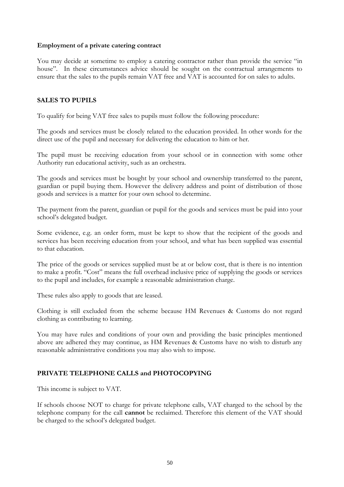### **Employment of a private catering contract**

You may decide at sometime to employ a catering contractor rather than provide the service "in house". In these circumstances advice should be sought on the contractual arrangements to ensure that the sales to the pupils remain VAT free and VAT is accounted for on sales to adults.

### **SALES TO PUPILS**

To qualify for being VAT free sales to pupils must follow the following procedure:

The goods and services must be closely related to the education provided. In other words for the direct use of the pupil and necessary for delivering the education to him or her.

The pupil must be receiving education from your school or in connection with some other Authority run educational activity, such as an orchestra.

The goods and services must be bought by your school and ownership transferred to the parent, guardian or pupil buying them. However the delivery address and point of distribution of those goods and services is a matter for your own school to determine.

The payment from the parent, guardian or pupil for the goods and services must be paid into your school's delegated budget.

Some evidence, e.g. an order form, must be kept to show that the recipient of the goods and services has been receiving education from your school, and what has been supplied was essential to that education.

The price of the goods or services supplied must be at or below cost, that is there is no intention to make a profit. "Cost" means the full overhead inclusive price of supplying the goods or services to the pupil and includes, for example a reasonable administration charge.

These rules also apply to goods that are leased.

Clothing is still excluded from the scheme because HM Revenues & Customs do not regard clothing as contributing to learning.

You may have rules and conditions of your own and providing the basic principles mentioned above are adhered they may continue, as HM Revenues & Customs have no wish to disturb any reasonable administrative conditions you may also wish to impose.

## **PRIVATE TELEPHONE CALLS and PHOTOCOPYING**

This income is subject to VAT.

If schools choose NOT to charge for private telephone calls, VAT charged to the school by the telephone company for the call **cannot** be reclaimed. Therefore this element of the VAT should be charged to the school's delegated budget.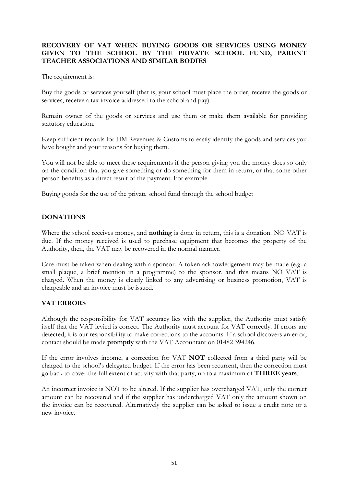### **RECOVERY OF VAT WHEN BUYING GOODS OR SERVICES USING MONEY GIVEN TO THE SCHOOL BY THE PRIVATE SCHOOL FUND, PARENT TEACHER ASSOCIATIONS AND SIMILAR BODIES**

The requirement is:

Buy the goods or services yourself (that is, your school must place the order, receive the goods or services, receive a tax invoice addressed to the school and pay).

Remain owner of the goods or services and use them or make them available for providing statutory education.

Keep sufficient records for HM Revenues & Customs to easily identify the goods and services you have bought and your reasons for buying them.

You will not be able to meet these requirements if the person giving you the money does so only on the condition that you give something or do something for them in return, or that some other person benefits as a direct result of the payment. For example

Buying goods for the use of the private school fund through the school budget

### **DONATIONS**

Where the school receives money, and **nothing** is done in return, this is a donation. NO VAT is due. If the money received is used to purchase equipment that becomes the property of the Authority, then, the VAT may be recovered in the normal manner.

Care must be taken when dealing with a sponsor. A token acknowledgement may be made (e.g. a small plaque, a brief mention in a programme) to the sponsor, and this means NO VAT is charged. When the money is clearly linked to any advertising or business promotion, VAT is chargeable and an invoice must be issued.

### **VAT ERRORS**

Although the responsibility for VAT accuracy lies with the supplier, the Authority must satisfy itself that the VAT levied is correct. The Authority must account for VAT correctly. If errors are detected, it is our responsibility to make corrections to the accounts. If a school discovers an error, contact should be made **promptly** with the VAT Accountant on 01482 394246.

If the error involves income, a correction for VAT **NOT** collected from a third party will be charged to the school's delegated budget. If the error has been recurrent, then the correction must go back to cover the full extent of activity with that party, up to a maximum of **THREE years**.

An incorrect invoice is NOT to be altered. If the supplier has overcharged VAT, only the correct amount can be recovered and if the supplier has undercharged VAT only the amount shown on the invoice can be recovered. Alternatively the supplier can be asked to issue a credit note or a new invoice.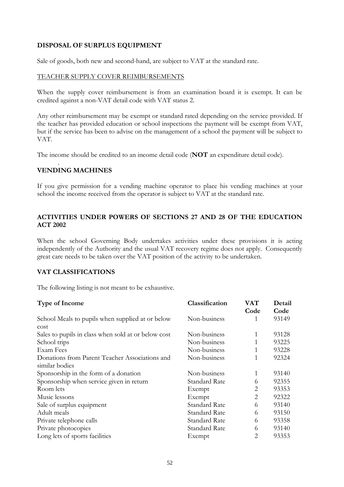### **DISPOSAL OF SURPLUS EQUIPMENT**

Sale of goods, both new and second-hand, are subject to VAT at the standard rate.

### TEACHER SUPPLY COVER REIMBURSEMENTS

When the supply cover reimbursement is from an examination board it is exempt. It can be credited against a non-VAT detail code with VAT status 2.

Any other reimbursement may be exempt or standard rated depending on the service provided. If the teacher has provided education or school inspections the payment will be exempt from VAT, but if the service has been to advise on the management of a school the payment will be subject to VAT.

The income should be credited to an income detail code (**NOT** an expenditure detail code).

#### . **VENDING MACHINES**

If you give permission for a vending machine operator to place his vending machines at your school the income received from the operator is subject to VAT at the standard rate.

### **ACTIVITIES UNDER POWERS OF SECTIONS 27 AND 28 OF THE EDUCATION ACT 2002**

When the school Governing Body undertakes activities under these provisions it is acting independently of the Authority and the usual VAT recovery regime does not apply. Consequently great care needs to be taken over the VAT position of the activity to be undertaken.

### **VAT CLASSIFICATIONS**

The following listing is not meant to be exhaustive.

| Classification       | VAT            | Detail |
|----------------------|----------------|--------|
|                      | Code           | Code   |
| Non-business         | 1              | 93149  |
|                      |                |        |
| Non-business         | 1              | 93128  |
| Non-business         | 1              | 93225  |
| Non-business         | 1              | 93228  |
| Non-business         | 1              | 92324  |
|                      |                |        |
| Non-business         | 1              | 93140  |
| Standard Rate        | 6              | 92355  |
| Exempt               | 2              | 93353  |
| Exempt               | $\overline{2}$ | 92322  |
| <b>Standard Rate</b> | 6              | 93140  |
| <b>Standard Rate</b> | 6              | 93150  |
| <b>Standard Rate</b> | 6              | 93358  |
| Standard Rate        | 6              | 93140  |
| Exempt               | 2              | 93353  |
|                      |                |        |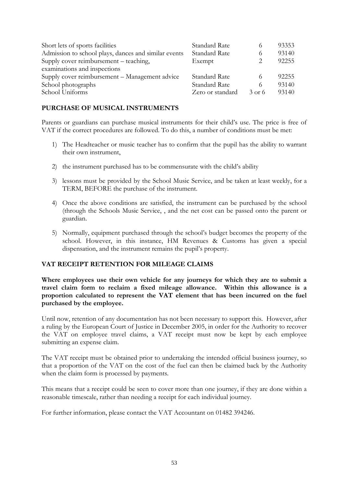| Short lets of sports facilities                      | <b>Standard Rate</b> |          | 93353 |
|------------------------------------------------------|----------------------|----------|-------|
| Admission to school plays, dances and similar events | <b>Standard Rate</b> |          | 93140 |
| Supply cover reimbursement – teaching,               | Exempt               |          | 92255 |
| examinations and inspections                         |                      |          |       |
| Supply cover reimbursement - Management advice       | <b>Standard Rate</b> |          | 92255 |
| School photographs                                   | <b>Standard Rate</b> |          | 93140 |
| School Uniforms                                      | Zero or standard     | $3$ or 6 | 93140 |

## **PURCHASE OF MUSICAL INSTRUMENTS**

Parents or guardians can purchase musical instruments for their child's use. The price is free of VAT if the correct procedures are followed. To do this, a number of conditions must be met:

- 1) The Headteacher or music teacher has to confirm that the pupil has the ability to warrant their own instrument,
- 2) the instrument purchased has to be commensurate with the child's ability
- 3) lessons must be provided by the School Music Service, and be taken at least weekly, for a TERM, BEFORE the purchase of the instrument.
- 4) Once the above conditions are satisfied, the instrument can be purchased by the school (through the Schools Music Service, , and the net cost can be passed onto the parent or guardian.
- 5) Normally, equipment purchased through the school's budget becomes the property of the school. However, in this instance, HM Revenues & Customs has given a special dispensation, and the instrument remains the pupil's property.

### **VAT RECEIPT RETENTION FOR MILEAGE CLAIMS**

**Where employees use their own vehicle for any journeys for which they are to submit a travel claim form to reclaim a fixed mileage allowance. Within this allowance is a proportion calculated to represent the VAT element that has been incurred on the fuel purchased by the employee.**

Until now, retention of any documentation has not been necessary to support this. However, after a ruling by the European Court of Justice in December 2005, in order for the Authority to recover the VAT on employee travel claims, a VAT receipt must now be kept by each employee submitting an expense claim.

The VAT receipt must be obtained prior to undertaking the intended official business journey, so that a proportion of the VAT on the cost of the fuel can then be claimed back by the Authority when the claim form is processed by payments.

This means that a receipt could be seen to cover more than one journey, if they are done within a reasonable timescale, rather than needing a receipt for each individual journey.

For further information, please contact the VAT Accountant on 01482 394246.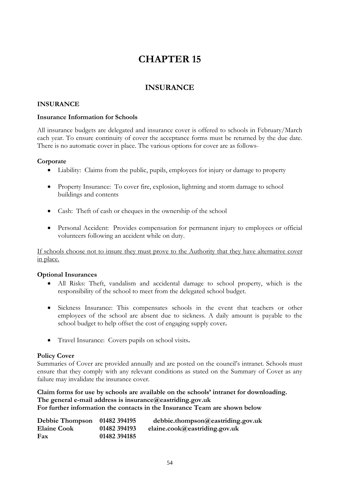# **INSURANCE**

### **INSURANCE**

### **Insurance Information for Schools**

All insurance budgets are delegated and insurance cover is offered to schools in February/March each year. To ensure continuity of cover the acceptance forms must be returned by the due date. There is no automatic cover in place. The various options for cover are as follows-

### **Corporate**

- Liability: Claims from the public, pupils, employees for injury or damage to property
- Property Insurance: To cover fire, explosion, lightning and storm damage to school buildings and contents
- Cash: Theft of cash or cheques in the ownership of the school
- Personal Accident: Provides compensation for permanent injury to employees or official volunteers following an accident while on duty.

If schools choose not to insure they must prove to the Authority that they have alternative cover in place.

### **Optional Insurances**

- All Risks: Theft, vandalism and accidental damage to school property, which is the responsibility of the school to meet from the delegated school budget.
- Sickness Insurance: This compensates schools in the event that teachers or other employees of the school are absent due to sickness. A daily amount is payable to the school budget to help offset the cost of engaging supply cover**.**
- Travel Insurance: Covers pupils on school visits**.**

#### **Policy Cover**

Summaries of Cover are provided annually and are posted on the council's intranet. Schools must ensure that they comply with any relevant conditions as stated on the Summary of Cover as any failure may invalidate the insurance cover.

### **Claim forms for use by schools are available on the schools' intranet for downloading. The general e-mail address is insurance@eastriding.gov.uk For further information the contacts in the Insurance Team are shown below**

| Debbie Thompson    | 01482 394195 | debbie.thompson@easting.gov.uk |
|--------------------|--------------|--------------------------------|
| <b>Elaine Cook</b> | 01482 394193 | elaine.cook@eastriding.gov.uk  |
| Fax                | 01482 394185 |                                |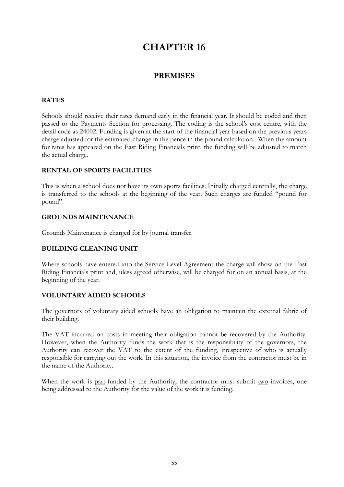## **PREMISES**

### **RATES**

Schools should receive their rates demand early in the financial year. It should be coded and then passed to the Payments Section for processing. The coding is the school's cost centre, with the detail code as 24002. Funding is given at the start of the financial year based on the previous years charge adjusted for the estimated change in the pence in the pound calculation. When the amount for rates has appeared on the East Riding Financials print, the funding will be adjusted to match the actual charge.

### **RENTAL OF SPORTS FACILITIES**

This is when a school does not have its own sports facilities. Initially charged centrally, the charge is transferred to the schools at the beginning of the year. Such charges are funded "pound for pound".

#### **GROUNDS MAINTENANCE**

Grounds Maintenance is charged for by journal transfer.

### **BUILDING CLEANING UNIT**

Where schools have entered into the Service Level Agreement the charge will show on the East Riding Financials print and, uless agreed otherwise, will be charged for on an annual basis, at the beginning of the year.

### **VOLUNTARY AIDED SCHOOLS**

The governors of voluntary aided schools have an obligation to maintain the external fabric of their building.

The VAT incurred on costs in meeting their obligation cannot be recovered by the Authority. However, when the Authority funds the work that is the responsibility of the governors, the Authority can recover the VAT to the extent of the funding, irrespective of who is actually responsible for carrying out the work. In this situation, the invoice from the contractor must be in the name of the Authority.

When the work is part-funded by the Authority, the contractor must submit two invoices, one being addressed to the Authority for the value of the work it is funding.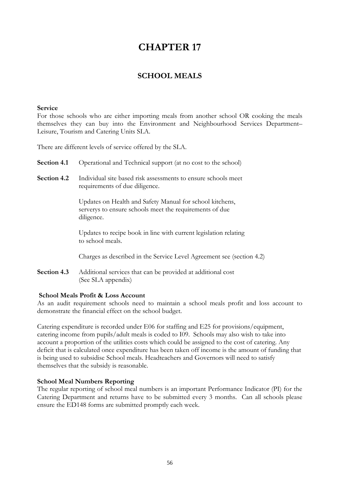## **SCHOOL MEALS**

#### **Service**

For those schools who are either importing meals from another school OR cooking the meals themselves they can buy into the Environment and Neighbourhood Services Department– Leisure, Tourism and Catering Units SLA.

There are different levels of service offered by the SLA.

**Section 4.1** Operational and Technical support (at no cost to the school)

**Section 4.2** Individual site based risk assessments to ensure schools meet requirements of due diligence.

> Updates on Health and Safety Manual for school kitchens, serverys to ensure schools meet the requirements of due diligence.

Updates to recipe book in line with current legislation relating to school meals.

Charges as described in the Service Level Agreement see (section 4.2)

**Section 4.3** Additional services that can be provided at additional cost (See SLA appendix)

### **School Meals Profit & Loss Account**

As an audit requirement schools need to maintain a school meals profit and loss account to demonstrate the financial effect on the school budget.

Catering expenditure is recorded under E06 for staffing and E25 for provisions/equipment, catering income from pupils/adult meals is coded to I09. Schools may also wish to take into account a proportion of the utilities costs which could be assigned to the cost of catering. Any deficit that is calculated once expenditure has been taken off income is the amount of funding that is being used to subsidise School meals. Headteachers and Governors will need to satisfy themselves that the subsidy is reasonable.

### **School Meal Numbers Reporting**

The regular reporting of school meal numbers is an important Performance Indicator (PI) for the Catering Department and returns have to be submitted every 3 months. Can all schools please ensure the ED148 forms are submitted promptly each week.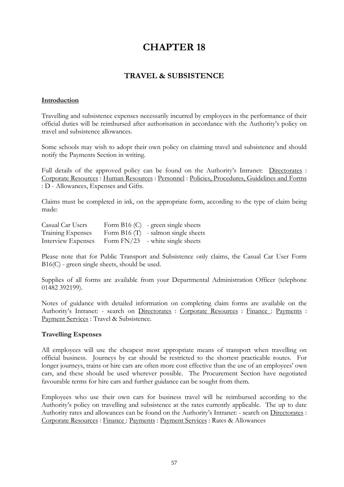# **TRAVEL & SUBSISTENCE**

### **Introduction**

Travelling and subsistence expenses necessarily incurred by employees in the performance of their official duties will be reimbursed after authorisation in accordance with the Authority's policy on travel and subsistence allowances.

Some schools may wish to adopt their own policy on claiming travel and subsistence and should notify the Payments Section in writing.

Full details of the approved policy can be found on the Authority's Intranet: [Directorates](http://unixinet.eastriding.gov.uk/servlet/page?_pageid=736&_dad=intranet&_schema=INTRANET&1801_HUMAN_RESOURCES_3860823.p_subid=88457&1801_HUMAN_RESOURCES_3860823.p_sub_siteid=1&1801_HUMAN_RESOURCES_3860823.p_edit=0) : [Corporate Resources](http://unixinet.eastriding.gov.uk/servlet/page?_pageid=736&_dad=intranet&_schema=INTRANET&1801_HUMAN_RESOURCES_3860823.p_subid=88458&1801_HUMAN_RESOURCES_3860823.p_sub_siteid=1&1801_HUMAN_RESOURCES_3860823.p_edit=0) : [Human Resources](http://unixinet.eastriding.gov.uk/servlet/page?_pageid=736&_dad=intranet&_schema=INTRANET&1801_HUMAN_RESOURCES_3860823.p_subid=89194&1801_HUMAN_RESOURCES_3860823.p_sub_siteid=1&1801_HUMAN_RESOURCES_3860823.p_edit=0) : [Personnel](http://unixinet.eastriding.gov.uk/servlet/page?_pageid=736&_dad=intranet&_schema=INTRANET&1801_HUMAN_RESOURCES_3860823.p_subid=4207&1801_HUMAN_RESOURCES_3860823.p_sub_siteid=1&1801_HUMAN_RESOURCES_3860823.p_edit=0) : [Policies, Procedures, Guidelines and Forms](http://unixinet.eastriding.gov.uk/servlet/page?_pageid=736&_dad=intranet&_schema=INTRANET&1801_HUMAN_RESOURCES_3860823.p_subid=79699&1801_HUMAN_RESOURCES_3860823.p_sub_siteid=1&1801_HUMAN_RESOURCES_3860823.p_edit=0) : D - Allowances, Expenses and Gifts*.*

Claims must be completed in ink, on the appropriate form, according to the type of claim being made:

| Casual Car Users   | Form B16 $(C)$ - green single sheets  |
|--------------------|---------------------------------------|
| Training Expenses  | Form B16 $(T)$ - salmon single sheets |
| Interview Expenses | Form $FN/23$ - white single sheets    |

Please note that for Public Transport and Subsistence only claims, the Casual Car User Form B16(C) - green single sheets, should be used.

Supplies of all forms are available from your Departmental Administration Officer (telephone 01482 392199).

Notes of guidance with detailed information on completing claim forms are available on the Authority's Intranet: - search on [Directorates](http://unixinet.eastriding.gov.uk/servlet/page?_pageid=730&_dad=intranet&_schema=INTRANET&1798_COPY_OF_ACCOUNTANCY_3860823.p_subid=88457&1798_COPY_OF_ACCOUNTANCY_3860823.p_sub_siteid=1&1798_COPY_OF_ACCOUNTANCY_3860823.p_edit=0) : [Corporate Resources](http://unixinet.eastriding.gov.uk/servlet/page?_pageid=730&_dad=intranet&_schema=INTRANET&1798_COPY_OF_ACCOUNTANCY_3860823.p_subid=88458&1798_COPY_OF_ACCOUNTANCY_3860823.p_sub_siteid=1&1798_COPY_OF_ACCOUNTANCY_3860823.p_edit=0) : [Finance :](http://unixinet.eastriding.gov.uk/servlet/page?_pageid=730&_dad=intranet&_schema=INTRANET&1798_COPY_OF_ACCOUNTANCY_3860823.p_subid=88787&1798_COPY_OF_ACCOUNTANCY_3860823.p_sub_siteid=1&1798_COPY_OF_ACCOUNTANCY_3860823.p_edit=0) [Payments](http://unixinet.eastriding.gov.uk/servlet/page?_pageid=730&_dad=intranet&_schema=INTRANET&1798_COPY_OF_ACCOUNTANCY_3860823.p_subid=88814&1798_COPY_OF_ACCOUNTANCY_3860823.p_sub_siteid=1&1798_COPY_OF_ACCOUNTANCY_3860823.p_edit=0) : [Payment Services](http://unixinet.eastriding.gov.uk/servlet/page?_pageid=730&_dad=intranet&_schema=INTRANET&1798_COPY_OF_ACCOUNTANCY_3860823.p_subid=88817&1798_COPY_OF_ACCOUNTANCY_3860823.p_sub_siteid=1&1798_COPY_OF_ACCOUNTANCY_3860823.p_edit=0) : Travel & Subsistence*.*

### **Travelling Expenses**

All employees will use the cheapest most appropriate means of transport when travelling on official business. Journeys by car should be restricted to the shortest practicable routes. For longer journeys, trains or hire cars are often more cost effective than the use of an employees' own cars, and these should be used wherever possible. The Procurement Section have negotiated favourable terms for hire cars and further guidance can be sought from them.

Employees who use their own cars for business travel will be reimbursed according to the Authority's policy on travelling and subsistence at the rates currently applicable. The up to date Authority rates and allowances can be found on the Authority's Intranet: - search on [Directorates](http://unixinet.eastriding.gov.uk/servlet/page?_pageid=730&_dad=intranet&_schema=INTRANET&1798_COPY_OF_ACCOUNTANCY_3860823.p_subid=88457&1798_COPY_OF_ACCOUNTANCY_3860823.p_sub_siteid=1&1798_COPY_OF_ACCOUNTANCY_3860823.p_edit=0) : [Corporate Resources](http://unixinet.eastriding.gov.uk/servlet/page?_pageid=730&_dad=intranet&_schema=INTRANET&1798_COPY_OF_ACCOUNTANCY_3860823.p_subid=88458&1798_COPY_OF_ACCOUNTANCY_3860823.p_sub_siteid=1&1798_COPY_OF_ACCOUNTANCY_3860823.p_edit=0) : [Finance :](http://unixinet.eastriding.gov.uk/servlet/page?_pageid=730&_dad=intranet&_schema=INTRANET&1798_COPY_OF_ACCOUNTANCY_3860823.p_subid=88787&1798_COPY_OF_ACCOUNTANCY_3860823.p_sub_siteid=1&1798_COPY_OF_ACCOUNTANCY_3860823.p_edit=0) [Payments](http://unixinet.eastriding.gov.uk/servlet/page?_pageid=730&_dad=intranet&_schema=INTRANET&1798_COPY_OF_ACCOUNTANCY_3860823.p_subid=88814&1798_COPY_OF_ACCOUNTANCY_3860823.p_sub_siteid=1&1798_COPY_OF_ACCOUNTANCY_3860823.p_edit=0) : [Payment Services](http://unixinet.eastriding.gov.uk/servlet/page?_pageid=730&_dad=intranet&_schema=INTRANET&1798_COPY_OF_ACCOUNTANCY_3860823.p_subid=88817&1798_COPY_OF_ACCOUNTANCY_3860823.p_sub_siteid=1&1798_COPY_OF_ACCOUNTANCY_3860823.p_edit=0) : Rates & Allowances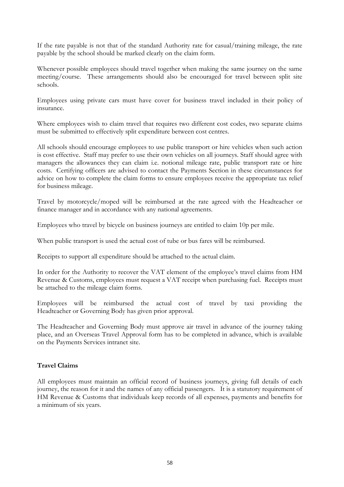If the rate payable is not that of the standard Authority rate for casual/training mileage, the rate payable by the school should be marked clearly on the claim form.

Whenever possible employees should travel together when making the same journey on the same meeting/course. These arrangements should also be encouraged for travel between split site schools.

Employees using private cars must have cover for business travel included in their policy of insurance.

Where employees wish to claim travel that requires two different cost codes, two separate claims must be submitted to effectively split expenditure between cost centres.

All schools should encourage employees to use public transport or hire vehicles when such action is cost effective. Staff may prefer to use their own vehicles on all journeys. Staff should agree with managers the allowances they can claim i.e. notional mileage rate, public transport rate or hire costs. Certifying officers are advised to contact the Payments Section in these circumstances for advice on how to complete the claim forms to ensure employees receive the appropriate tax relief for business mileage.

Travel by motorcycle/moped will be reimbursed at the rate agreed with the Headteacher or finance manager and in accordance with any national agreements.

Employees who travel by bicycle on business journeys are entitled to claim 10p per mile.

When public transport is used the actual cost of tube or bus fares will be reimbursed.

Receipts to support all expenditure should be attached to the actual claim.

In order for the Authority to recover the VAT element of the employee's travel claims from HM Revenue & Customs, employees must request a VAT receipt when purchasing fuel. Receipts must be attached to the mileage claim forms.

Employees will be reimbursed the actual cost of travel by taxi providing the Headteacher or Governing Body has given prior approval.

The Headteacher and Governing Body must approve air travel in advance of the journey taking place, and an Overseas Travel Approval form has to be completed in advance, which is available on the Payments Services intranet site.

### **Travel Claims**

All employees must maintain an official record of business journeys, giving full details of each journey, the reason for it and the names of any official passengers. It is a statutory requirement of HM Revenue & Customs that individuals keep records of all expenses, payments and benefits for a minimum of six years.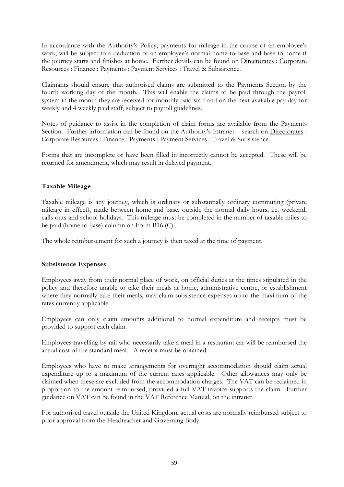In accordance with the Authority's Policy, payments for mileage in the course of an employee's work, will be subject to a deduction of an employee's normal home-to-base and base to home if the journey starts and finishes at home. Further details can be found on [Directorates](http://unixinet.eastriding.gov.uk/servlet/page?_pageid=730&_dad=intranet&_schema=INTRANET&1798_COPY_OF_ACCOUNTANCY_3860823.p_subid=88457&1798_COPY_OF_ACCOUNTANCY_3860823.p_sub_siteid=1&1798_COPY_OF_ACCOUNTANCY_3860823.p_edit=0) : [Corporate](http://unixinet.eastriding.gov.uk/servlet/page?_pageid=730&_dad=intranet&_schema=INTRANET&1798_COPY_OF_ACCOUNTANCY_3860823.p_subid=88458&1798_COPY_OF_ACCOUNTANCY_3860823.p_sub_siteid=1&1798_COPY_OF_ACCOUNTANCY_3860823.p_edit=0)  [Resources](http://unixinet.eastriding.gov.uk/servlet/page?_pageid=730&_dad=intranet&_schema=INTRANET&1798_COPY_OF_ACCOUNTANCY_3860823.p_subid=88458&1798_COPY_OF_ACCOUNTANCY_3860823.p_sub_siteid=1&1798_COPY_OF_ACCOUNTANCY_3860823.p_edit=0) : [Finance :](http://unixinet.eastriding.gov.uk/servlet/page?_pageid=730&_dad=intranet&_schema=INTRANET&1798_COPY_OF_ACCOUNTANCY_3860823.p_subid=88787&1798_COPY_OF_ACCOUNTANCY_3860823.p_sub_siteid=1&1798_COPY_OF_ACCOUNTANCY_3860823.p_edit=0) [Payments](http://unixinet.eastriding.gov.uk/servlet/page?_pageid=730&_dad=intranet&_schema=INTRANET&1798_COPY_OF_ACCOUNTANCY_3860823.p_subid=88814&1798_COPY_OF_ACCOUNTANCY_3860823.p_sub_siteid=1&1798_COPY_OF_ACCOUNTANCY_3860823.p_edit=0) : [Payment Services](http://unixinet.eastriding.gov.uk/servlet/page?_pageid=730&_dad=intranet&_schema=INTRANET&1798_COPY_OF_ACCOUNTANCY_3860823.p_subid=88817&1798_COPY_OF_ACCOUNTANCY_3860823.p_sub_siteid=1&1798_COPY_OF_ACCOUNTANCY_3860823.p_edit=0) : Travel & Subsistence.

Claimants should ensure that authorised claims are submitted to the Payments Section by the fourth working day of the month. This will enable the claims to be paid through the payroll system in the month they are received for monthly paid staff and on the next available pay day for weekly and 4 weekly paid staff, subject to payroll guidelines.

Notes of guidance to assist in the completion of claim forms are available from the Payments Section. Further information can be found on the Authority's Intranet: - search on [Directorates](http://unixinet.eastriding.gov.uk/servlet/page?_pageid=730&_dad=intranet&_schema=INTRANET&1798_COPY_OF_ACCOUNTANCY_3860823.p_subid=88457&1798_COPY_OF_ACCOUNTANCY_3860823.p_sub_siteid=1&1798_COPY_OF_ACCOUNTANCY_3860823.p_edit=0) : [Corporate Resources](http://unixinet.eastriding.gov.uk/servlet/page?_pageid=730&_dad=intranet&_schema=INTRANET&1798_COPY_OF_ACCOUNTANCY_3860823.p_subid=88458&1798_COPY_OF_ACCOUNTANCY_3860823.p_sub_siteid=1&1798_COPY_OF_ACCOUNTANCY_3860823.p_edit=0) : [Finance :](http://unixinet.eastriding.gov.uk/servlet/page?_pageid=730&_dad=intranet&_schema=INTRANET&1798_COPY_OF_ACCOUNTANCY_3860823.p_subid=88787&1798_COPY_OF_ACCOUNTANCY_3860823.p_sub_siteid=1&1798_COPY_OF_ACCOUNTANCY_3860823.p_edit=0) [Payments](http://unixinet.eastriding.gov.uk/servlet/page?_pageid=730&_dad=intranet&_schema=INTRANET&1798_COPY_OF_ACCOUNTANCY_3860823.p_subid=88814&1798_COPY_OF_ACCOUNTANCY_3860823.p_sub_siteid=1&1798_COPY_OF_ACCOUNTANCY_3860823.p_edit=0) : [Payment Services](http://unixinet.eastriding.gov.uk/servlet/page?_pageid=730&_dad=intranet&_schema=INTRANET&1798_COPY_OF_ACCOUNTANCY_3860823.p_subid=88817&1798_COPY_OF_ACCOUNTANCY_3860823.p_sub_siteid=1&1798_COPY_OF_ACCOUNTANCY_3860823.p_edit=0) : Travel & Subsistence.

Forms that are incomplete or have been filled in incorrectly cannot be accepted. These will be returned for amendment, which may result in delayed payment.

### **Taxable Mileage**

Taxable mileage is any journey, which is ordinary or substantially ordinary commuting (private mileage in effect), made between home and base, outside the normal daily hours, i.e. weekend, calls outs and school holidays. This mileage must be completed in the number of taxable miles to be paid (home to base) column on Form B16 (C).

The whole reimbursement for such a journey is then taxed at the time of payment.

### **Subsistence Expenses**

Employees away from their normal place of work, on official duties at the times stipulated in the policy and therefore unable to take their meals at home, administrative centre, or establishment where they normally take their meals, may claim subsistence expenses up to the maximum of the rates currently applicable.

Employees can only claim amounts additional to normal expenditure and receipts must be provided to support each claim.

Employees travelling by rail who necessarily take a meal in a restaurant car will be reimbursed the actual cost of the standard meal. A receipt must be obtained.

Employees who have to make arrangements for overnight accommodation should claim actual expenditure up to a maximum of the current rates applicable. Other allowances may only be claimed when these are excluded from the accommodation charges. The VAT can be reclaimed in proportion to the amount reimbursed, provided a full VAT invoice supports the claim. Further guidance on VAT can be found in the VAT Reference Manual, on the intranet.

For authorised travel outside the United Kingdom, actual costs are normally reimbursed subject to prior approval from the Headteacher and Governing Body.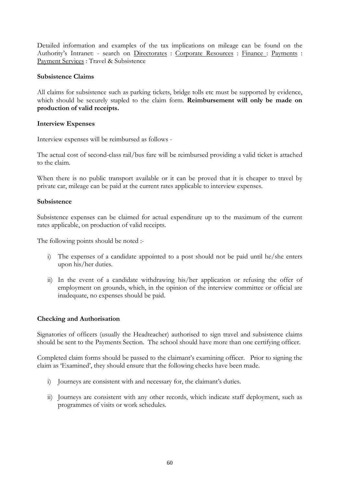Detailed information and examples of the tax implications on mileage can be found on the Authority's Intranet: - search on [Directorates](http://unixinet.eastriding.gov.uk/servlet/page?_pageid=730&_dad=intranet&_schema=INTRANET&1798_COPY_OF_ACCOUNTANCY_3860823.p_subid=88457&1798_COPY_OF_ACCOUNTANCY_3860823.p_sub_siteid=1&1798_COPY_OF_ACCOUNTANCY_3860823.p_edit=0) : [Corporate Resources](http://unixinet.eastriding.gov.uk/servlet/page?_pageid=730&_dad=intranet&_schema=INTRANET&1798_COPY_OF_ACCOUNTANCY_3860823.p_subid=88458&1798_COPY_OF_ACCOUNTANCY_3860823.p_sub_siteid=1&1798_COPY_OF_ACCOUNTANCY_3860823.p_edit=0) : [Finance :](http://unixinet.eastriding.gov.uk/servlet/page?_pageid=730&_dad=intranet&_schema=INTRANET&1798_COPY_OF_ACCOUNTANCY_3860823.p_subid=88787&1798_COPY_OF_ACCOUNTANCY_3860823.p_sub_siteid=1&1798_COPY_OF_ACCOUNTANCY_3860823.p_edit=0) [Payments](http://unixinet.eastriding.gov.uk/servlet/page?_pageid=730&_dad=intranet&_schema=INTRANET&1798_COPY_OF_ACCOUNTANCY_3860823.p_subid=88814&1798_COPY_OF_ACCOUNTANCY_3860823.p_sub_siteid=1&1798_COPY_OF_ACCOUNTANCY_3860823.p_edit=0) : [Payment Services](http://unixinet.eastriding.gov.uk/servlet/page?_pageid=730&_dad=intranet&_schema=INTRANET&1798_COPY_OF_ACCOUNTANCY_3860823.p_subid=88817&1798_COPY_OF_ACCOUNTANCY_3860823.p_sub_siteid=1&1798_COPY_OF_ACCOUNTANCY_3860823.p_edit=0) : Travel & Subsistence

### **Subsistence Claims**

All claims for subsistence such as parking tickets, bridge tolls etc must be supported by evidence, which should be securely stapled to the claim form. **Reimbursement will only be made on production of valid receipts.**

### **Interview Expenses**

Interview expenses will be reimbursed as follows -

The actual cost of second-class rail/bus fare will be reimbursed providing a valid ticket is attached to the claim.

When there is no public transport available or it can be proved that it is cheaper to travel by private car, mileage can be paid at the current rates applicable to interview expenses.

### **Subsistence**

Subsistence expenses can be claimed for actual expenditure up to the maximum of the current rates applicable, on production of valid receipts.

The following points should be noted :-

- i) The expenses of a candidate appointed to a post should not be paid until he/she enters upon his/her duties.
- ii) In the event of a candidate withdrawing his/her application or refusing the offer of employment on grounds, which, in the opinion of the interview committee or official are inadequate, no expenses should be paid.

### **Checking and Authorisation**

Signatories of officers (usually the Headteacher) authorised to sign travel and subsistence claims should be sent to the Payments Section. The school should have more than one certifying officer.

Completed claim forms should be passed to the claimant's examining officer. Prior to signing the claim as 'Examined', they should ensure that the following checks have been made.

- i) Journeys are consistent with and necessary for, the claimant's duties.
- ii) Journeys are consistent with any other records, which indicate staff deployment, such as programmes of visits or work schedules.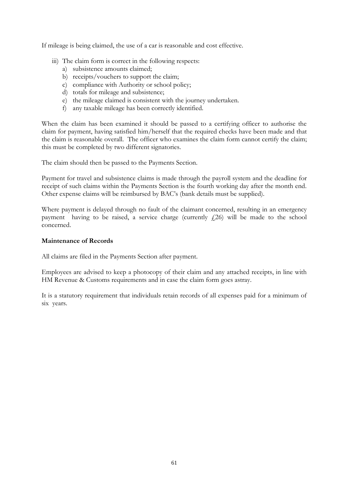If mileage is being claimed, the use of a car is reasonable and cost effective.

- iii) The claim form is correct in the following respects:
	- a) subsistence amounts claimed;
	- b) receipts/vouchers to support the claim;
	- c) compliance with Authority or school policy;
	- d) totals for mileage and subsistence;
	- e) the mileage claimed is consistent with the journey undertaken.
	- f) any taxable mileage has been correctly identified.

When the claim has been examined it should be passed to a certifying officer to authorise the claim for payment, having satisfied him/herself that the required checks have been made and that the claim is reasonable overall. The officer who examines the claim form cannot certify the claim; this must be completed by two different signatories.

The claim should then be passed to the Payments Section.

Payment for travel and subsistence claims is made through the payroll system and the deadline for receipt of such claims within the Payments Section is the fourth working day after the month end. Other expense claims will be reimbursed by BAC's (bank details must be supplied).

Where payment is delayed through no fault of the claimant concerned, resulting in an emergency payment having to be raised, a service charge (currently  $f(26)$ ) will be made to the school concerned.

### **Maintenance of Records**

All claims are filed in the Payments Section after payment.

Employees are advised to keep a photocopy of their claim and any attached receipts, in line with HM Revenue & Customs requirements and in case the claim form goes astray.

It is a statutory requirement that individuals retain records of all expenses paid for a minimum of six years.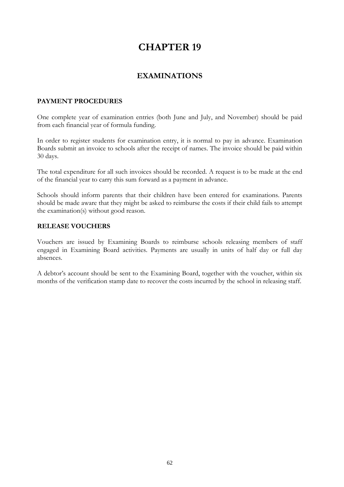## **EXAMINATIONS**

### **PAYMENT PROCEDURES**

One complete year of examination entries (both June and July, and November) should be paid from each financial year of formula funding.

In order to register students for examination entry, it is normal to pay in advance. Examination Boards submit an invoice to schools after the receipt of names. The invoice should be paid within 30 days.

The total expenditure for all such invoices should be recorded. A request is to be made at the end of the financial year to carry this sum forward as a payment in advance.

Schools should inform parents that their children have been entered for examinations. Parents should be made aware that they might be asked to reimburse the costs if their child fails to attempt the examination(s) without good reason.

## **RELEASE VOUCHERS**

Vouchers are issued by Examining Boards to reimburse schools releasing members of staff engaged in Examining Board activities. Payments are usually in units of half day or full day absences.

A debtor's account should be sent to the Examining Board, together with the voucher, within six months of the verification stamp date to recover the costs incurred by the school in releasing staff.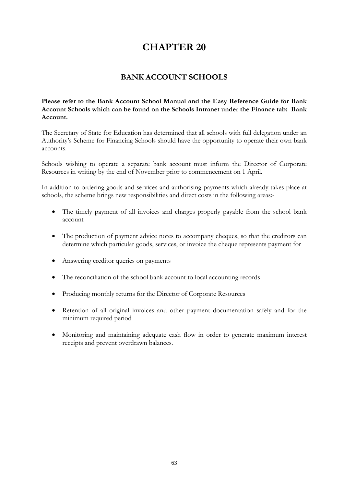# **BANK ACCOUNT SCHOOLS**

**Please refer to the Bank Account School Manual and the Easy Reference Guide for Bank Account Schools which can be found on the Schools Intranet under the Finance tab: Bank Account.**

The Secretary of State for Education has determined that all schools with full delegation under an Authority's Scheme for Financing Schools should have the opportunity to operate their own bank accounts.

Schools wishing to operate a separate bank account must inform the Director of Corporate Resources in writing by the end of November prior to commencement on 1 April.

In addition to ordering goods and services and authorising payments which already takes place at schools, the scheme brings new responsibilities and direct costs in the following areas:-

- The timely payment of all invoices and charges properly payable from the school bank account
- The production of payment advice notes to accompany cheques, so that the creditors can determine which particular goods, services, or invoice the cheque represents payment for
- Answering creditor queries on payments
- The reconciliation of the school bank account to local accounting records
- Producing monthly returns for the Director of Corporate Resources
- Retention of all original invoices and other payment documentation safely and for the minimum required period
- Monitoring and maintaining adequate cash flow in order to generate maximum interest receipts and prevent overdrawn balances.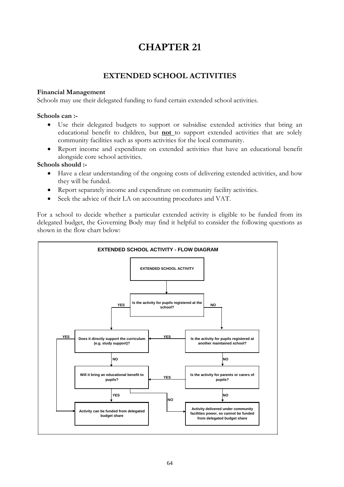# **EXTENDED SCHOOL ACTIVITIES**

### **Financial Management**

Schools may use their delegated funding to fund certain extended school activities.

### **Schools can :-**

- Use their delegated budgets to support or subsidise extended activities that bring an educational benefit to children, but **not** to support extended activities that are solely community facilities such as sports activities for the local community.
- Report income and expenditure on extended activities that have an educational benefit alongside core school activities.

### **Schools should :-**

- Have a clear understanding of the ongoing costs of delivering extended activities, and how they will be funded.
- Report separately income and expenditure on community facility activities.
- Seek the advice of their LA on accounting procedures and VAT.

For a school to decide whether a particular extended activity is eligible to be funded from its delegated budget, the Governing Body may find it helpful to consider the following questions as shown in the flow chart below:

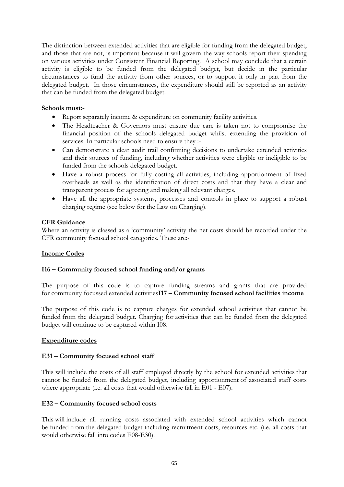The distinction between extended activities that are eligible for funding from the delegated budget, and those that are not, is important because it will govern the way schools report their spending on various activities under Consistent Financial Reporting. A school may conclude that a certain activity is eligible to be funded from the delegated budget, but decide in the particular circumstances to fund the activity from other sources, or to support it only in part from the delegated budget. In those circumstances, the expenditure should still be reported as an activity that can be funded from the delegated budget.

### **Schools must:-**

- Report separately income & expenditure on community facility activities.
- The Headteacher & Governors must ensure due care is taken not to compromise the financial position of the schools delegated budget whilst extending the provision of services. In particular schools need to ensure they :-
- Can demonstrate a clear audit trail confirming decisions to undertake extended activities and their sources of funding, including whether activities were eligible or ineligible to be funded from the schools delegated budget.
- Have a robust process for fully costing all activities, including apportionment of fixed overheads as well as the identification of direct costs and that they have a clear and transparent process for agreeing and making all relevant charges.
- Have all the appropriate systems, processes and controls in place to support a robust charging regime (see below for the Law on Charging).

### **CFR Guidance**

Where an activity is classed as a 'community' activity the net costs should be recorded under the CFR community focused school categories. These are:-

### **Income Codes**

### **I16 – Community focused school funding and/or grants**

The purpose of this code is to capture funding streams and grants that are provided for community focussed extended activities**I17 – Community focused school facilities income**

The purpose of this code is to capture charges for extended school activities that cannot be funded from the delegated budget. Charging for activities that can be funded from the delegated budget will continue to be captured within I08.

### **Expenditure codes**

### **E31 – Community focused school staff**

This will include the costs of all staff employed directly by the school for extended activities that cannot be funded from the delegated budget, including apportionment of associated staff costs where appropriate (i.e. all costs that would otherwise fall in E01 - E07).

### **E32 – Community focused school costs**

This will include all running costs associated with extended school activities which cannot be funded from the delegated budget including recruitment costs, resources etc. (i.e. all costs that would otherwise fall into codes E08-E30).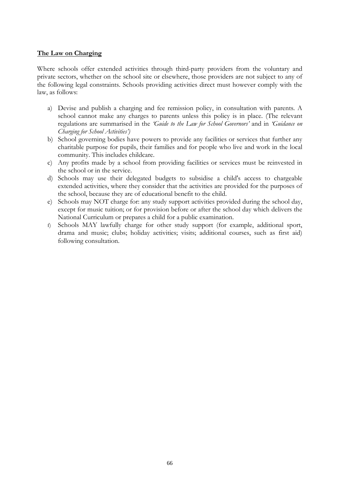### **The Law on Charging**

Where schools offer extended activities through third-party providers from the voluntary and private sectors, whether on the school site or elsewhere, those providers are not subject to any of the following legal constraints. Schools providing activities direct must however comply with the law, as follows:

- a) Devise and publish a charging and fee remission policy, in consultation with parents. A school cannot make any charges to parents unless this policy is in place. (The relevant regulations are summarised in the *'Guide to the Law for School Governors'* and in *'Guidance on Charging for School Activities')*
- b) School governing bodies have powers to provide any facilities or services that further any charitable purpose for pupils, their families and for people who live and work in the local community. This includes childcare.
- c) Any profits made by a school from providing facilities or services must be reinvested in the school or in the service.
- d) Schools may use their delegated budgets to subsidise a child's access to chargeable extended activities, where they consider that the activities are provided for the purposes of the school, because they are of educational benefit to the child.
- e) Schools may NOT charge for: any study support activities provided during the school day, except for music tuition; or for provision before or after the school day which delivers the National Curriculum or prepares a child for a public examination.
- f) Schools MAY lawfully charge for other study support (for example, additional sport, drama and music; clubs; holiday activities; visits; additional courses, such as first aid) following consultation.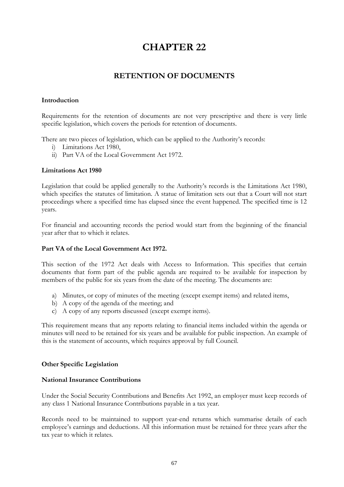# **RETENTION OF DOCUMENTS**

### **Introduction**

Requirements for the retention of documents are not very prescriptive and there is very little specific legislation, which covers the periods for retention of documents.

There are two pieces of legislation, which can be applied to the Authority's records:

- i) Limitations Act 1980,
- ii) Part VA of the Local Government Act 1972.

### **Limitations Act 1980**

Legislation that could be applied generally to the Authority's records is the Limitations Act 1980, which specifies the statutes of limitation. A statue of limitation sets out that a Court will not start proceedings where a specified time has elapsed since the event happened. The specified time is 12 years.

For financial and accounting records the period would start from the beginning of the financial year after that to which it relates.

### **Part VA of the Local Government Act 1972.**

This section of the 1972 Act deals with Access to Information. This specifies that certain documents that form part of the public agenda are required to be available for inspection by members of the public for six years from the date of the meeting. The documents are:

- a) Minutes, or copy of minutes of the meeting (except exempt items) and related items,
- b) A copy of the agenda of the meeting; and
- c) A copy of any reports discussed (except exempt items).

This requirement means that any reports relating to financial items included within the agenda or minutes will need to be retained for six years and be available for public inspection. An example of this is the statement of accounts, which requires approval by full Council.

### **Other Specific Legislation**

#### **National Insurance Contributions**

Under the Social Security Contributions and Benefits Act 1992, an employer must keep records of any class 1 National Insurance Contributions payable in a tax year.

Records need to be maintained to support year-end returns which summarise details of each employee's earnings and deductions. All this information must be retained for three years after the tax year to which it relates.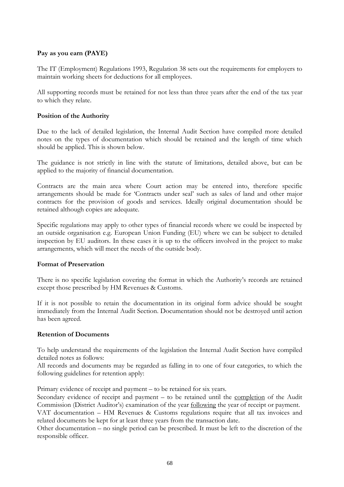### **Pay as you earn (PAYE)**

The IT (Employment) Regulations 1993, Regulation 38 sets out the requirements for employers to maintain working sheets for deductions for all employees.

All supporting records must be retained for not less than three years after the end of the tax year to which they relate.

### **Position of the Authority**

Due to the lack of detailed legislation, the Internal Audit Section have compiled more detailed notes on the types of documentation which should be retained and the length of time which should be applied. This is shown below.

The guidance is not strictly in line with the statute of limitations, detailed above, but can be applied to the majority of financial documentation.

Contracts are the main area where Court action may be entered into, therefore specific arrangements should be made for 'Contracts under seal' such as sales of land and other major contracts for the provision of goods and services. Ideally original documentation should be retained although copies are adequate.

Specific regulations may apply to other types of financial records where we could be inspected by an outside organisation e.g. European Union Funding (EU) where we can be subject to detailed inspection by EU auditors. In these cases it is up to the officers involved in the project to make arrangements, which will meet the needs of the outside body.

### **Format of Preservation**

There is no specific legislation covering the format in which the Authority's records are retained except those prescribed by HM Revenues & Customs.

If it is not possible to retain the documentation in its original form advice should be sought immediately from the Internal Audit Section. Documentation should not be destroyed until action has been agreed.

### **Retention of Documents**

To help understand the requirements of the legislation the Internal Audit Section have compiled detailed notes as follows:

All records and documents may be regarded as falling in to one of four categories, to which the following guidelines for retention apply:

Primary evidence of receipt and payment – to be retained for six years.

Secondary evidence of receipt and payment – to be retained until the completion of the Audit Commission (District Auditor's) examination of the year following the year of receipt or payment. VAT documentation – HM Revenues & Customs regulations require that all tax invoices and related documents be kept for at least three years from the transaction date.

Other documentation – no single period can be prescribed. It must be left to the discretion of the responsible officer.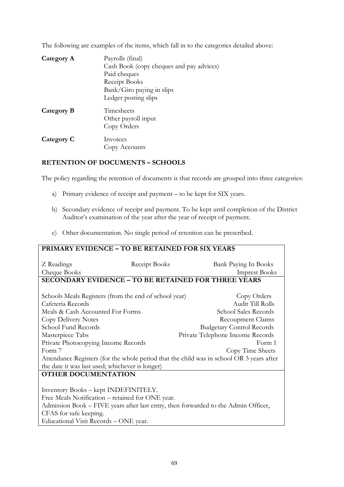The following are examples of the items, which fall in to the categories detailed above:

| Category A | Payrolls (final)<br>Cash Book (copy cheques and pay advices)<br>Paid cheques<br>Receipt Books<br>Bank/Giro paying in slips<br>Ledger posting slips |
|------------|----------------------------------------------------------------------------------------------------------------------------------------------------|
| Category B | Timesheets<br>Other payroll input<br>Copy Orders                                                                                                   |
| Category C | Invoices<br>Copy Accounts                                                                                                                          |

## **RETENTION OF DOCUMENTS – SCHOOLS**

The policy regarding the retention of documents is that records are grouped into three categories:

- a) Primary evidence of receipt and payment to be kept for SIX years.
- b) Secondary evidence of receipt and payment. To be kept until completion of the District Auditor's examination of the year after the year of receipt of payment.
- c) Other documentation. No single period of retention can be prescribed.

| PRIMARY EVIDENCE - TO BE RETAINED FOR SIX YEARS                                          |                                  |  |  |
|------------------------------------------------------------------------------------------|----------------------------------|--|--|
| Receipt Books<br>Z Readings                                                              | Bank Paying In Books             |  |  |
| Cheque Books                                                                             | <b>Imprest Books</b>             |  |  |
| <b>SECONDARY EVIDENCE - TO BE RETAINED FOR THREE YEARS</b>                               |                                  |  |  |
|                                                                                          |                                  |  |  |
| Schools Meals Registers (from the end of school year)                                    | Copy Orders                      |  |  |
| Cafeteria Records                                                                        | <b>Audit Till Rolls</b>          |  |  |
| Meals & Cash Accounted For Forms                                                         | School Sales Records             |  |  |
| Copy Delivery Notes                                                                      | Recoupment Claims                |  |  |
| School Fund Records                                                                      | <b>Budgetary Control Records</b> |  |  |
| Private Telephone Income Records<br>Masterpiece Tabs                                     |                                  |  |  |
| Private Photocopying Income Records                                                      | Form 1                           |  |  |
| Form 7                                                                                   | Copy Time Sheets                 |  |  |
| Attendance Registers (for the whole period that the child was in school OR 3 years after |                                  |  |  |
| the date it was last used; whichever is longer)                                          |                                  |  |  |
| <b>OTHER DOCUMENTATION</b>                                                               |                                  |  |  |
|                                                                                          |                                  |  |  |
| Inventory Books - kept INDEFINITELY.                                                     |                                  |  |  |
| Free Meals Notification – retained for ONE year.                                         |                                  |  |  |
| Admission Book - FIVE years after last entry, then forwarded to the Admin Officer,       |                                  |  |  |
| CFAS for safe keeping.                                                                   |                                  |  |  |
| Educational Visit Records - ONE year.                                                    |                                  |  |  |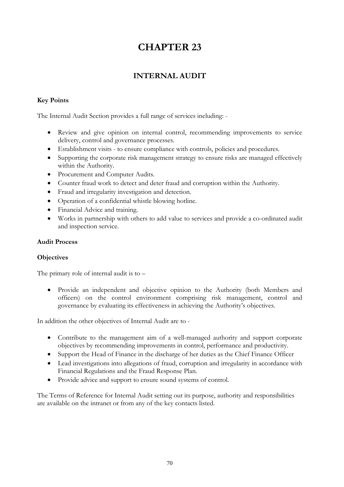# **INTERNAL AUDIT**

## **Key Points**

The Internal Audit Section provides a full range of services including: -

- Review and give opinion on internal control, recommending improvements to service delivery, control and governance processes.
- Establishment visits to ensure compliance with controls, policies and procedures.
- Supporting the corporate risk management strategy to ensure risks are managed effectively within the Authority.
- Procurement and Computer Audits.
- Counter fraud work to detect and deter fraud and corruption within the Authority.
- Fraud and irregularity investigation and detection.
- Operation of a confidential whistle blowing hotline.
- Financial Advice and training.
- Works in partnership with others to add value to services and provide a co-ordinated audit and inspection service.

### **Audit Process**

### **Objectives**

The primary role of internal audit is to –

• Provide an independent and objective opinion to the Authority (both Members and officers) on the control environment comprising risk management, control and governance by evaluating its effectiveness in achieving the Authority's objectives.

In addition the other objectives of Internal Audit are to -

- Contribute to the management aim of a well-managed authority and support corporate objectives by recommending improvements in control, performance and productivity.
- Support the Head of Finance in the discharge of her duties as the Chief Finance Officer
- Lead investigations into allegations of fraud, corruption and irregularity in accordance with Financial Regulations and the Fraud Response Plan.
- Provide advice and support to ensure sound systems of control.

The Terms of Reference for Internal Audit setting out its purpose, authority and responsibilities are available on the intranet or from any of the key contacts listed.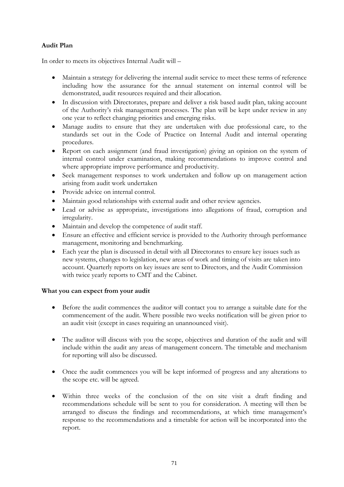## **Audit Plan**

In order to meets its objectives Internal Audit will –

- Maintain a strategy for delivering the internal audit service to meet these terms of reference including how the assurance for the annual statement on internal control will be demonstrated, audit resources required and their allocation.
- In discussion with Directorates, prepare and deliver a risk based audit plan, taking account of the Authority's risk management processes. The plan will be kept under review in any one year to reflect changing priorities and emerging risks.
- Manage audits to ensure that they are undertaken with due professional care, to the standards set out in the Code of Practice on Internal Audit and internal operating procedures.
- Report on each assignment (and fraud investigation) giving an opinion on the system of internal control under examination, making recommendations to improve control and where appropriate improve performance and productivity.
- Seek management responses to work undertaken and follow up on management action arising from audit work undertaken
- Provide advice on internal control.
- Maintain good relationships with external audit and other review agencies.
- Lead or advise as appropriate, investigations into allegations of fraud, corruption and irregularity.
- Maintain and develop the competence of audit staff.
- Ensure an effective and efficient service is provided to the Authority through performance management, monitoring and benchmarking.
- Each year the plan is discussed in detail with all Directorates to ensure key issues such as new systems, changes to legislation, new areas of work and timing of visits are taken into account. Quarterly reports on key issues are sent to Directors, and the Audit Commission with twice yearly reports to CMT and the Cabinet.

### **What you can expect from your audit**

- Before the audit commences the auditor will contact you to arrange a suitable date for the commencement of the audit. Where possible two weeks notification will be given prior to an audit visit (except in cases requiring an unannounced visit).
- The auditor will discuss with you the scope, objectives and duration of the audit and will include within the audit any areas of management concern. The timetable and mechanism for reporting will also be discussed.
- Once the audit commences you will be kept informed of progress and any alterations to the scope etc. will be agreed.
- Within three weeks of the conclusion of the on site visit a draft finding and recommendations schedule will be sent to you for consideration. A meeting will then be arranged to discuss the findings and recommendations, at which time management's response to the recommendations and a timetable for action will be incorporated into the report.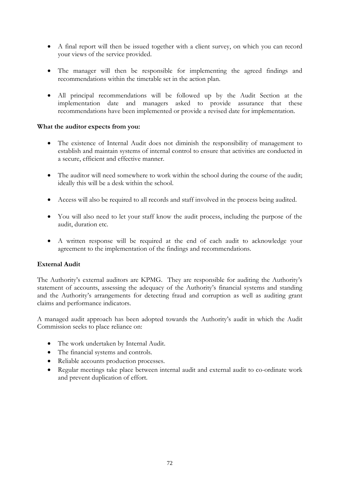- A final report will then be issued together with a client survey, on which you can record your views of the service provided.
- The manager will then be responsible for implementing the agreed findings and recommendations within the timetable set in the action plan.
- All principal recommendations will be followed up by the Audit Section at the implementation date and managers asked to provide assurance that these recommendations have been implemented or provide a revised date for implementation.

#### **What the auditor expects from you:**

- The existence of Internal Audit does not diminish the responsibility of management to establish and maintain systems of internal control to ensure that activities are conducted in a secure, efficient and effective manner.
- The auditor will need somewhere to work within the school during the course of the audit; ideally this will be a desk within the school.
- Access will also be required to all records and staff involved in the process being audited.
- You will also need to let your staff know the audit process, including the purpose of the audit, duration etc.
- A written response will be required at the end of each audit to acknowledge your agreement to the implementation of the findings and recommendations.

# **External Audit**

The Authority's external auditors are KPMG. They are responsible for auditing the Authority's statement of accounts, assessing the adequacy of the Authority's financial systems and standing and the Authority's arrangements for detecting fraud and corruption as well as auditing grant claims and performance indicators.

A managed audit approach has been adopted towards the Authority's audit in which the Audit Commission seeks to place reliance on:

- The work undertaken by Internal Audit.
- The financial systems and controls.
- Reliable accounts production processes.
- Regular meetings take place between internal audit and external audit to co-ordinate work and prevent duplication of effort.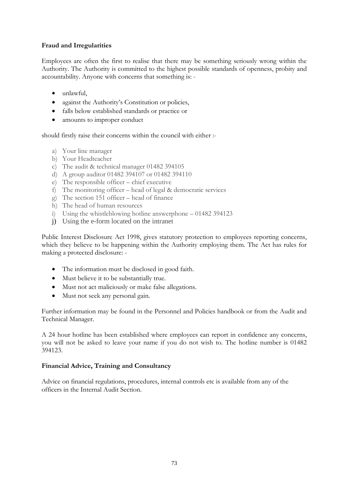## **Fraud and Irregularities**

Employees are often the first to realise that there may be something seriously wrong within the Authority. The Authority is committed to the highest possible standards of openness, probity and accountability. Anyone with concerns that something is: -

- unlawful,
- against the Authority's Constitution or policies,
- falls below established standards or practice or
- amounts to improper conduct

should firstly raise their concerns within the council with either :-

- a) Your line manager
- b) Your Headteacher
- c) The audit & technical manager 01482 394105
- d) A group auditor 01482 394107 or 01482 394110
- e) The responsible officer chief executive
- f) The monitoring officer head of legal & democratic services
- g) The section 151 officer head of finance
- h) The head of human resources
- i) Using the whistleblowing hotline answerphone 01482 394123
- j) Using the e-form located on the intranet

Public Interest Disclosure Act 1998, gives statutory protection to employees reporting concerns, which they believe to be happening within the Authority employing them. The Act has rules for making a protected disclosure: -

- The information must be disclosed in good faith.
- Must believe it to be substantially true.
- Must not act maliciously or make false allegations.
- Must not seek any personal gain.

Further information may be found in the Personnel and Policies handbook or from the Audit and Technical Manager.

A 24 hour hotline has been established where employees can report in confidence any concerns, you will not be asked to leave your name if you do not wish to. The hotline number is 01482 394123.

#### **Financial Advice, Training and Consultancy**

Advice on financial regulations, procedures, internal controls etc is available from any of the officers in the Internal Audit Section.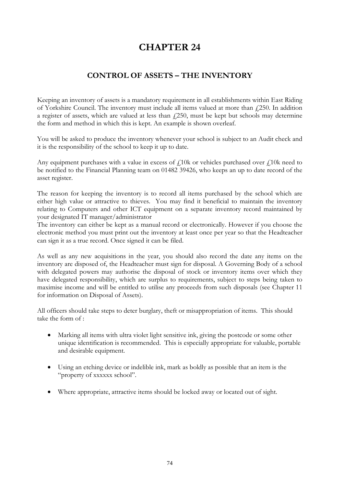# **CONTROL OF ASSETS – THE INVENTORY**

Keeping an inventory of assets is a mandatory requirement in all establishments within East Riding of Yorkshire Council. The inventory must include all items valued at more than  $\ell$ 250. In addition a register of assets, which are valued at less than  $f(250)$ , must be kept but schools may determine the form and method in which this is kept. An example is shown overleaf.

You will be asked to produce the inventory whenever your school is subject to an Audit check and it is the responsibility of the school to keep it up to date.

Any equipment purchases with a value in excess of  $f_1$ 10k or vehicles purchased over  $f_1$ 10k need to be notified to the Financial Planning team on 01482 39426, who keeps an up to date record of the asset register.

The reason for keeping the inventory is to record all items purchased by the school which are either high value or attractive to thieves. You may find it beneficial to maintain the inventory relating to Computers and other ICT equipment on a separate inventory record maintained by your designated IT manager/administrator

The inventory can either be kept as a manual record or electronically. However if you choose the electronic method you must print out the inventory at least once per year so that the Headteacher can sign it as a true record. Once signed it can be filed.

As well as any new acquisitions in the year, you should also record the date any items on the inventory are disposed of, the Headteacher must sign for disposal. A Governing Body of a school with delegated powers may authorise the disposal of stock or inventory items over which they have delegated responsibility, which are surplus to requirements, subject to steps being taken to maximise income and will be entitled to utilise any proceeds from such disposals (see Chapter 11 for information on Disposal of Assets).

All officers should take steps to deter burglary, theft or misappropriation of items. This should take the form of :

- Marking all items with ultra violet light sensitive ink, giving the postcode or some other unique identification is recommended. This is especially appropriate for valuable, portable and desirable equipment.
- Using an etching device or indelible ink, mark as boldly as possible that an item is the "property of xxxxxx school".
- Where appropriate, attractive items should be locked away or located out of sight.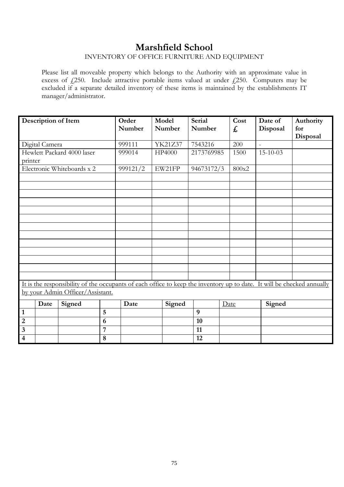# **Marshfield School**

# INVENTORY OF OFFICE FURNITURE AND EQUIPMENT

Please list all moveable property which belongs to the Authority with an approximate value in excess of  $\text{\emph{L}}250$ . Include attractive portable items valued at under  $\text{\emph{L}}250$ . Computers may be excluded if a separate detailed inventory of these items is maintained by the establishments IT manager/administrator.

|                         |                | Description of Item                                                                                                    |                | Order<br>Number | Model<br>Number | <b>Serial</b><br>Number |      | Cost<br>£ | Date of<br>Disposal | Authority<br>for<br>Disposal |
|-------------------------|----------------|------------------------------------------------------------------------------------------------------------------------|----------------|-----------------|-----------------|-------------------------|------|-----------|---------------------|------------------------------|
|                         | Digital Camera |                                                                                                                        |                | 999111          | YK21Z37         | 7543216                 |      | 200       | $\sim$              |                              |
| printer                 |                | Hewlett Packard 4000 laser                                                                                             |                | 999014          | HP4000          | 2173769985              |      | 1500      | $15 - 10 - 03$      |                              |
|                         |                | Electronic Whiteboards x 2                                                                                             |                | 999121/2        | EW21FP          | 94673172/3              |      | 800x2     |                     |                              |
|                         |                |                                                                                                                        |                |                 |                 |                         |      |           |                     |                              |
|                         |                |                                                                                                                        |                |                 |                 |                         |      |           |                     |                              |
|                         |                |                                                                                                                        |                |                 |                 |                         |      |           |                     |                              |
|                         |                |                                                                                                                        |                |                 |                 |                         |      |           |                     |                              |
|                         |                |                                                                                                                        |                |                 |                 |                         |      |           |                     |                              |
|                         |                |                                                                                                                        |                |                 |                 |                         |      |           |                     |                              |
|                         |                |                                                                                                                        |                |                 |                 |                         |      |           |                     |                              |
|                         |                |                                                                                                                        |                |                 |                 |                         |      |           |                     |                              |
|                         |                |                                                                                                                        |                |                 |                 |                         |      |           |                     |                              |
|                         |                |                                                                                                                        |                |                 |                 |                         |      |           |                     |                              |
|                         |                |                                                                                                                        |                |                 |                 |                         |      |           |                     |                              |
|                         |                | It is the responsibility of the occupants of each office to keep the inventory up to date. It will be checked annually |                |                 |                 |                         |      |           |                     |                              |
|                         |                | by your Admin Officer/Assistant.                                                                                       |                |                 |                 |                         |      |           |                     |                              |
|                         | Date           | Signed                                                                                                                 |                | Date            | Signed          |                         | Date |           | Signed              |                              |
| $\mathbf{1}$            |                |                                                                                                                        | 5              |                 |                 | $\boldsymbol{9}$        |      |           |                     |                              |
| $\overline{2}$          |                |                                                                                                                        | 6              |                 |                 | 10                      |      |           |                     |                              |
| $\mathbf{3}$            |                |                                                                                                                        | $\overline{7}$ |                 |                 | 11                      |      |           |                     |                              |
| $\overline{\mathbf{4}}$ |                |                                                                                                                        | 8              |                 |                 | 12                      |      |           |                     |                              |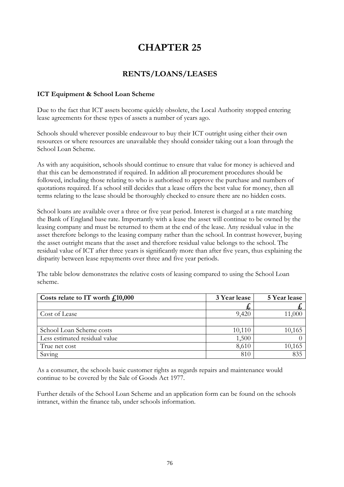# **RENTS/LOANS/LEASES**

#### **ICT Equipment & School Loan Scheme**

Due to the fact that ICT assets become quickly obsolete, the Local Authority stopped entering lease agreements for these types of assets a number of years ago.

Schools should wherever possible endeavour to buy their ICT outright using either their own resources or where resources are unavailable they should consider taking out a loan through the School Loan Scheme.

As with any acquisition, schools should continue to ensure that value for money is achieved and that this can be demonstrated if required. In addition all procurement procedures should be followed, including those relating to who is authorised to approve the purchase and numbers of quotations required. If a school still decides that a lease offers the best value for money, then all terms relating to the lease should be thoroughly checked to ensure there are no hidden costs.

School loans are available over a three or five year period. Interest is charged at a rate matching the Bank of England base rate. Importantly with a lease the asset will continue to be owned by the leasing company and must be returned to them at the end of the lease. Any residual value in the asset therefore belongs to the leasing company rather than the school. In contrast however, buying the asset outright means that the asset and therefore residual value belongs to the school. The residual value of ICT after three years is significantly more than after five years, thus explaining the disparity between lease repayments over three and five year periods.

The table below demonstrates the relative costs of leasing compared to using the School Loan scheme.

| Costs relate to IT worth $f10,000$ | 3 Year lease | 5 Year lease |
|------------------------------------|--------------|--------------|
|                                    | ゐ            |              |
| Cost of Lease                      | 9,420        | 11,000       |
|                                    |              |              |
| School Loan Scheme costs           | 10,110       | 10,165       |
| Less estimated residual value      | 1,500        |              |
| True net cost                      | 8,610        | 10,165       |
| Saving                             | 810          | 835          |

As a consumer, the schools basic customer rights as regards repairs and maintenance would continue to be covered by the Sale of Goods Act 1977.

Further details of the School Loan Scheme and an application form can be found on the schools intranet, within the finance tab, under schools information.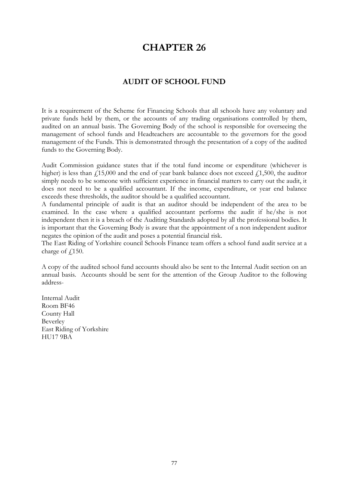# **AUDIT OF SCHOOL FUND**

It is a requirement of the Scheme for Financing Schools that all schools have any voluntary and private funds held by them, or the accounts of any trading organisations controlled by them, audited on an annual basis. The Governing Body of the school is responsible for overseeing the management of school funds and Headteachers are accountable to the governors for the good management of the Funds. This is demonstrated through the presentation of a copy of the audited funds to the Governing Body.

Audit Commission guidance states that if the total fund income or expenditure (whichever is higher) is less than  $\ell$ 15,000 and the end of year bank balance does not exceed  $\ell$ 1,500, the auditor simply needs to be someone with sufficient experience in financial matters to carry out the audit, it does not need to be a qualified accountant. If the income, expenditure, or year end balance exceeds these thresholds, the auditor should be a qualified accountant.

A fundamental principle of audit is that an auditor should be independent of the area to be examined. In the case where a qualified accountant performs the audit if he/she is not independent then it is a breach of the Auditing Standards adopted by all the professional bodies. It is important that the Governing Body is aware that the appointment of a non independent auditor negates the opinion of the audit and poses a potential financial risk.

The East Riding of Yorkshire council Schools Finance team offers a school fund audit service at a charge of  $f$ <sub>150</sub>.

A copy of the audited school fund accounts should also be sent to the Internal Audit section on an annual basis. Accounts should be sent for the attention of the Group Auditor to the following address-

Internal Audit Room BF46 County Hall Beverley East Riding of Yorkshire HU17 9BA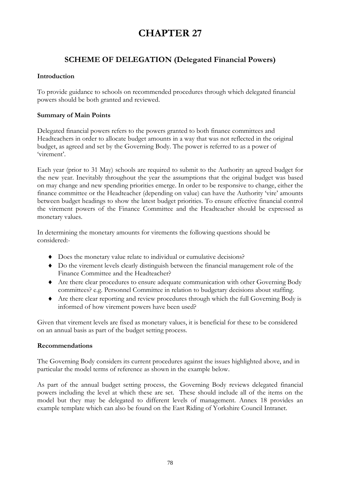# **SCHEME OF DELEGATION (Delegated Financial Powers)**

# **Introduction**

To provide guidance to schools on recommended procedures through which delegated financial powers should be both granted and reviewed.

## **Summary of Main Points**

Delegated financial powers refers to the powers granted to both finance committees and Headteachers in order to allocate budget amounts in a way that was not reflected in the original budget, as agreed and set by the Governing Body. The power is referred to as a power of 'virement'.

Each year (prior to 31 May) schools are required to submit to the Authority an agreed budget for the new year. Inevitably throughout the year the assumptions that the original budget was based on may change and new spending priorities emerge. In order to be responsive to change, either the finance committee or the Headteacher (depending on value) can have the Authority 'vire' amounts between budget headings to show the latest budget priorities. To ensure effective financial control the virement powers of the Finance Committee and the Headteacher should be expressed as monetary values.

In determining the monetary amounts for virements the following questions should be considered:-

- ♦ Does the monetary value relate to individual or cumulative decisions?
- ♦ Do the virement levels clearly distinguish between the financial management role of the Finance Committee and the Headteacher?
- ♦ Are there clear procedures to ensure adequate communication with other Governing Body committees? e.g. Personnel Committee in relation to budgetary decisions about staffing.
- ♦ Are there clear reporting and review procedures through which the full Governing Body is informed of how virement powers have been used?

Given that virement levels are fixed as monetary values, it is beneficial for these to be considered on an annual basis as part of the budget setting process.

#### **Recommendations**

The Governing Body considers its current procedures against the issues highlighted above, and in particular the model terms of reference as shown in the example below.

As part of the annual budget setting process, the Governing Body reviews delegated financial powers including the level at which these are set. These should include all of the items on the model but they may be delegated to different levels of management. Annex 18 provides an example template which can also be found on the East Riding of Yorkshire Council Intranet.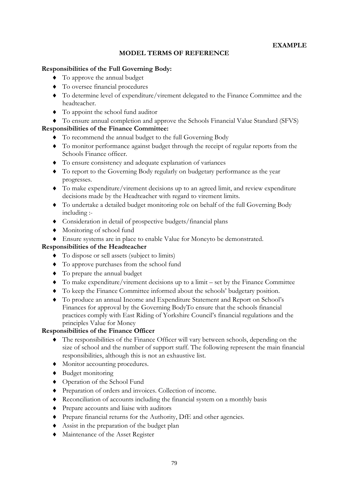# **MODEL TERMS OF REFERENCE**

## **Responsibilities of the Full Governing Body:**

- ♦ To approve the annual budget
- ♦ To oversee financial procedures
- ♦ To determine level of expenditure/virement delegated to the Finance Committee and the headteacher.
- ♦ To appoint the school fund auditor
- ♦ To ensure annual completion and approve the Schools Financial Value Standard (SFVS)

## **Responsibilities of the Finance Committee:**

- ♦ To recommend the annual budget to the full Governing Body
- ♦ To monitor performance against budget through the receipt of regular reports from the Schools Finance officer.
- ♦ To ensure consistency and adequate explanation of variances
- ♦ To report to the Governing Body regularly on budgetary performance as the year progresses.
- ♦ To make expenditure/virement decisions up to an agreed limit, and review expenditure decisions made by the Headteacher with regard to virement limits.
- ♦ To undertake a detailed budget monitoring role on behalf of the full Governing Body including :-
- ♦ Consideration in detail of prospective budgets/financial plans
- ♦ Monitoring of school fund
- ♦ Ensure systems are in place to enable Value for Moneyto be demonstrated.

#### **Responsibilities of the Headteacher**

- ♦ To dispose or sell assets (subject to limits)
- ♦ To approve purchases from the school fund
- ♦ To prepare the annual budget
- ♦ To make expenditure/virement decisions up to a limit set by the Finance Committee
- ♦ To keep the Finance Committee informed about the schools' budgetary position.
- ♦ To produce an annual Income and Expenditure Statement and Report on School's Finances for approval by the Governing BodyTo ensure that the schools financial practices comply with East Riding of Yorkshire Council's financial regulations and the principles Value for Money

#### **Responsibilities of the Finance Officer**

- ♦ The responsibilities of the Finance Officer will vary between schools, depending on the size of school and the number of support staff. The following represent the main financial responsibilities, although this is not an exhaustive list.
- ♦ Monitor accounting procedures.
- ♦ Budget monitoring
- ♦ Operation of the School Fund
- ♦ Preparation of orders and invoices. Collection of income.
- ♦ Reconciliation of accounts including the financial system on a monthly basis
- ♦ Prepare accounts and liaise with auditors
- ♦ Prepare financial returns for the Authority, DfE and other agencies.
- ♦ Assist in the preparation of the budget plan
- ♦ Maintenance of the Asset Register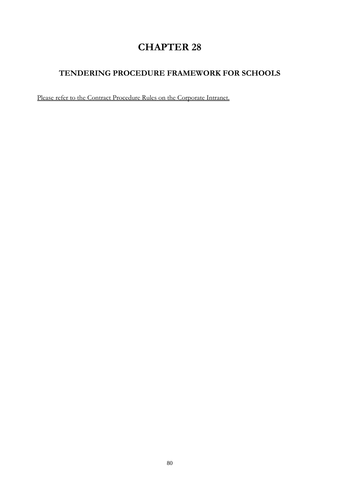# **TENDERING PROCEDURE FRAMEWORK FOR SCHOOLS**

Please refer to the Contract Procedure Rules on the Corporate Intranet.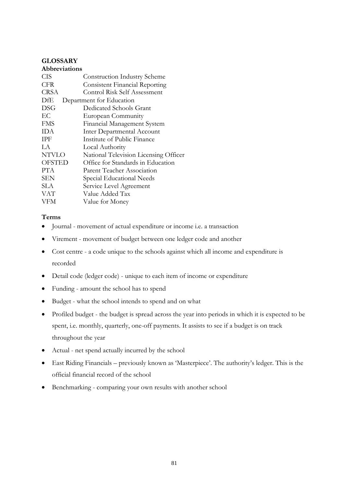## **GLOSSARY**

| <b>Abbreviations</b> |                                       |
|----------------------|---------------------------------------|
| CIS                  | Construction Industry Scheme          |
| <b>CFR</b>           | <b>Consistent Financial Reporting</b> |
| CRSA                 | Control Risk Self Assessment          |
| DfE                  | Department for Education              |
| DSG                  | Dedicated Schools Grant               |
| EС                   | European Community                    |
| <b>FMS</b>           | Financial Management System           |
| <b>IDA</b>           | <b>Inter Departmental Account</b>     |
| <b>IPF</b>           | Institute of Public Finance           |
| LA.                  | Local Authority                       |
| <b>NTVLO</b>         | National Television Licensing Officer |
| <b>OFSTED</b>        | Office for Standards in Education     |
| PTA.                 | Parent Teacher Association            |
| <b>SEN</b>           | Special Educational Needs             |
| SLA.                 | Service Level Agreement               |
| VAT                  | Value Added Tax                       |
| VFM                  | Value for Money                       |
|                      |                                       |

#### **Terms**

- Journal movement of actual expenditure or income i.e. a transaction
- Virement movement of budget between one ledger code and another
- Cost centre a code unique to the schools against which all income and expenditure is recorded
- Detail code (ledger code) unique to each item of income or expenditure
- Funding amount the school has to spend
- Budget what the school intends to spend and on what
- Profiled budget the budget is spread across the year into periods in which it is expected to be spent, i.e. monthly, quarterly, one-off payments. It assists to see if a budget is on track throughout the year
- Actual net spend actually incurred by the school
- East Riding Financials previously known as 'Masterpiece'. The authority's ledger. This is the official financial record of the school
- Benchmarking comparing your own results with another school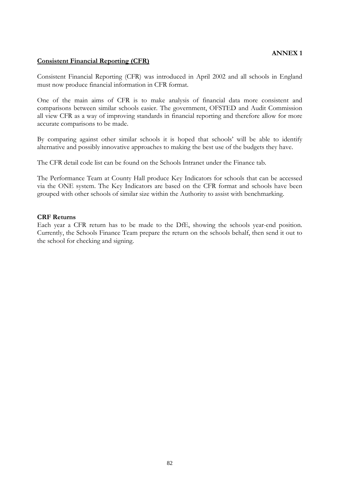#### **Consistent Financial Reporting (CFR)**

Consistent Financial Reporting (CFR) was introduced in April 2002 and all schools in England must now produce financial information in CFR format.

One of the main aims of CFR is to make analysis of financial data more consistent and comparisons between similar schools easier. The government, OFSTED and Audit Commission all view CFR as a way of improving standards in financial reporting and therefore allow for more accurate comparisons to be made.

By comparing against other similar schools it is hoped that schools' will be able to identify alternative and possibly innovative approaches to making the best use of the budgets they have.

The CFR detail code list can be found on the Schools Intranet under the Finance tab.

The Performance Team at County Hall produce Key Indicators for schools that can be accessed via the ONE system. The Key Indicators are based on the CFR format and schools have been grouped with other schools of similar size within the Authority to assist with benchmarking.

#### **CRF Returns**

Each year a CFR return has to be made to the DfE, showing the schools year-end position. Currently, the Schools Finance Team prepare the return on the schools behalf, then send it out to the school for checking and signing.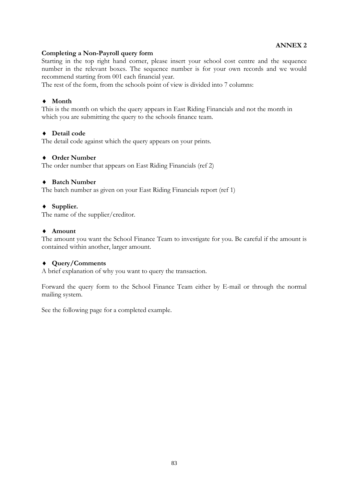#### **Completing a Non-Payroll query form**

Starting in the top right hand corner, please insert your school cost centre and the sequence number in the relevant boxes. The sequence number is for your own records and we would recommend starting from 001 each financial year.

The rest of the form, from the schools point of view is divided into 7 columns:

# ♦ **Month**

This is the month on which the query appears in East Riding Financials and not the month in which you are submitting the query to the schools finance team.

#### ♦ **Detail code**

The detail code against which the query appears on your prints.

#### ♦ **Order Number**

The order number that appears on East Riding Financials (ref 2)

#### ♦ **Batch Number**

The batch number as given on your East Riding Financials report (ref 1)

#### ♦ **Supplier.**

The name of the supplier/creditor.

#### ♦ **Amount**

The amount you want the School Finance Team to investigate for you. Be careful if the amount is contained within another, larger amount.

#### ♦ **Query/Comments**

A brief explanation of why you want to query the transaction.

Forward the query form to the School Finance Team either by E-mail or through the normal mailing system.

See the following page for a completed example.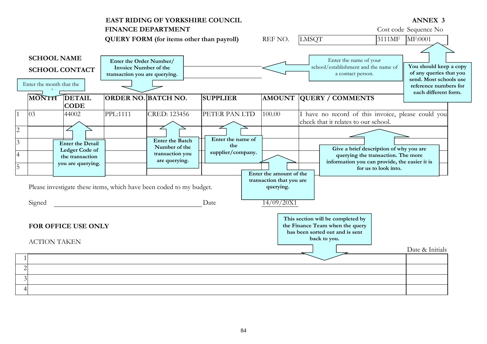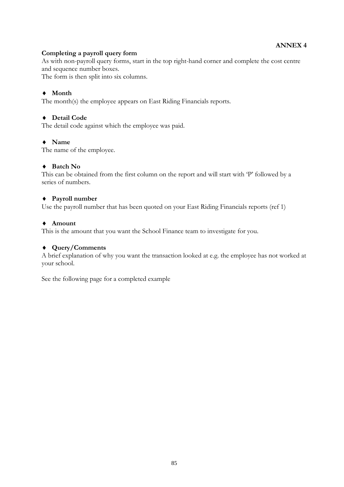## **Completing a payroll query form**

As with non-payroll query forms, start in the top right-hand corner and complete the cost centre and sequence number boxes.

The form is then split into six columns.

# ♦ **Month**

The month(s) the employee appears on East Riding Financials reports.

## ♦ **Detail Code**

The detail code against which the employee was paid.

## ♦ **Name**

The name of the employee.

## ♦ **Batch No**

This can be obtained from the first column on the report and will start with 'P' followed by a series of numbers.

## ♦ **Payroll number**

Use the payroll number that has been quoted on your East Riding Financials reports (ref 1)

## ♦ **Amount**

This is the amount that you want the School Finance team to investigate for you.

#### ♦ **Query/Comments**

A brief explanation of why you want the transaction looked at e.g. the employee has not worked at your school.

See the following page for a completed example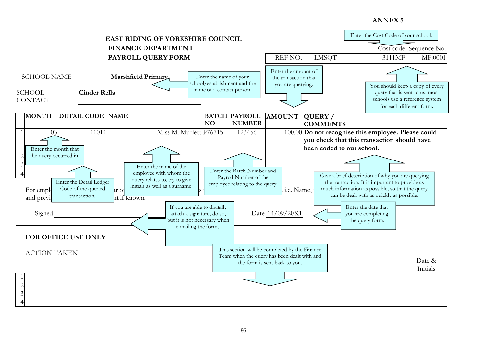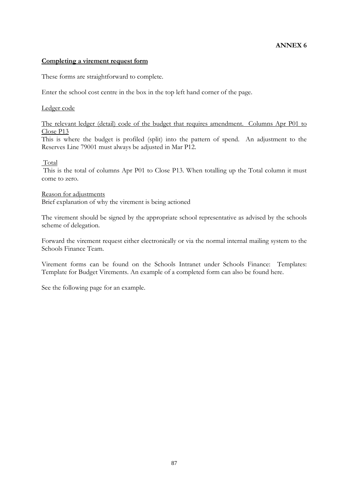#### **Completing a virement request form**

These forms are straightforward to complete.

Enter the school cost centre in the box in the top left hand corner of the page.

#### Ledger code

The relevant ledger (detail) code of the budget that requires amendment. Columns Apr P01 to Close P13

This is where the budget is profiled (split) into the pattern of spend. An adjustment to the Reserves Line 79001 must always be adjusted in Mar P12.

#### Total

This is the total of columns Apr P01 to Close P13. When totalling up the Total column it must come to zero.

#### Reason for adjustments

Brief explanation of why the virement is being actioned

The virement should be signed by the appropriate school representative as advised by the schools scheme of delegation.

Forward the virement request either electronically or via the normal internal mailing system to the Schools Finance Team.

Virement forms can be found on the Schools Intranet under Schools Finance: Templates: Template for Budget Virements. An example of a completed form can also be found here.

See the following page for an example.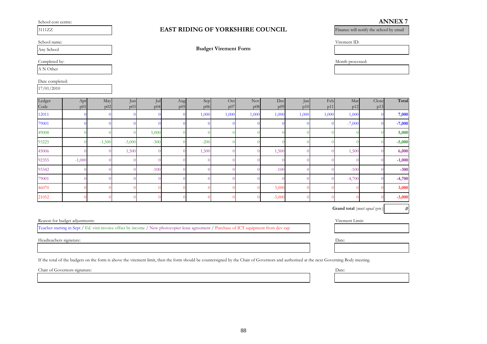School cost centre:

Date completed:

|  | ۳ |  |
|--|---|--|

Any School

A N Other

17/01/2010

#### 3111ZZ **EAST RIDING OF YORKSHIRE COUNCIL** Finance will notify the school by email

School name: Virement ID:

Completed by: Month processed:

| Ledger | Apr      | May      | Jun      | Jul    | Aug | Sep    | Oct   | Nov <sup>1</sup> | Dec      | Jan   | Feb   | Mar      | Close | Total    |
|--------|----------|----------|----------|--------|-----|--------|-------|------------------|----------|-------|-------|----------|-------|----------|
| Code   | p01      | p02      | p03      | p04    | p05 | p06    | p07   | p08              | p09      | p10   | p11   | p12      | p13   |          |
| 12011  |          |          |          |        |     | 1,000  | 1,000 | 1,000            | 1,000    | 1,000 | 1,000 | 1,000    |       | 7,000    |
| 79001  |          |          |          |        |     |        |       |                  |          |       |       | $-7,000$ |       | $-7,000$ |
| 49008  |          |          |          | 5,000  |     |        |       |                  |          |       |       |          |       | 5,000    |
| 93225  |          | $-1,500$ | $-3,000$ | $-300$ |     | $-200$ |       |                  |          |       |       |          |       | $-5,000$ |
| 45006  |          |          | 1,500    |        |     | 1,500  |       |                  | 1,500    |       |       | 1,500    |       | 6,000    |
| 92355  | $-1,000$ |          |          |        |     |        |       |                  |          |       |       |          |       | $-1,000$ |
| 93342  |          |          |          | $-100$ |     |        |       |                  | $-100$   |       |       | $-100$   |       | $-300$   |
| 79001  |          |          |          |        |     |        |       |                  |          |       |       | $-4,700$ |       | $-4,700$ |
| 46070  |          |          |          |        |     |        |       |                  | 3,000    |       |       |          |       | 3,000    |
| 21052  |          |          |          |        |     |        |       |                  | $-3,000$ |       |       |          |       | $-3,000$ |

**Grand total** (*must equal zero*) 0

Reason for budget adjustments: Virement Limit:

Teacher starting in Sept / Ed. visit invoice offset by income / New photocopier lease agreement / Purchase of ICT equipment from dev cap

Headteachers signature: Date: Date: Date: Date: Date: Date: Date: Date: Date: Date: Date: Date: Date: Date: Date: Date: Date: Date: Date: Date: Date: Date: Date: Date: Date: Date: Date: Date: Date: Date: Date: Date: Date:

If the total of the budgets on the form is above the virement limit, then the form should be countersigned by the Chair of Governors and authorised at the next Governing Body meeting.

Chair of Governors signature: Date:

**Budget Virement Form**

**ANNEX 7**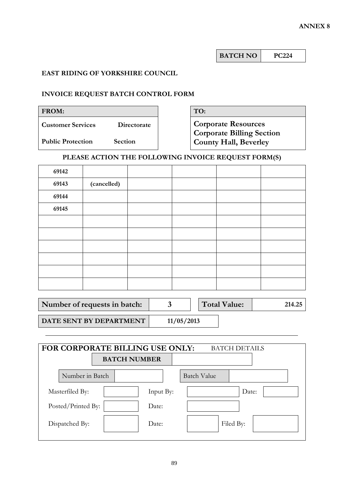| <b>BATCH NO</b> | 7224 |
|-----------------|------|
|-----------------|------|

# **EAST RIDING OF YORKSHIRE COUNCIL**

# **INVOICE REQUEST BATCH CONTROL FORM**

| <b>FROM:</b>             |                | TO:                                                              |
|--------------------------|----------------|------------------------------------------------------------------|
| <b>Customer Services</b> | Directorate    | <b>Corporate Resources</b>                                       |
| <b>Public Protection</b> | <b>Section</b> | <b>Corporate Billing Section</b><br><b>County Hall, Beverley</b> |

# **PLEASE ACTION THE FOLLOWING INVOICE REQUEST FORM(S)**

| 69142 |             |  |  |
|-------|-------------|--|--|
| 69143 | (cancelled) |  |  |
| 69144 |             |  |  |
| 69145 |             |  |  |
|       |             |  |  |
|       |             |  |  |
|       |             |  |  |
|       |             |  |  |
|       |             |  |  |
|       |             |  |  |

| Number of requests in batch:     |            | <b>Total Value:</b> | 214.25 |
|----------------------------------|------------|---------------------|--------|
| <b>DATE SENT BY DEPARTMENT  </b> | 11/05/2013 |                     |        |

| FOR CORPORATE BILLING USE ONLY:<br><b>BATCH DETAILS</b> |                     |           |                    |  |  |  |  |  |
|---------------------------------------------------------|---------------------|-----------|--------------------|--|--|--|--|--|
|                                                         | <b>BATCH NUMBER</b> |           |                    |  |  |  |  |  |
| Number in Batch                                         |                     |           | <b>Batch Value</b> |  |  |  |  |  |
| Masterfiled By:                                         |                     | Input By: | Date:              |  |  |  |  |  |
| Posted/Printed By:                                      |                     | Date:     |                    |  |  |  |  |  |
| Dispatched By:                                          |                     | Date:     | Filed By:          |  |  |  |  |  |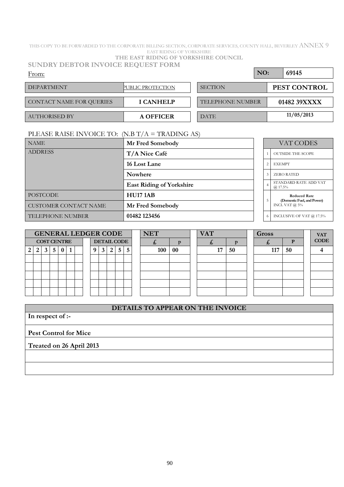THIS COPY TO BE FORWARDED TO THE CORPORATE BILLING SECTION, CORPORATE SERVICES, COUNTY HALL, BEVERLEY ANNEX 9 EAST RIDING OF YORKSHIRE

| <b>SUNDRY DEBTOR INVOICE REQUEST FORM</b> |
|-------------------------------------------|
| THE EAST RIDING OF YORKSHIRE COUNCIL      |

| <b>DEPARTMENT</b>        | PUBLIC PROTECTION | <b>SECTION</b>          | PEST CONTROL |
|--------------------------|-------------------|-------------------------|--------------|
|                          |                   |                         |              |
| CONTACT NAME FOR QUERIES | <b>I CANHELP</b>  | <b>TELEPHONE NUMBER</b> | 01482 39XXXX |
|                          |                   |                         |              |
| <b>AUTHORISED BY</b>     | A OFFICER         | <b>DATE</b>             | 11/05/2013   |

# PLEASE RAISE INVOICE TO: (N.B T/A = TRADING AS)

| <b>NAME</b>                  | Mr Fred Somebody                |                | VAT CODES                                         |
|------------------------------|---------------------------------|----------------|---------------------------------------------------|
| <b>ADDRESS</b>               | T/A Nice Café                   |                | <b>OUTSIDE THE SCOPE</b>                          |
|                              | 16 Lost Lane                    |                | <b>EXEMPT</b><br>$\overline{2}$                   |
|                              | <b>Nowhere</b>                  |                | <b>ZERO RATED</b><br>3                            |
|                              | <b>East Riding of Yorkshire</b> | $\overline{4}$ | STANDARD RATE ADD VAT<br>$(a)$ 17.5%              |
| <b>POSTCODE</b>              | <b>HU17 1AB</b>                 |                | <b>Reduced Rate</b><br>(Domestic Fuel, and Power) |
| <b>CUSTOMER CONTACT NAME</b> | Mr Fred Somebody                |                | INCL VAT $@$ 5%                                   |
| <b>TELEPHONE NUMBER</b>      | 01482 123456                    |                | INCLUSIVE OF VAT @ 17.5%<br>6                     |

|   |                    |   |          |  |  |                    |   | <b>GENERAL LEDGER CODE</b> |   |  | <b>NET</b> | <b>VAT</b><br><b>Gross</b> |  |    |    |  |     |    | <b>VAT</b>  |
|---|--------------------|---|----------|--|--|--------------------|---|----------------------------|---|--|------------|----------------------------|--|----|----|--|-----|----|-------------|
|   | <b>COST CENTRE</b> |   |          |  |  | <b>DETAIL CODE</b> |   |                            |   |  | 天          |                            |  |    |    |  |     |    | <b>CODE</b> |
| 2 | 3                  | 5 | $\bf{0}$ |  |  | $3^{\circ}$        | 2 | 5 <sup>1</sup>             | 5 |  | 100        | 00                         |  | 17 | 50 |  | 117 | 50 |             |
|   |                    |   |          |  |  |                    |   |                            |   |  |            |                            |  |    |    |  |     |    |             |
|   |                    |   |          |  |  |                    |   |                            |   |  |            |                            |  |    |    |  |     |    |             |
|   |                    |   |          |  |  |                    |   |                            |   |  |            |                            |  |    |    |  |     |    |             |
|   |                    |   |          |  |  |                    |   |                            |   |  |            |                            |  |    |    |  |     |    |             |
|   |                    |   |          |  |  |                    |   |                            |   |  |            |                            |  |    |    |  |     |    |             |

# **DETAILS TO APPEAR ON THE INVOICE**

**In respect of :-**

**Pest Control for Mice**

**Treated on 26 April 2013**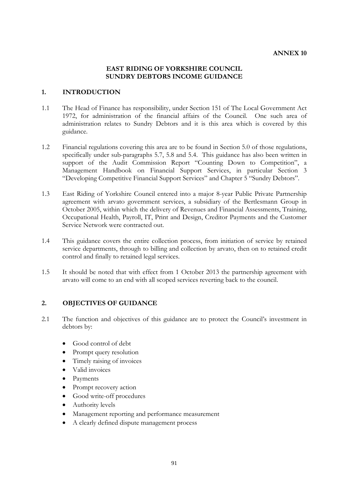#### **EAST RIDING OF YORKSHIRE COUNCIL SUNDRY DEBTORS INCOME GUIDANCE**

#### **1. INTRODUCTION**

- 1.1 The Head of Finance has responsibility, under Section 151 of The Local Government Act 1972, for administration of the financial affairs of the Council. One such area of administration relates to Sundry Debtors and it is this area which is covered by this guidance.
- 1.2 Financial regulations covering this area are to be found in Section 5.0 of those regulations, specifically under sub-paragraphs 5.7, 5.8 and 5.4. This guidance has also been written in support of the Audit Commission Report "Counting Down to Competition", a Management Handbook on Financial Support Services, in particular Section 3 "Developing Competitive Financial Support Services" and Chapter 5 "Sundry Debtors".
- 1.3 East Riding of Yorkshire Council entered into a major 8-year Public Private Partnership agreement with arvato government services, a subsidiary of the Bertlesmann Group in October 2005, within which the delivery of Revenues and Financial Assessments, Training, Occupational Health, Payroll, IT, Print and Design, Creditor Payments and the Customer Service Network were contracted out.
- 1.4 This guidance covers the entire collection process, from initiation of service by retained service departments, through to billing and collection by arvato, then on to retained credit control and finally to retained legal services.
- 1.5 It should be noted that with effect from 1 October 2013 the partnership agreement with arvato will come to an end with all scoped services reverting back to the council.

#### **2. OBJECTIVES OF GUIDANCE**

- 2.1 The function and objectives of this guidance are to protect the Council's investment in debtors by:
	- Good control of debt
	- Prompt query resolution
	- Timely raising of invoices
	- Valid invoices
	- Payments
	- Prompt recovery action
	- Good write-off procedures
	- Authority levels
	- Management reporting and performance measurement
	- A clearly defined dispute management process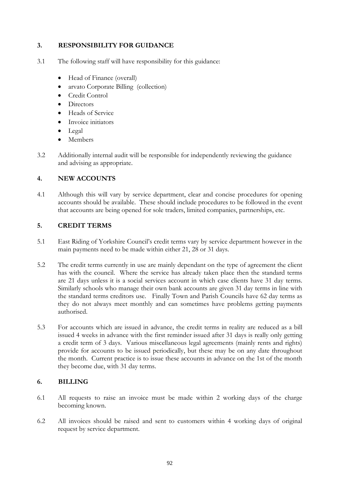# **3. RESPONSIBILITY FOR GUIDANCE**

- 3.1 The following staff will have responsibility for this guidance:
	- Head of Finance (overall)
	- arvato Corporate Billing (collection)
	- Credit Control
	- Directors
	- Heads of Service
	- Invoice initiators
	- Legal
	- Members
- 3.2 Additionally internal audit will be responsible for independently reviewing the guidance and advising as appropriate.

# **4. NEW ACCOUNTS**

4.1 Although this will vary by service department, clear and concise procedures for opening accounts should be available. These should include procedures to be followed in the event that accounts are being opened for sole traders, limited companies, partnerships, etc.

## **5. CREDIT TERMS**

- 5.1 East Riding of Yorkshire Council's credit terms vary by service department however in the main payments need to be made within either 21, 28 or 31 days.
- 5.2 The credit terms currently in use are mainly dependant on the type of agreement the client has with the council. Where the service has already taken place then the standard terms are 21 days unless it is a social services account in which case clients have 31 day terms. Similarly schools who manage their own bank accounts are given 31 day terms in line with the standard terms creditors use. Finally Town and Parish Councils have 62 day terms as they do not always meet monthly and can sometimes have problems getting payments authorised.
- 5.3 For accounts which are issued in advance, the credit terms in reality are reduced as a bill issued 4 weeks in advance with the first reminder issued after 31 days is really only getting a credit term of 3 days. Various miscellaneous legal agreements (mainly rents and rights) provide for accounts to be issued periodically, but these may be on any date throughout the month. Current practice is to issue these accounts in advance on the 1st of the month they become due, with 31 day terms.

# **6. BILLING**

- 6.1 All requests to raise an invoice must be made within 2 working days of the charge becoming known.
- 6.2 All invoices should be raised and sent to customers within 4 working days of original request by service department.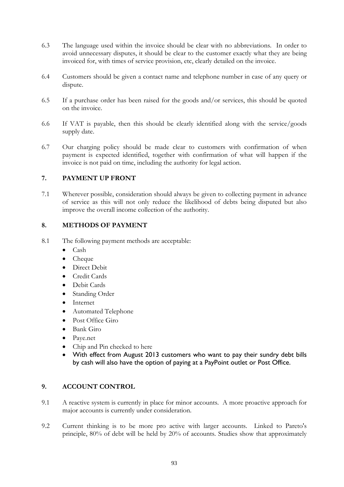- 6.3 The language used within the invoice should be clear with no abbreviations. In order to avoid unnecessary disputes, it should be clear to the customer exactly what they are being invoiced for, with times of service provision, etc, clearly detailed on the invoice.
- 6.4 Customers should be given a contact name and telephone number in case of any query or dispute.
- 6.5 If a purchase order has been raised for the goods and/or services, this should be quoted on the invoice.
- 6.6 If VAT is payable, then this should be clearly identified along with the service/goods supply date.
- 6.7 Our charging policy should be made clear to customers with confirmation of when payment is expected identified, together with confirmation of what will happen if the invoice is not paid on time, including the authority for legal action.

# **7. PAYMENT UP FRONT**

7.1 Wherever possible, consideration should always be given to collecting payment in advance of service as this will not only reduce the likelihood of debts being disputed but also improve the overall income collection of the authority.

## **8. METHODS OF PAYMENT**

- 8.1 The following payment methods are acceptable:
	- Cash
	- Cheque
	- Direct Debit
	- Credit Cards
	- Debit Cards
	- Standing Order
	- Internet
	- Automated Telephone
	- Post Office Giro
	- Bank Giro
	- Paye.net
	- Chip and Pin checked to here
	- With effect from August 2013 customers who want to pay their sundry debt bills by cash will also have the option of paying at a PayPoint outlet or Post Office.

#### **9. ACCOUNT CONTROL**

- 9.1 A reactive system is currently in place for minor accounts. A more proactive approach for major accounts is currently under consideration.
- 9.2 Current thinking is to be more pro active with larger accounts. Linked to Pareto's principle, 80% of debt will be held by 20% of accounts. Studies show that approximately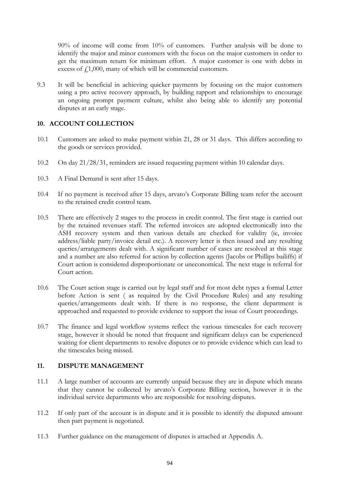90% of income will come from 10% of customers. Further analysis will be done to identify the major and minor customers with the focus on the major customers in order to get the maximum return for minimum effort. A major customer is one with debts in excess of  $f(1,000)$ , many of which will be commercial customers.

9.3 It will be beneficial in achieving quicker payments by focusing on the major customers using a pro active recovery approach, by building rapport and relationships to encourage an ongoing prompt payment culture, whilst also being able to identify any potential disputes at an early stage.

## **10. ACCOUNT COLLECTION**

- 10.1 Customers are asked to make payment within 21, 28 or 31 days. This differs according to the goods or services provided.
- 10.2 On day 21/28/31, reminders are issued requesting payment within 10 calendar days.
- 10.3 A Final Demand is sent after 15 days.
- 10.4 If no payment is received after 15 days, arvato's Corporate Billing team refer the account to the retained credit control team.
- 10.5 There are effectively 2 stages to the process in credit control. The first stage is carried out by the retained revenues staff. The referred invoices are adopted electronically into the ASH recovery system and then various details are checked for validity (ie, invoice address/liable party/invoice detail etc.). A recovery letter is then issued and any resulting queries/arrangements dealt with. A significant number of cases are resolved at this stage and a number are also referred for action by collection agents (Jacobs or Phillips bailiffs) if Court action is considered disproportionate or uneconomical. The next stage is referral for Court action.
- 10.6 The Court action stage is carried out by legal staff and for most debt types a formal Letter before Action is sent ( as required by the Civil Procedure Rules) and any resulting queries/arrangements dealt with. If there is no response, the client department is approached and requested to provide evidence to support the issue of Court proceedings.
- 10.7 The finance and legal workflow systems reflect the various timescales for each recovery stage, however it should be noted that frequent and significant delays can be experienced waiting for client departments to resolve disputes or to provide evidence which can lead to the timescales being missed.

# **11. DISPUTE MANAGEMENT**

- 11.1 A large number of accounts are currently unpaid because they are in dispute which means that they cannot be collected by arvato's Corporate Billing section, however it is the individual service departments who are responsible for resolving disputes.
- 11.2 If only part of the account is in dispute and it is possible to identify the disputed amount then part payment is negotiated.
- 11.3 Further guidance on the management of disputes is attached at Appendix A.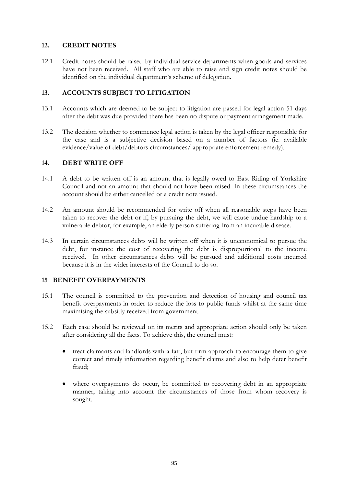## **12. CREDIT NOTES**

12.1 Credit notes should be raised by individual service departments when goods and services have not been received. All staff who are able to raise and sign credit notes should be identified on the individual department's scheme of delegation.

# **13. ACCOUNTS SUBJECT TO LITIGATION**

- 13.1 Accounts which are deemed to be subject to litigation are passed for legal action 51 days after the debt was due provided there has been no dispute or payment arrangement made.
- 13.2 The decision whether to commence legal action is taken by the legal officer responsible for the case and is a subjective decision based on a number of factors (ie. available evidence/value of debt/debtors circumstances/ appropriate enforcement remedy).

## **14. DEBT WRITE OFF**

- 14.1 A debt to be written off is an amount that is legally owed to East Riding of Yorkshire Council and not an amount that should not have been raised. In these circumstances the account should be either cancelled or a credit note issued.
- 14.2 An amount should be recommended for write off when all reasonable steps have been taken to recover the debt or if, by pursuing the debt, we will cause undue hardship to a vulnerable debtor, for example, an elderly person suffering from an incurable disease.
- 14.3 In certain circumstances debts will be written off when it is uneconomical to pursue the debt, for instance the cost of recovering the debt is disproportional to the income received. In other circumstances debts will be pursued and additional costs incurred because it is in the wider interests of the Council to do so.

# **15 BENEFIT OVERPAYMENTS**

- 15.1 The council is committed to the prevention and detection of housing and council tax benefit overpayments in order to reduce the loss to public funds whilst at the same time maximising the subsidy received from government.
- 15.2 Each case should be reviewed on its merits and appropriate action should only be taken after considering all the facts. To achieve this, the council must:
	- treat claimants and landlords with a fair, but firm approach to encourage them to give correct and timely information regarding benefit claims and also to help deter benefit fraud;
	- where overpayments do occur, be committed to recovering debt in an appropriate manner, taking into account the circumstances of those from whom recovery is sought.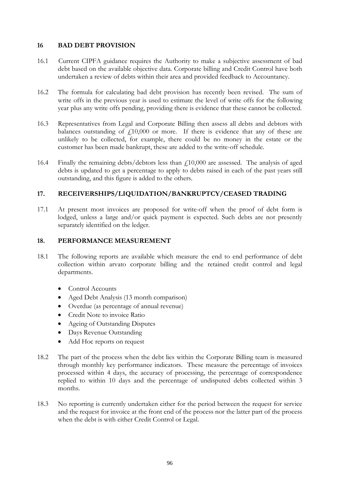#### **16 BAD DEBT PROVISION**

- 16.1 Current CIPFA guidance requires the Authority to make a subjective assessment of bad debt based on the available objective data. Corporate billing and Credit Control have both undertaken a review of debts within their area and provided feedback to Accountancy.
- 16.2 The formula for calculating bad debt provision has recently been revised. The sum of write offs in the previous year is used to estimate the level of write offs for the following year plus any write offs pending, providing there is evidence that these cannot be collected.
- 16.3 Representatives from Legal and Corporate Billing then assess all debts and debtors with balances outstanding of  $f10,000$  or more. If there is evidence that any of these are unlikely to be collected, for example, there could be no money in the estate or the customer has been made bankrupt, these are added to the write-off schedule.
- 16.4 Finally the remaining debts/debtors less than £10,000 are assessed. The analysis of aged debts is updated to get a percentage to apply to debts raised in each of the past years still outstanding, and this figure is added to the others.

# **17. RECEIVERSHIPS/LIQUIDATION/BANKRUPTCY/CEASED TRADING**

17.1 At present most invoices are proposed for write-off when the proof of debt form is lodged, unless a large and/or quick payment is expected. Such debts are not presently separately identified on the ledger.

## **18. PERFORMANCE MEASUREMENT**

- 18.1 The following reports are available which measure the end to end performance of debt collection within arvato corporate billing and the retained credit control and legal departments.
	- Control Accounts
	- Aged Debt Analysis (13 month comparison)
	- Overdue (as percentage of annual revenue)
	- Credit Note to invoice Ratio
	- Ageing of Outstanding Disputes
	- Days Revenue Outstanding
	- Add Hoc reports on request
- 18.2 The part of the process when the debt lies within the Corporate Billing team is measured through monthly key performance indicators. These measure the percentage of invoices processed within 4 days, the accuracy of processing, the percentage of correspondence replied to within 10 days and the percentage of undisputed debts collected within 3 months.
- 18.3 No reporting is currently undertaken either for the period between the request for service and the request for invoice at the front end of the process nor the latter part of the process when the debt is with either Credit Control or Legal.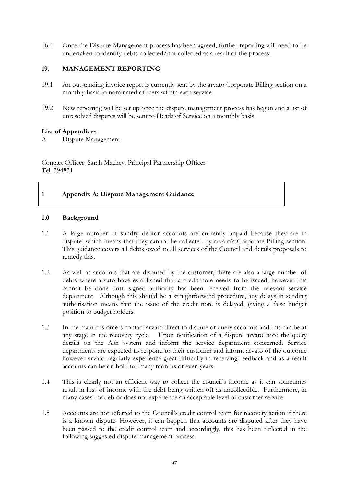18.4 Once the Dispute Management process has been agreed, further reporting will need to be undertaken to identify debts collected/not collected as a result of the process.

## **19. MANAGEMENT REPORTING**

- 19.1 An outstanding invoice report is currently sent by the arvato Corporate Billing section on a monthly basis to nominated officers within each service.
- 19.2 New reporting will be set up once the dispute management process has begun and a list of unresolved disputes will be sent to Heads of Service on a monthly basis.

#### **List of Appendices**

A Dispute Management

Contact Officer: Sarah Mackey, Principal Partnership Officer Tel: 394831

## **1 Appendix A: Dispute Management Guidance**

#### **1.0 Background**

- 1.1 A large number of sundry debtor accounts are currently unpaid because they are in dispute, which means that they cannot be collected by arvato's Corporate Billing section. This guidance covers all debts owed to all services of the Council and details proposals to remedy this.
- 1.2 As well as accounts that are disputed by the customer, there are also a large number of debts where arvato have established that a credit note needs to be issued, however this cannot be done until signed authority has been received from the relevant service department. Although this should be a straightforward procedure, any delays in sending authorisation means that the issue of the credit note is delayed, giving a false budget position to budget holders.
- 1.3 In the main customers contact arvato direct to dispute or query accounts and this can be at any stage in the recovery cycle. Upon notification of a dispute arvato note the query details on the Ash system and inform the service department concerned. Service departments are expected to respond to their customer and inform arvato of the outcome however arvato regularly experience great difficulty in receiving feedback and as a result accounts can be on hold for many months or even years.
- 1.4 This is clearly not an efficient way to collect the council's income as it can sometimes result in loss of income with the debt being written off as uncollectible. Furthermore, in many cases the debtor does not experience an acceptable level of customer service.
- 1.5 Accounts are not referred to the Council's credit control team for recovery action if there is a known dispute. However, it can happen that accounts are disputed after they have been passed to the credit control team and accordingly, this has been reflected in the following suggested dispute management process.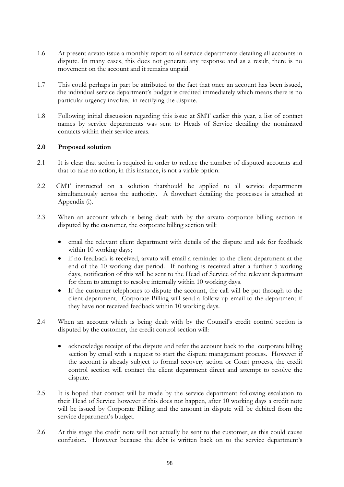- 1.6 At present arvato issue a monthly report to all service departments detailing all accounts in dispute. In many cases, this does not generate any response and as a result, there is no movement on the account and it remains unpaid.
- 1.7 This could perhaps in part be attributed to the fact that once an account has been issued, the individual service department's budget is credited immediately which means there is no particular urgency involved in rectifying the dispute.
- 1.8 Following initial discussion regarding this issue at SMT earlier this year, a list of contact names by service departments was sent to Heads of Service detailing the nominated contacts within their service areas.

#### **2.0 Proposed solution**

- 2.1 It is clear that action is required in order to reduce the number of disputed accounts and that to take no action, in this instance, is not a viable option.
- 2.2 CMT instructed on a solution thatshould be applied to all service departments simultaneously across the authority. A flowchart detailing the processes is attached at Appendix (i).
- 2.3 When an account which is being dealt with by the arvato corporate billing section is disputed by the customer, the corporate billing section will:
	- email the relevant client department with details of the dispute and ask for feedback within 10 working days;
	- if no feedback is received, arvato will email a reminder to the client department at the end of the 10 working day period. If nothing is received after a further 5 working days, notification of this will be sent to the Head of Service of the relevant department for them to attempt to resolve internally within 10 working days.
	- If the customer telephones to dispute the account, the call will be put through to the client department. Corporate Billing will send a follow up email to the department if they have not received feedback within 10 working days.
- 2.4 When an account which is being dealt with by the Council's credit control section is disputed by the customer, the credit control section will:
	- acknowledge receipt of the dispute and refer the account back to the corporate billing section by email with a request to start the dispute management process. However if the account is already subject to formal recovery action or Court process, the credit control section will contact the client department direct and attempt to resolve the dispute.
- 2.5 It is hoped that contact will be made by the service department following escalation to their Head of Service however if this does not happen, after 10 working days a credit note will be issued by Corporate Billing and the amount in dispute will be debited from the service department's budget.
- 2.6 At this stage the credit note will not actually be sent to the customer, as this could cause confusion. However because the debt is written back on to the service department's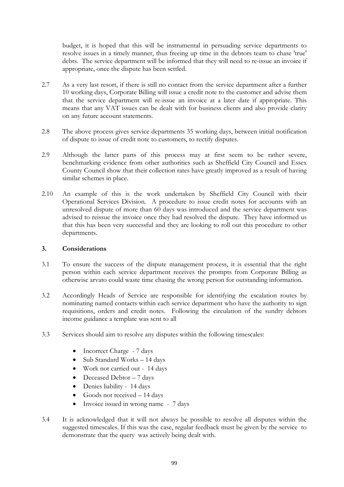budget, it is hoped that this will be instrumental in persuading service departments to resolve issues in a timely manner, thus freeing up time in the debtors team to chase 'true' debts. The service department will be informed that they will need to re-issue an invoice if appropriate, once the dispute has been settled.

- 2.7 As a very last resort, if there is still no contact from the service department after a further 10 working days, Corporate Billing will issue a credit note to the customer and advise them that the service department will re-issue an invoice at a later date if appropriate. This means that any VAT issues can be dealt with for business clients and also provide clarity on any future account statements.
- 2.8 The above process gives service departments 35 working days, between initial notification of dispute to issue of credit note to customers, to rectify disputes.
- 2.9 Although the latter parts of this process may at first seem to be rather severe, benchmarking evidence from other authorities such as Sheffield City Council and Essex County Council show that their collection rates have greatly improved as a result of having similar schemes in place.
- 2.10 An example of this is the work undertaken by Sheffield City Council with their Operational Services Division. A procedure to issue credit notes for accounts with an unresolved dispute of more than 60 days was introduced and the service department was advised to reissue the invoice once they had resolved the dispute. They have informed us that this has been very successful and they are looking to roll out this procedure to other departments.

#### **3. Considerations**

- 3.1 To ensure the success of the dispute management process, it is essential that the right person within each service department receives the prompts from Corporate Billing as otherwise arvato could waste time chasing the wrong person for outstanding information.
- 3.2 Accordingly Heads of Service are responsible for identifying the escalation routes by nominating named contacts within each service department who have the authority to sign requisitions, orders and credit notes. Following the circulation of the sundry debtors income guidance a template was sent to all
- 3.3 Services should aim to resolve any disputes within the following timescales:
	- Incorrect Charge 7 days
	- Sub Standard Works 14 days
	- Work not carried out 14 days
	- Deceased Debtor 7 days
	- Denies liability 14 days
	- Goods not received  $-14$  days
	- Invoice issued in wrong name 7 days
- 3.4 It is acknowledged that it will not always be possible to resolve all disputes within the suggested timescales. If this was the case, regular feedback must be given by the service to demonstrate that the query was actively being dealt with.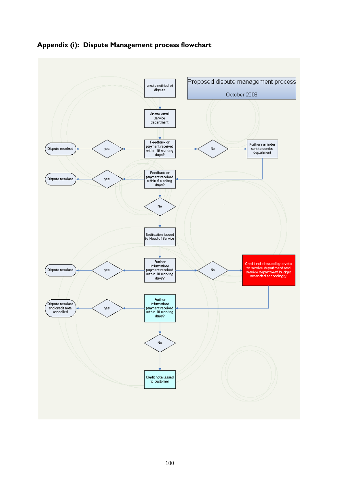

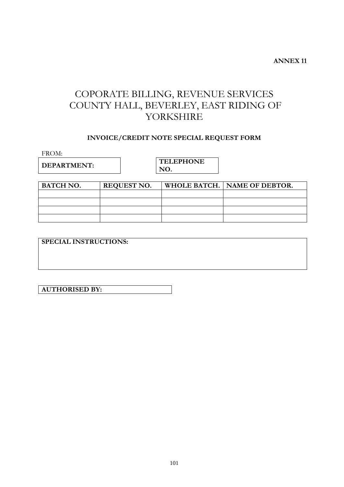# COPORATE BILLING, REVENUE SERVICES COUNTY HALL, BEVERLEY, EAST RIDING OF YORKSHIRE

# **INVOICE/CREDIT NOTE SPECIAL REQUEST FORM**

FROM:

**DEPARTMENT: TELEPHONE NO.**

| <b>BATCH NO.</b> | <b>REQUEST NO.</b> | WHOLE BATCH.   NAME OF DEBTOR. |
|------------------|--------------------|--------------------------------|
|                  |                    |                                |
|                  |                    |                                |
|                  |                    |                                |
|                  |                    |                                |

**SPECIAL INSTRUCTIONS:**

**AUTHORISED BY:**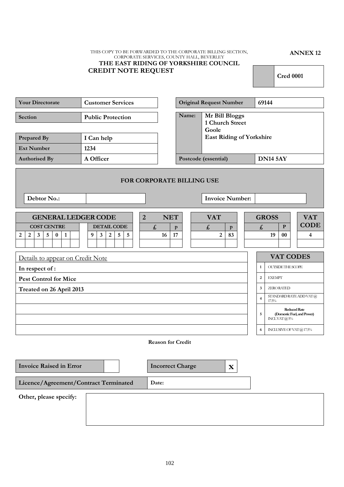#### THIS COPY TO BE FORWARDED TO THE CORPORATE BILLING SECTION, CORPORATE SERVICES, COUNTY HALL, BEVERLEY **THE EAST RIDING OF YORKSHIRE COUNCIL CREDIT NOTE REQUEST**

**ANNEX 12**

**Cred 0001**

| <b>Your Directorate</b>                                 | <b>Customer Services</b> |                                  |              | <b>Original Request Number</b>             |                                 |                    | 69144           |                                            |                                                   |
|---------------------------------------------------------|--------------------------|----------------------------------|--------------|--------------------------------------------|---------------------------------|--------------------|-----------------|--------------------------------------------|---------------------------------------------------|
| Section                                                 | <b>Public Protection</b> |                                  | Name:        | Mr Bill Bloggs<br>1 Church Street<br>Goole |                                 |                    |                 |                                            |                                                   |
| Prepared By                                             | I Can help               |                                  |              |                                            | <b>East Riding of Yorkshire</b> |                    |                 |                                            |                                                   |
| <b>Ext Number</b>                                       | 1234                     |                                  |              |                                            |                                 |                    |                 |                                            |                                                   |
| <b>Authorised By</b>                                    | A Officer                |                                  |              | Postcode (essential)                       |                                 |                    | <b>DN14 5AY</b> |                                            |                                                   |
|                                                         |                          | <b>FOR CORPORATE BILLING USE</b> |              |                                            |                                 |                    |                 |                                            |                                                   |
| Debtor No.:                                             |                          |                                  |              | <b>Invoice Number:</b>                     |                                 |                    |                 |                                            |                                                   |
| <b>GENERAL LEDGER CODE</b>                              | $\overline{2}$           | <b>NET</b>                       |              | <b>VAT</b>                                 |                                 |                    | <b>GROSS</b>    |                                            | <b>VAT</b>                                        |
| <b>COST CENTRE</b>                                      | <b>DETAIL CODE</b>       | $\pmb{\mathit{f}}$               | $\mathbf{p}$ | $\pmb{\mathit{f}}$                         | $\mathbf{p}$                    | $\pmb{\mathit{f}}$ |                 | $\mathbf{P}$                               | <b>CODE</b>                                       |
| 2<br>$\mathbf{3}$<br>5<br>$\bf{0}$<br>$\mathbf{1}$<br>2 | 5<br>5<br>9<br>3<br>2    | 16                               | 17           | 2                                          | 83                              |                    | 19              | $00\,$                                     | 4                                                 |
| Details to appear on Credit Note                        |                          |                                  |              |                                            |                                 |                    |                 |                                            | <b>VAT CODES</b>                                  |
| In respect of:                                          |                          |                                  |              |                                            |                                 | $\mathbf{1}$       |                 | <b>OUTSIDE THE SCOPE</b>                   |                                                   |
| <b>Pest Control for Mice</b>                            |                          |                                  |              |                                            |                                 | $\overline{2}$     | <b>EXEMPT</b>   |                                            |                                                   |
| Treated on 26 April 2013                                |                          |                                  |              |                                            |                                 | $\mathbf{3}$       |                 | <b>ZERORATED</b>                           |                                                   |
|                                                         |                          |                                  |              |                                            |                                 | $\overline{4}$     | 17.5%           |                                            | STANDARD RATE ADD VAT @                           |
|                                                         |                          |                                  |              |                                            |                                 | 5                  |                 | $\text{NCLVAT}\left(\widehat{a}\right)5\%$ | <b>Reduced Rate</b><br>(Domestic Fuel, and Power) |
|                                                         |                          |                                  |              |                                            |                                 | 6                  |                 |                                            | INCLUSIVE OF VAT @ 17.5%                          |
|                                                         |                          | <b>Reason for Credit</b>         |              |                                            |                                 |                    |                 |                                            |                                                   |
| <b>Invoice Raised in Error</b>                          |                          | <b>Incorrect Charge</b>          |              |                                            | $\mathbf X$                     |                    |                 |                                            |                                                   |
| Licence/Agreement/Contract Terminated                   |                          | Date:                            |              |                                            |                                 |                    |                 |                                            |                                                   |
| Other, please specify:                                  |                          |                                  |              |                                            |                                 |                    |                 |                                            |                                                   |
|                                                         |                          |                                  |              |                                            |                                 |                    |                 |                                            |                                                   |
|                                                         |                          |                                  |              |                                            |                                 |                    |                 |                                            |                                                   |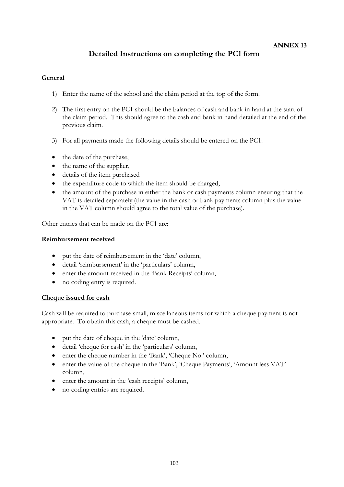# **Detailed Instructions on completing the PC1 form**

## **General**

- 1) Enter the name of the school and the claim period at the top of the form.
- 2) The first entry on the PC1 should be the balances of cash and bank in hand at the start of the claim period. This should agree to the cash and bank in hand detailed at the end of the previous claim.
- 3) For all payments made the following details should be entered on the PC1:
- the date of the purchase,
- the name of the supplier,
- details of the item purchased
- the expenditure code to which the item should be charged,
- the amount of the purchase in either the bank or cash payments column ensuring that the VAT is detailed separately (the value in the cash or bank payments column plus the value in the VAT column should agree to the total value of the purchase).

Other entries that can be made on the PC1 are:

#### **Reimbursement received**

- put the date of reimbursement in the 'date' column,
- detail 'reimbursement' in the 'particulars' column,
- enter the amount received in the 'Bank Receipts' column,
- no coding entry is required.

#### **Cheque issued for cash**

Cash will be required to purchase small, miscellaneous items for which a cheque payment is not appropriate. To obtain this cash, a cheque must be cashed.

- put the date of cheque in the 'date' column,
- detail 'cheque for cash' in the 'particulars' column,
- enter the cheque number in the 'Bank', 'Cheque No.' column,
- enter the value of the cheque in the 'Bank', 'Cheque Payments', 'Amount less VAT' column,
- enter the amount in the 'cash receipts' column,
- no coding entries are required.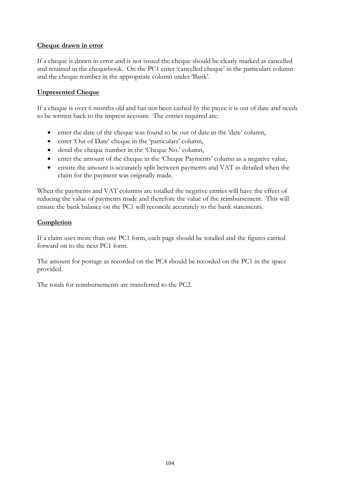## **Cheque drawn in error**

If a cheque is drawn in error and is not issued the cheque should be clearly marked as cancelled and retained in the chequebook. On the PC1 enter 'cancelled cheque' in the particulars column and the cheque number in the appropriate column under 'Bank'.

# **Unpresented Cheque**

If a cheque is over 6 months old and has not been cashed by the payee it is out of date and needs to be written back to the imprest account. The entries required are:

- enter the date of the cheque was found to be out of date in the 'date' column,
- enter 'Out of Date' cheque in the 'particulars' column,
- detail the cheque number in the 'Cheque No.' column,
- enter the amount of the cheque in the 'Cheque Payments' column as a negative value,
- ensure the amount is accurately split between payments and VAT as detailed when the claim for the payment was originally made.

When the payments and VAT columns are totalled the negative entries will have the effect of reducing the value of payments made and therefore the value of the reimbursement. This will ensure the bank balance on the PC1 will reconcile accurately to the bank statements.

## **Completion**

If a claim uses more than one PC1 form, each page should be totalled and the figures carried forward on to the next PC1 form.

The amount for postage as recorded on the PC4 should be recorded on the PC1 in the space provided.

The totals for reimbursements are transferred to the PC2.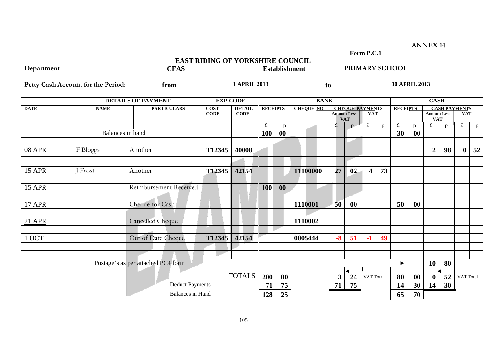**Form P.C.1**

**ANNEX 14**

|               |                                    |                                    | <b>EAST RIDING OF YORKSHIRE COUNCIL</b> |                              |                 |           |                      |                    |            |                                      |    |                      |              |                                  |                      |              |    |
|---------------|------------------------------------|------------------------------------|-----------------------------------------|------------------------------|-----------------|-----------|----------------------|--------------------|------------|--------------------------------------|----|----------------------|--------------|----------------------------------|----------------------|--------------|----|
| Department    |                                    | <b>CFAS</b>                        |                                         |                              |                 |           | <b>Establishment</b> |                    |            |                                      |    | PRIMARY SCHOOL       |              |                                  |                      |              |    |
|               | Petty Cash Account for the Period: | from                               |                                         | <b>1 APRIL 2013</b>          |                 |           |                      | to                 |            |                                      |    | <b>30 APRIL 2013</b> |              |                                  |                      |              |    |
|               |                                    | <b>DETAILS OF PAYMENT</b>          |                                         | <b>EXP CODE</b>              |                 |           | <b>BANK</b>          |                    |            |                                      |    |                      |              | <b>CASH</b>                      |                      |              |    |
| <b>DATE</b>   | <b>NAME</b>                        | <b>PARTICULARS</b>                 | <b>COST</b><br><b>CODE</b>              | <b>DETAIL</b><br><b>CODE</b> | <b>RECEIPTS</b> |           | <b>CHEQUE NO</b>     | <b>Amount Less</b> | <b>VAT</b> | <b>CHEQUE PAYMENTS</b><br><b>VAT</b> |    | <b>RECEIPTS</b>      |              | <b>Amount Less</b><br><b>VAT</b> | <b>CASH PAYMENTS</b> | <b>VAT</b>   |    |
|               |                                    |                                    |                                         |                              | $\pounds$       | p         |                      | £                  | p          | £                                    | p  | $\pounds$            | $\mathbf{p}$ | $\pounds$                        | $\mathbf{p}$         | $\mathbf f$  | p  |
|               |                                    | Balances in hand                   |                                         |                              | 100             | $\bf{00}$ |                      |                    |            |                                      |    | 30                   | $\bf{00}$    |                                  |                      |              |    |
| <b>08 APR</b> | F Bloggs                           | Another                            | T12345                                  | 40008                        |                 |           |                      |                    |            |                                      |    |                      |              | $\overline{2}$                   | 98                   | $\mathbf{0}$ | 52 |
|               |                                    |                                    |                                         |                              |                 |           |                      |                    |            |                                      |    |                      |              |                                  |                      |              |    |
| <b>15 APR</b> | <b>Frost</b>                       | Another                            | T12345                                  | 42154                        |                 |           | 11100000             | 27                 | 02         | $\overline{\mathbf{4}}$              | 73 |                      |              |                                  |                      |              |    |
| <b>15 APR</b> |                                    | Reimbursement Received             |                                         |                              | 100             | 00        |                      |                    |            |                                      |    |                      |              |                                  |                      |              |    |
| <b>17 APR</b> |                                    | Cheque for Cash                    |                                         |                              |                 |           | 1110001              | 50                 | $\bf{00}$  |                                      |    | 50                   | $\bf{00}$    |                                  |                      |              |    |
| 21 APR        |                                    | <b>Cancelled Cheque</b>            |                                         |                              |                 |           | 1110002              |                    |            |                                      |    |                      |              |                                  |                      |              |    |
| 1 OCT         |                                    | Out of Date Cheque                 | T12345                                  | 42154                        |                 |           | 0005444              | $-8$               | 51         | $-1$                                 | 49 |                      |              |                                  |                      |              |    |
|               |                                    |                                    |                                         |                              |                 |           |                      |                    |            |                                      |    |                      |              |                                  |                      |              |    |
|               |                                    | Postage's as per attached PC4 form |                                         |                              |                 |           |                      |                    |            |                                      |    |                      |              | <b>10</b>                        | 80                   |              |    |
|               |                                    |                                    |                                         | <b>TOTALS</b>                | 200             | 00        |                      | $\mathbf{3}$       | 24         | VAT Total                            |    | 80                   | $\bf{00}$    | $\bf{0}$                         | 52                   | VAT Total    |    |
|               |                                    | <b>Deduct Payments</b>             |                                         |                              | 71              | 75        |                      | 71                 | 75         |                                      |    | 14                   | 30           | 14                               | 30                   |              |    |
|               |                                    | <b>Balances</b> in Hand            |                                         |                              | 128             | 25        |                      |                    |            |                                      |    | 65                   | 70           |                                  |                      |              |    |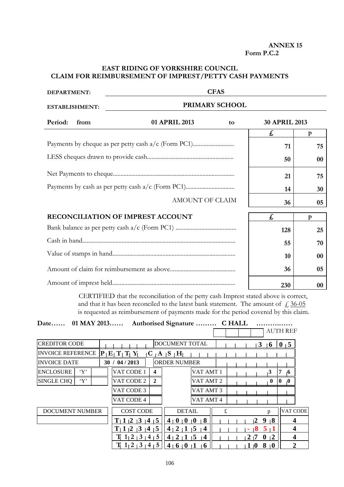#### **ANNEX 15 Form P.C.2**

# **EAST RIDING OF YORKSHIRE COUNCIL CLAIM FOR REIMBURSEMENT OF IMPREST/PETTY CASH PAYMENTS**

| <b>DEPARTMENT:</b>    |                                                     | <b>CFAS</b>    |                      |              |
|-----------------------|-----------------------------------------------------|----------------|----------------------|--------------|
| <b>ESTABLISHMENT:</b> |                                                     | PRIMARY SCHOOL |                      |              |
| Period:<br>from       | 01 APRIL 2013                                       | to             | <b>30 APRIL 2013</b> |              |
|                       |                                                     |                | £                    | $\mathbf{p}$ |
|                       | Payments by cheque as per petty cash a/c (Form PC1) |                | 71                   | 75           |
|                       |                                                     |                | 50                   | 00           |
|                       |                                                     |                | 21                   | 75           |
|                       |                                                     |                | 14                   | 30           |
|                       | AMOUNT OF CLAIM                                     |                | 36                   | 05           |
|                       | RECONCILIATION OF IMPREST ACCOUNT                   |                | £,                   | $\mathbf{p}$ |
|                       |                                                     |                | 128                  | 25           |
|                       |                                                     |                | 55                   | 70           |
|                       |                                                     |                | 10                   | $00\,$       |
|                       |                                                     |                | 36                   | 05           |
|                       |                                                     |                | 230                  | 00           |

CERTIFIED that the reconciliation of the petty cash Imprest stated above is correct, and that it has been reconciled to the latest bank statement. The amount of  $\frac{1}{6}$ , 36-05 is requested as reimbursement of payments made for the period covered by this claim.

|  | Date 01 MAY 2013 Authorised Signature  C HALL |                 |
|--|-----------------------------------------------|-----------------|
|  |                                               | all all'Ith REE |

|                             |                                      |                  |                                                                  |                |   |     |              |                |              | 770 TH IVET    |  |
|-----------------------------|--------------------------------------|------------------|------------------------------------------------------------------|----------------|---|-----|--------------|----------------|--------------|----------------|--|
| <b>CREDITOR CODE</b>        |                                      |                  | DOCUMENT TOTAL                                                   |                |   |     | 3            | $\overline{6}$ | $\bf{0}$     | $\sqrt{5}$     |  |
| INVOICE REFERENCE           | P E T T Y                            |                  | $C/A$ $S$ $H_1$                                                  |                |   |     |              |                |              |                |  |
| <b>INVOICE DATE</b>         | 30 / 04 / 2013                       |                  | IORDER NUMBER                                                    |                |   |     |              |                |              |                |  |
| $\lq Y$<br><b>ENCLOSURE</b> | VAT CODE 1                           | $\boldsymbol{4}$ |                                                                  | VAT AMT 1      |   |     |              | $\mathbf{3}$   |              | $\mathbf{6}$   |  |
| $\lq Y$<br>SINGLE CHQ       | VAT CODE 2                           | $\overline{2}$   |                                                                  | VAT AMT 2      |   |     |              | $\bf{0}$       | $\mathbf{0}$ | $\bf{0}$       |  |
|                             | VAT CODE 3                           |                  |                                                                  | VAT AMT 3      |   |     |              |                |              |                |  |
|                             | VAT CODE 4                           |                  |                                                                  | VAT AMT 4      |   |     |              |                |              |                |  |
| <b>DOCUMENT NUMBER</b>      | <b>COST CODE</b>                     |                  | <b>DETAIL</b>                                                    |                | £ |     |              | D              |              | VAT CODE       |  |
|                             | 1<br>$\overline{3}$<br>$\mathbf{12}$ | 1415             | $\overline{0}$<br>$\mathbf{0}$<br>4 <sub>1</sub><br>$\mathbf{0}$ | 8              |   |     | 9<br>2       | $\overline{8}$ |              | 4              |  |
|                             | $\mathbf{12}$<br>$\mathbf{13}$       | 1415             | 2<br>$\overline{\mathbf{5}}$<br>ן 4                              | $\overline{4}$ |   |     | 8            | 5 <sub>1</sub> |              | 4              |  |
|                             | 2                                    | $3+4$<br>5       | 5<br>2<br>4 <sub>1</sub>                                         | $\sqrt{4}$     |   | 2   | $\mathbf{0}$ | $\sqrt{2}$     |              | 4              |  |
|                             | $1\overline{)2}$<br>$+3+$            | 5<br>4           | 4<br>v<br>$\mathbf 0$                                            | <b>6</b>       |   | 1/0 | 8            | 10             |              | $\overline{2}$ |  |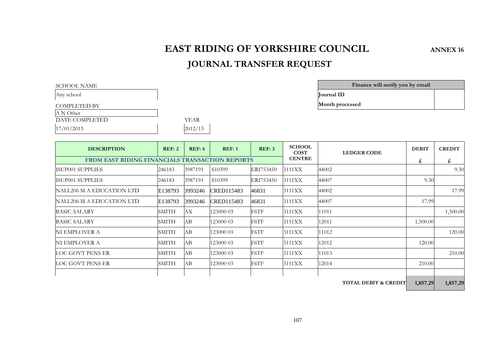# **EAST RIDING OF YORKSHIRE COUNCIL ANNEX 16**

# **JOURNAL TRANSFER REQUEST**

| SCHOOL NAME         |                   |
|---------------------|-------------------|
| Any school          | <b>Iournal ID</b> |
| <b>COMPLETED BY</b> | Month pro         |

A N Other

DATE COMPLETED

 $17/01/2013$ 

| YEAR    |  |
|---------|--|
| 2012/13 |  |

| SCHOOL NAME  | Finance will notify you by email |  |
|--------------|----------------------------------|--|
| Anv school   | <b>Iournal ID</b>                |  |
| COMPLETED BY | Month processed                  |  |

| <b>DESCRIPTION</b>                                     | REF:2        | REF:4   | REF:1               | REF:3     | <b>SCHOOL</b><br><b>COST</b> | <b>LEDGER CODE</b> | <b>DEBIT</b> | <b>CREDIT</b> |
|--------------------------------------------------------|--------------|---------|---------------------|-----------|------------------------------|--------------------|--------------|---------------|
| <b>FROM EAST RIDING FINANCIALS TRANSACTION REPORTS</b> |              |         |                     |           | <b>CENTRE</b>                |                    | £            | £             |
| <b>ISUP001 SUPPLIES</b>                                | 246183       | 3987191 | S <sub>1</sub> 0399 | ERI753450 | 3111XX                       | 44002              |              | 9.30          |
| ISUP001 SUPPLIES                                       | 246183       | 3987191 | S <sub>10</sub> 399 | ERI753450 | 3111XX                       | 44007              | 9.30         |               |
| NALL206 M A EDUCATION LTD                              | E138793      | 3993246 | CRED115483          | 46831     | 3111XX                       | 44002              |              | 17.99         |
| NALL206 M A EDUCATION LTD                              | E138793      | 3993246 | CRED115483          | 46831     | 3111XX                       | 44007              | 17.99        |               |
| <b>BASIC SALARY</b>                                    | SMITH        | AX.     | 123000 03           | F6TF      | 3111XX                       | 11011              |              | 1,500.00      |
| <b>BASIC SALARY</b>                                    | SMITH        | AВ      | 123000 03           | F6TF      | 3111XX                       | 12011              | 1,500.00     |               |
| NI EMPLOYER A                                          | <b>SMITH</b> | AВ      | 123000 03           | F6TF      | 3111XX                       | 11012              |              | 120.00        |
| NI EMPLOYER A                                          | <b>SMITH</b> | AB      | 123000 03           | F6TF      | 3111XX                       | 12012              | 120.00       |               |
| LOC GOVT PENS ER                                       | <b>SMITH</b> | AB      | 123000 03           | F6TF      | 3111XX                       | 11013              |              | 210.00        |
| LOC GOVT PENS ER                                       | SMITH        | AВ      | 123000 03           | F6TF      | 3111XX                       | 12014              | 210.00       |               |
|                                                        |              |         |                     |           |                              |                    |              |               |

**TOTAL DEBIT & CREDIT 1,857.29 1,857.29**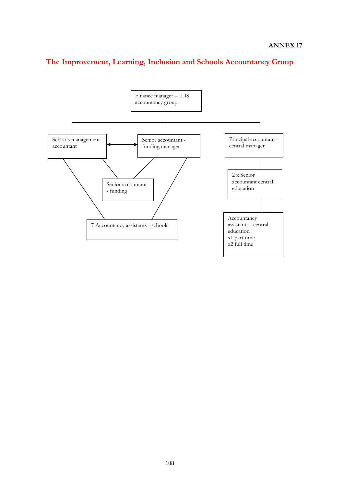

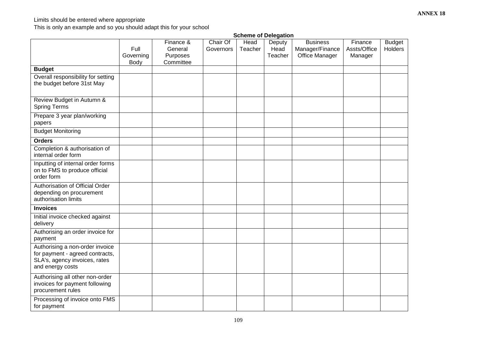## Limits should be entered where appropriate

This is only an example and so you should adapt this for your school

|                                                                                                                         | <b>Scheme of Delegation</b> |                                               |                       |                 |                           |                                                      |                                    |                          |  |
|-------------------------------------------------------------------------------------------------------------------------|-----------------------------|-----------------------------------------------|-----------------------|-----------------|---------------------------|------------------------------------------------------|------------------------------------|--------------------------|--|
|                                                                                                                         | Full<br>Governing<br>Body   | Finance &<br>General<br>Purposes<br>Committee | Chair Of<br>Governors | Head<br>Teacher | Deputy<br>Head<br>Teacher | <b>Business</b><br>Manager/Finance<br>Office Manager | Finance<br>Assts/Office<br>Manager | <b>Budget</b><br>Holders |  |
| <b>Budget</b>                                                                                                           |                             |                                               |                       |                 |                           |                                                      |                                    |                          |  |
| Overall responsibility for setting<br>the budget before 31st May                                                        |                             |                                               |                       |                 |                           |                                                      |                                    |                          |  |
| Review Budget in Autumn &<br><b>Spring Terms</b>                                                                        |                             |                                               |                       |                 |                           |                                                      |                                    |                          |  |
| Prepare 3 year plan/working<br>papers                                                                                   |                             |                                               |                       |                 |                           |                                                      |                                    |                          |  |
| <b>Budget Monitoring</b>                                                                                                |                             |                                               |                       |                 |                           |                                                      |                                    |                          |  |
| <b>Orders</b>                                                                                                           |                             |                                               |                       |                 |                           |                                                      |                                    |                          |  |
| Completion & authorisation of<br>internal order form                                                                    |                             |                                               |                       |                 |                           |                                                      |                                    |                          |  |
| Inputting of internal order forms<br>on to FMS to produce official<br>order form                                        |                             |                                               |                       |                 |                           |                                                      |                                    |                          |  |
| Authorisation of Official Order<br>depending on procurement<br>authorisation limits                                     |                             |                                               |                       |                 |                           |                                                      |                                    |                          |  |
| <b>Invoices</b>                                                                                                         |                             |                                               |                       |                 |                           |                                                      |                                    |                          |  |
| Initial invoice checked against<br>delivery                                                                             |                             |                                               |                       |                 |                           |                                                      |                                    |                          |  |
| Authorising an order invoice for<br>payment                                                                             |                             |                                               |                       |                 |                           |                                                      |                                    |                          |  |
| Authorising a non-order invoice<br>for payment - agreed contracts,<br>SLA's, agency invoices, rates<br>and energy costs |                             |                                               |                       |                 |                           |                                                      |                                    |                          |  |
| Authorising all other non-order<br>invoices for payment following<br>procurement rules                                  |                             |                                               |                       |                 |                           |                                                      |                                    |                          |  |
| Processing of invoice onto FMS<br>for payment                                                                           |                             |                                               |                       |                 |                           |                                                      |                                    |                          |  |